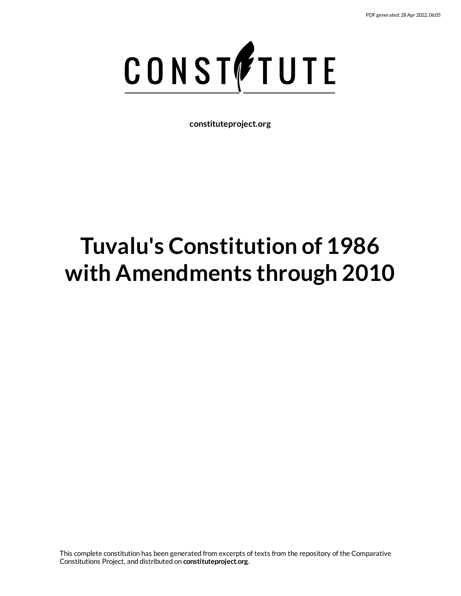

**constituteproject.org**

# **Tuvalu's Constitution of 1986 with Amendments through 2010**

This complete constitution has been generated from excerpts of texts from the repository of the Comparative Constitutions Project, and distributed on **constituteproject.org**.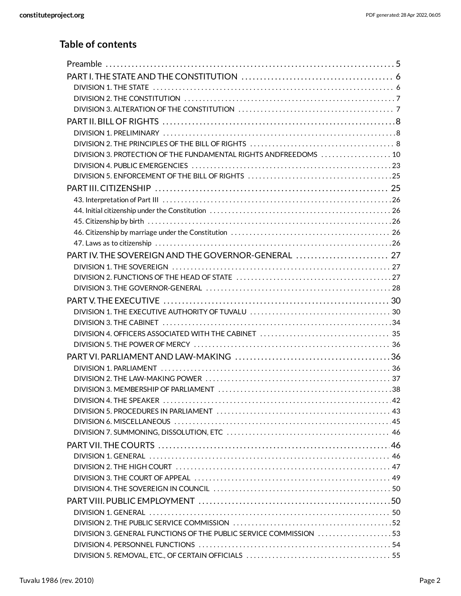### **Table of contents**

| DIVISION 3. PROTECTION OF THE FUNDAMENTAL RIGHTS ANDFREEDOMS 10   |  |
|-------------------------------------------------------------------|--|
|                                                                   |  |
|                                                                   |  |
|                                                                   |  |
|                                                                   |  |
|                                                                   |  |
|                                                                   |  |
|                                                                   |  |
|                                                                   |  |
| PART IV. THE SOVEREIGN AND THE GOVERNOR-GENERAL  27               |  |
|                                                                   |  |
|                                                                   |  |
|                                                                   |  |
|                                                                   |  |
|                                                                   |  |
|                                                                   |  |
|                                                                   |  |
|                                                                   |  |
|                                                                   |  |
|                                                                   |  |
|                                                                   |  |
|                                                                   |  |
|                                                                   |  |
|                                                                   |  |
|                                                                   |  |
|                                                                   |  |
|                                                                   |  |
|                                                                   |  |
|                                                                   |  |
|                                                                   |  |
|                                                                   |  |
|                                                                   |  |
|                                                                   |  |
|                                                                   |  |
| DIVISION 3. GENERAL FUNCTIONS OF THE PUBLIC SERVICE COMMISSION 53 |  |
|                                                                   |  |
|                                                                   |  |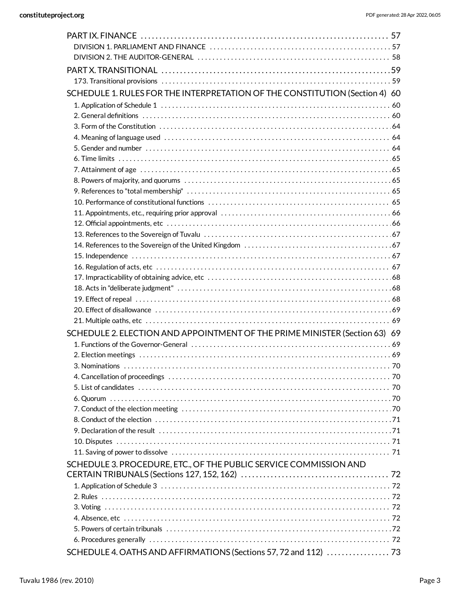| SCHEDULE 1. RULES FOR THE INTERPRETATION OF THE CONSTITUTION (Section 4) 60 |  |
|-----------------------------------------------------------------------------|--|
|                                                                             |  |
|                                                                             |  |
|                                                                             |  |
|                                                                             |  |
|                                                                             |  |
|                                                                             |  |
|                                                                             |  |
|                                                                             |  |
|                                                                             |  |
|                                                                             |  |
|                                                                             |  |
|                                                                             |  |
|                                                                             |  |
|                                                                             |  |
|                                                                             |  |
|                                                                             |  |
|                                                                             |  |
|                                                                             |  |
|                                                                             |  |
|                                                                             |  |
|                                                                             |  |
| SCHEDULE 2. ELECTION AND APPOINTMENT OF THE PRIME MINISTER (Section 63) 69  |  |
|                                                                             |  |
|                                                                             |  |
|                                                                             |  |
|                                                                             |  |
|                                                                             |  |
|                                                                             |  |
|                                                                             |  |
|                                                                             |  |
|                                                                             |  |
|                                                                             |  |
|                                                                             |  |
| SCHEDULE 3. PROCEDURE, ETC., OF THE PUBLIC SERVICE COMMISSION AND           |  |
|                                                                             |  |
|                                                                             |  |
|                                                                             |  |
|                                                                             |  |
|                                                                             |  |
|                                                                             |  |
|                                                                             |  |
|                                                                             |  |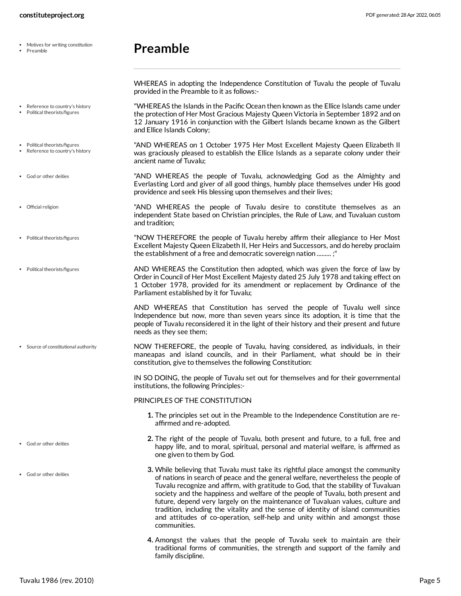Motives for writing constitution Preamble

### <span id="page-4-0"></span>**Preamble**

WHEREAS in adopting the Independence Constitution of Tuvalu the people of Tuvalu provided in the Preamble to it as follows:-

"WHEREAS the Islands in the Pacific Ocean then known as the Ellice Islands came under the protection of Her Most Gracious Majesty Queen Victoria in September 1892 and on 12 January 1916 in conjunction with the Gilbert Islands became known as the Gilbert and Ellice Islands Colony;

"AND WHEREAS on 1 October 1975 Her Most Excellent Majesty Queen Elizabeth II was graciously pleased to establish the Ellice Islands as a separate colony under their ancient name of Tuvalu;

"AND WHEREAS the people of Tuvalu, acknowledging God as the Almighty and Everlasting Lord and giver of all good things, humbly place themselves under His good providence and seek His blessing upon themselves and their lives;

"AND WHEREAS the people of Tuvalu desire to constitute themselves as an independent State based on Christian principles, the Rule of Law, and Tuvaluan custom and tradition;

"NOW THEREFORE the people of Tuvalu hereby affirm their allegiance to Her Most Excellent Majesty Queen Elizabeth II, Her Heirs and Successors, and do hereby proclaim the establishment of a free and democratic sovereign nation ......... ;"

> AND WHEREAS the Constitution then adopted, which was given the force of law by Order in Council of Her Most Excellent Majesty dated 25 July 1978 and taking effect on 1 October 1978, provided for its amendment or replacement by Ordinance of the Parliament established by it for Tuvalu;

AND WHEREAS that Constitution has served the people of Tuvalu well since Independence but now, more than seven years since its adoption, it is time that the people of Tuvalu reconsidered it in the light of their history and their present and future needs as they see them;

NOW THEREFORE, the people of Tuvalu, having considered, as individuals, in their maneapas and island councils, and in their Parliament, what should be in their constitution, give to themselves the following Constitution:

> IN SO DOING, the people of Tuvalu set out for themselves and for their governmental institutions, the following Principles:-

#### PRINCIPLES OF THE CONSTITUTION

- **1.** The principles set out in the Preamble to the Independence Constitution are reaffirmed and re-adopted.
- **2.** The right of the people of Tuvalu, both present and future, to a full, free and happy life, and to moral, spiritual, personal and material welfare, is affirmed as one given to them by God.
- **3.** While believing that Tuvalu must take its rightful place amongst the community of nations in search of peace and the general welfare, nevertheless the people of Tuvalu recognize and affirm, with gratitude to God, that the stability of Tuvaluan society and the happiness and welfare of the people of Tuvalu, both present and future, depend very largely on the maintenance of Tuvaluan values, culture and tradition, including the vitality and the sense of identity of island communities and attitudes of co-operation, self-help and unity within and amongst those communities.
- **4.** Amongst the values that the people of Tuvalu seek to maintain are their traditional forms of communities, the strength and support of the family and family discipline.

Reference to country's history Political theorists/figures

- Political theorists/figures
- Reference to country's history
- God or other deities
- Official religion
- Political theorists/figures
- Political theorists/figures

Source of constitutional authority

God or other deities

God or other deities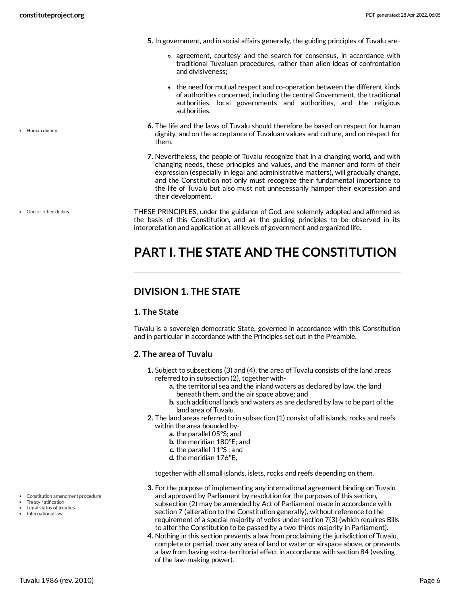- **5.** In government, and in social affairs generally, the guiding principles of Tuvalu are
	- agreement, courtesy and the search for consensus, in accordance with traditional Tuvaluan procedures, rather than alien ideas of confrontation and divisiveness;
	- the need for mutual respect and co-operation between the different kinds of authorities concerned, including the central Government, the traditional authorities, local governments and authorities, and the religious authorities.
- **6.** The life and the laws of Tuvalu should therefore be based on respect for human dignity, and on the acceptance of Tuvaluan values and culture, and on respect for them.
- **7.** Nevertheless, the people of Tuvalu recognize that in a changing world, and with changing needs, these principles and values, and the manner and form of their expression (especially in legal and administrative matters), will gradually change, and the Constitution not only must recognize their fundamental importance to the life of Tuvalu but also must not unnecessarily hamper their expression and their development.

God or other deities

• Human dignity

THESE PRINCIPLES, under the guidance of God, are solemnly adopted and affirmed as the basis of this Constitution, and as the guiding principles to be observed in its interpretation and application at all levels of government and organized life.

## <span id="page-5-0"></span>**PART I. THE STATE AND THE CONSTITUTION**

### <span id="page-5-1"></span>**DIVISION 1. THE STATE**

### **1. The State**

Tuvalu is a sovereign democratic State, governed in accordance with this Constitution and in particular in accordance with the Principles set out in the Preamble.

### **2. The area of Tuvalu**

- **1.** Subject to subsections (3) and (4), the area of Tuvalu consists of the land areas referred to in subsection (2), together with
	- **a.** the territorial sea and the inland waters as declared by law, the land beneath them, and the air space above; and
	- **b.** such additional lands and waters as are declared by law to be part of the land area of Tuvalu.
- **2.** The land areas referred to in subsection (1) consist of all islands, rocks and reefs within the area bounded by
	- **a.** the parallel 05°S; and
	- **b.** the meridian 180°E; and
	- **c.** the parallel 11°S ; and
	- **d.** the meridian 176°E,

together with all small islands, islets, rocks and reefs depending on them.

- **3.** For the purpose of implementing any international agreement binding on Tuvalu and approved by Parliament by resolution for the purposes of this section, subsection (2) may be amended by Act of Parliament made in accordance with section 7 (alteration to the Constitution generally), without reference to the requirement of a special majority of votes under section 7(3) (which requires Bills to alter the Constitution to be passed by a two-thirds majority in Parliament).
- **4.** Nothing in this section prevents a law from proclaiming the jurisdiction of Tuvalu, complete or partial, over any area of land or water or airspace above, or prevents a law from having extra-territorial effect in accordance with section 84 (vesting of the law-making power).

Constitution amendment procedure

- Treaty ratification
- Legal status of treaties • International law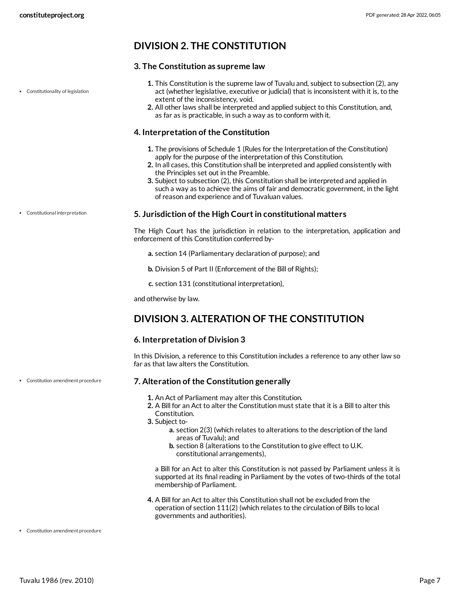### <span id="page-6-0"></span>**DIVISION 2. THE CONSTITUTION**

### **3. The Constitution as supreme law**

- Constitutionality of legislation
	-

Constitutional interpretation

- **1.** This Constitution is the supreme law of Tuvalu and, subject to subsection (2), any act (whether legislative, executive or judicial) that is inconsistent with it is, to the extent of the inconsistency, void.
- **2.** All other laws shall be interpreted and applied subject to this Constitution, and, as far as is practicable, in such a way as to conform with it.

### **4. Interpretation of the Constitution**

- **1.** The provisions of Schedule 1 (Rules for the Interpretation of the Constitution) apply for the purpose of the interpretation of this Constitution.
- **2.** In all cases, this Constitution shall be interpreted and applied consistently with the Principles set out in the Preamble.
- **3.** Subject to subsection (2), this Constitution shall be interpreted and applied in such a way as to achieve the aims of fair and democratic government, in the light of reason and experience and of Tuvaluan values.

### **5. Jurisdiction of the High Courtin constitutional matters**

The High Court has the jurisdiction in relation to the interpretation, application and enforcement of this Constitution conferred by-

**a.** section 14 (Parliamentary declaration of purpose); and

**b.** Division 5 of Part II (Enforcement of the Bill of Rights);

**c.** section 131 (constitutional interpretation),

and otherwise by law.

### <span id="page-6-1"></span>**DIVISION 3. ALTERATION OF THE CONSTITUTION**

### **6. Interpretation of Division 3**

In this Division, a reference to this Constitution includes a reference to any other law so far as that law alters the Constitution.

### **7. Alteration of the Constitution generally**

- **1.** An Act of Parliament may alter this Constitution.
- **2.** A Bill for an Act to alter the Constitution must state that it is a Bill to alter this Constitution.

**3.** Subject to-

- **a.** section 2(3) (which relates to alterations to the description of the land areas of Tuvalu); and
- **b.** section 8 (alterations to the Constitution to give effect to U.K. constitutional arrangements),

a Bill for an Act to alter this Constitution is not passed by Parliament unless it is supported at its final reading in Parliament by the votes of two-thirds of the total membership of Parliament.

**4.** A Bill for an Act to alter this Constitution shall not be excluded from the operation of section 111(2) (which relates to the circulation of Bills to local governments and authorities).

Constitution amendment procedure

Constitution amendment procedure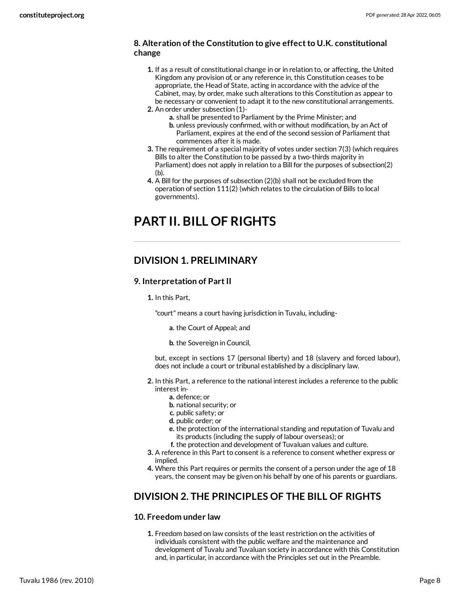### **8. Alteration of the Constitution to give effectto U.K. constitutional change**

- **1.** If as a result of constitutional change in or in relation to, or affecting, the United Kingdom any provision of, or any reference in, this Constitution ceases to be appropriate, the Head of State, acting in accordance with the advice of the Cabinet, may, by order, make such alterations to this Constitution as appear to be necessary or convenient to adapt it to the new constitutional arrangements.
- **2.** An order under subsection (1)
	- **a.** shall be presented to Parliament by the Prime Minister; and **b.** unless previously confirmed, with or without modification, by an Act of Parliament, expires at the end of the second session of Parliament that commences after it is made.
- **3.** The requirement of a special majority of votes under section 7(3) (which requires Bills to alter the Constitution to be passed by a two-thirds majority in Parliament) does not apply in relation to a Bill for the purposes of subsection(2) (b).
- **4.** A Bill for the purposes of subsection (2)(b) shall not be excluded from the operation of section 111(2) (which relates to the circulation of Bills to local governments).

# <span id="page-7-0"></span>**PART II. BILL OF RIGHTS**

### <span id="page-7-1"></span>**DIVISION 1. PRELIMINARY**

### **9. Interpretation of PartII**

### **1.** In this Part,

"court" means a court having jurisdiction in Tuvalu, including-

**a.** the Court of Appeal; and

**b.** the Sovereign in Council,

but, except in sections 17 (personal liberty) and 18 (slavery and forced labour), does not include a court or tribunal established by a disciplinary law.

- **2.** In this Part, a reference to the national interest includes a reference to the public interest in
	- **a.** defence; or
	- **b.** national security; or
	- **c.** public safety; or
	- **d.** public order; or
	- **e.** the protection of the international standing and reputation of Tuvalu and its products (including the supply of labour overseas); or
	- **f.** the protection and development of Tuvaluan values and culture.
- **3.** A reference in this Part to consent is a reference to consent whether express or implied.
- **4.** Where this Part requires or permits the consent of a person under the age of 18 years, the consent may be given on his behalf by one of his parents or guardians.

### <span id="page-7-2"></span>**DIVISION 2. THE PRINCIPLES OF THE BILL OF RIGHTS**

### **10. Freedom under law**

**1.** Freedom based on law consists of the least restriction on the activities of individuals consistent with the public welfare and the maintenance and development of Tuvalu and Tuvaluan society in accordance with this Constitution and, in particular, in accordance with the Principles set out in the Preamble.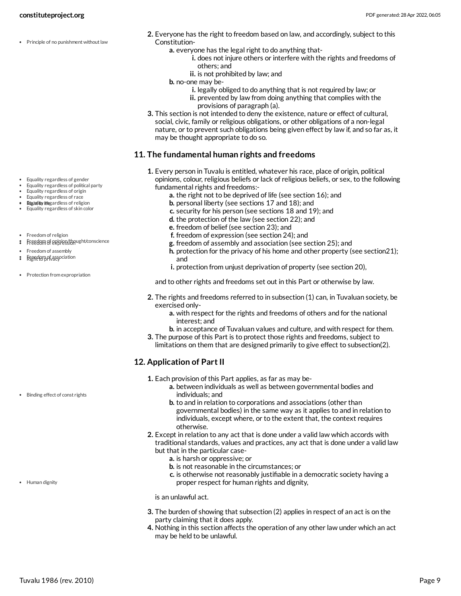• Principle of no punishment without law

- **2.** Everyone has the right to freedom based on law, and accordingly, subject to this Constitution
	- **a.** everyone has the legal right to do anything that
		- **i.** does not injure others or interfere with the rights and freedoms of others; and
		- **ii.** is not prohibited by law; and
	- **b.** no-one may be
		- **i.** legally obliged to do anything that is not required by law; or **ii.** prevented by law from doing anything that complies with the provisions of paragraph (a).
- **3.** This section is not intended to deny the existence, nature or effect of cultural, social, civic, family or religious obligations, or other obligations of a non-legal nature, or to prevent such obligations being given effect by law if, and so far as, it may be thought appropriate to do so.

### **11. The fundamental human rights and freedoms**

- **1.** Every person in Tuvalu is entitled, whatever his race, place of origin, political opinions, colour, religious beliefs or lack of religious beliefs, or sex, to the following fundamental rights and freedoms:
	- **a.** the right not to be deprived of life (see section 16); and
	- **b.** personal liberty (see sections 17 and 18); and
	- **c.** security for his person (see sections 18 and 19); and
	- **d.** the protection of the law (see section 22); and
	- **e.** freedom of belief (see section 23); and
	- **f.** freedom of expression (see section 24); and
	- **g.** freedom of assembly and association (see section 25); and
	- **h.** protection for the privacy of his home and other property (see section21); and
	- **i.** protection from unjust deprivation of property (see section 20),

and to other rights and freedoms set out in this Part or otherwise by law.

- **2.** The rights and freedoms referred to in subsection (1) can, in Tuvaluan society, be exercised only
	- **a.** with respect for the rights and freedoms of others and for the national interest; and
	- **b.** in acceptance of Tuvaluan values and culture, and with respect for them.
- **3.** The purpose of this Part is to protect those rights and freedoms, subject to
- limitations on them that are designed primarily to give effect to subsection(2).

### **12. Application of PartII**

- **1.** Each provision of this Part applies, as far as may be
	- **a.** between individuals as well as between governmental bodies and individuals; and
	- **b.** to and in relation to corporations and associations (other than governmental bodies) in the same way as it applies to and in relation to individuals, except where, or to the extent that, the context requires otherwise.
- **2.** Except in relation to any act that is done under a valid law which accords with traditional standards, values and practices, any act that is done under a valid law but that in the particular case
	- **a.** is harsh or oppressive; or
	- **b.** is not reasonable in the circumstances; or
	- **c.** is otherwise not reasonably justifiable in a democratic society having a proper respect for human rights and dignity,

is an unlawful act.

- **3.** The burden of showing that subsection (2) applies in respect of an act is on the party claiming that it does apply.
- **4.** Nothing in this section affects the operation of any other law under which an act may be held to be unlawful.

Equality regardless of gender Equality regardless of political party

- Equality regardless of origin
- Equality regardless of race
- Rightlity lifegardless of religion
- Equality regardless of skin color
- Freedom of religion
- Freedom of opinion/thought/conscience Freedom of expression
- Freedom of assembly
- **Rightlan** of association
- Protection from expropriation

Binding effect of const rights

• Human dignity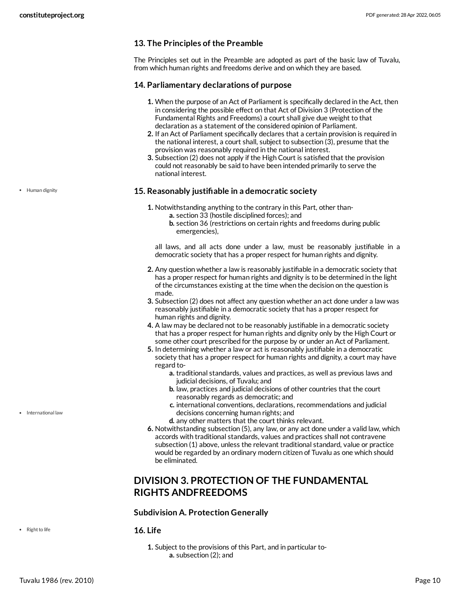• Human dignity

### **13. The Principles of the Preamble**

The Principles set out in the Preamble are adopted as part of the basic law of Tuvalu, from which human rights and freedoms derive and on which they are based.

### **14. Parliamentary declarations of purpose**

- **1.** When the purpose of an Act of Parliament is specifically declared in the Act, then in considering the possible effect on that Act of Division 3 (Protection of the Fundamental Rights and Freedoms) a court shall give due weight to that declaration as a statement of the considered opinion of Parliament.
- **2.** If an Act of Parliament specifically declares that a certain provision is required in the national interest, a court shall, subject to subsection (3), presume that the provision was reasonably required in the national interest.
- **3.** Subsection (2) does not apply if the High Court is satisfied that the provision could not reasonably be said to have been intended primarily to serve the national interest.

### **15. Reasonably justifiable in a democratic society**

- **1.** Notwithstanding anything to the contrary in this Part, other than
	- **a.** section 33 (hostile disciplined forces); and
	- **b.** section 36 (restrictions on certain rights and freedoms during public emergencies),

all laws, and all acts done under a law, must be reasonably justifiable in a democratic society that has a proper respect for human rights and dignity.

- **2.** Any question whether a law is reasonably justifiable in a democratic society that has a proper respect for human rights and dignity is to be determined in the light of the circumstances existing at the time when the decision on the question is made.
- **3.** Subsection (2) does not affect any question whether an act done under a law was reasonably justifiable in a democratic society that has a proper respect for human rights and dignity.
- **4.** A law may be declared not to be reasonably justifiable in a democratic society that has a proper respect for human rights and dignity only by the High Court or some other court prescribed for the purpose by or under an Act of Parliament.
- **5.** In determining whether a law or act is reasonably justifiable in a democratic society that has a proper respect for human rights and dignity, a court may have regard to
	- **a.** traditional standards, values and practices, as well as previous laws and judicial decisions, of Tuvalu; and
	- **b.** law, practices and judicial decisions of other countries that the court reasonably regards as democratic; and
	- **c.** international conventions, declarations, recommendations and judicial decisions concerning human rights; and
	- **d.** any other matters that the court thinks relevant.
- **6.** Notwithstanding subsection (5), any law, or any act done under a valid law, which accords with traditional standards, values and practices shall not contravene subsection (1) above, unless the relevant traditional standard, value or practice would be regarded by an ordinary modern citizen of Tuvalu as one which should be eliminated.

### <span id="page-9-0"></span>**DIVISION 3. PROTECTION OF THE FUNDAMENTAL RIGHTS ANDFREEDOMS**

### **Subdivision A. Protection Generally**

• Right to life

• International law

**16. Life**

**1.** Subject to the provisions of this Part, and in particular to**a.** subsection (2); and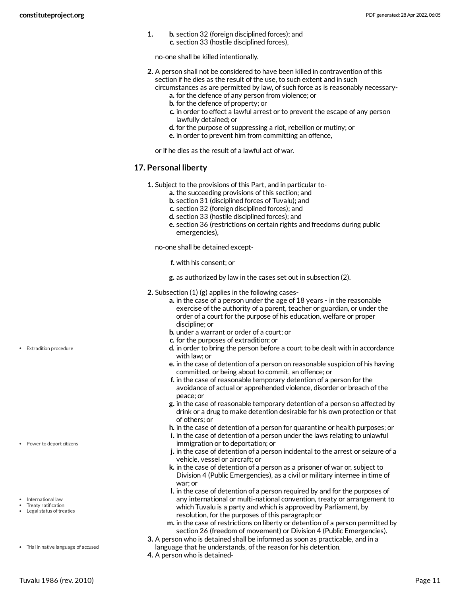**1. b.** section 32 (foreign disciplined forces); and **c.** section 33 (hostile disciplined forces),

no-one shall be killed intentionally.

**2.** A person shall not be considered to have been killed in contravention of this section if he dies as the result of the use, to such extent and in such

circumstances as are permitted by law, of such force as is reasonably necessary**a.** for the defence of any person from violence; or

- **b.** for the defence of property; or
- **c.** in order to effect a lawful arrest or to prevent the escape of any person lawfully detained; or
- **d.** for the purpose of suppressing a riot, rebellion or mutiny; or
- **e.** in order to prevent him from committing an offence,

or if he dies as the result of a lawful act of war.

### **17. Personal liberty**

- **1.** Subject to the provisions of this Part, and in particular to
	- **a.** the succeeding provisions of this section; and
	- **b.** section 31 (disciplined forces of Tuvalu); and
	- **c.** section 32 (foreign disciplined forces); and
	- **d.** section 33 (hostile disciplined forces); and
	- **e.** section 36 (restrictions on certain rights and freedoms during public emergencies),

no-one shall be detained except-

**f.** with his consent; or

**g.** as authorized by law in the cases set out in subsection (2).

- **2.** Subsection (1) (g) applies in the following cases
	- **a.** in the case of a person under the age of 18 years in the reasonable exercise of the authority of a parent, teacher or guardian, or under the order of a court for the purpose of his education, welfare or proper discipline; or
	- **b.** under a warrant or order of a court; or
	- **c.** for the purposes of extradition; or
	- **d.** in order to bring the person before a court to be dealt with in accordance with law; or
	- **e.** in the case of detention of a person on reasonable suspicion of his having committed, or being about to commit, an offence; or
	- **f.** in the case of reasonable temporary detention of a person for the avoidance of actual or apprehended violence, disorder or breach of the peace; or
	- **g.** in the case of reasonable temporary detention of a person so affected by drink or a drug to make detention desirable for his own protection or that of others; or
	- **h.** in the case of detention of a person for quarantine or health purposes; or
	- **i.** in the case of detention of a person under the laws relating to unlawful immigration or to deportation; or
	- **j.** in the case of detention of a person incidental to the arrest or seizure of a vehicle, vessel or aircraft; or
	- **k.** in the case of detention of a person as a prisoner of war or, subject to Division 4 (Public Emergencies), as a civil or military internee in time of war; or
	- **l.** in the case of detention of a person required by and for the purposes of any international or multi-national convention, treaty or arrangement to which Tuvalu is a party and which is approved by Parliament, by resolution, for the purposes of this paragraph; or
	- **m.** in the case of restrictions on liberty or detention of a person permitted by section 26 (freedom of movement) or Division 4 (Public Emergencies).
- **3.** A person who is detained shall be informed as soon as practicable, and in a
- language that he understands, of the reason for his detention.
- **4.** A person who is detained-

Extradition procedure

- Power to deport citizens
- International law Treaty ratification
- Legal status of treaties
- Trial in native language of accused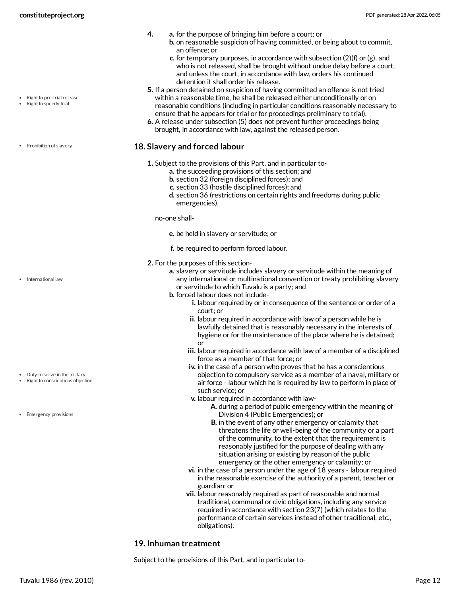- **4. a.** for the purpose of bringing him before a court; or
	- **b.** on reasonable suspicion of having committed, or being about to commit, an offence; or
	- **c.** for temporary purposes, in accordance with subsection (2)(f) or (g), and who is not released, shall be brought without undue delay before a court, and unless the court, in accordance with law, orders his continued detention it shall order his release.
- **5.** If a person detained on suspicion of having committed an offence is not tried within a reasonable time, he shall be released either unconditionally or on reasonable conditions (including in particular conditions reasonably necessary to ensure that he appears for trial or for proceedings preliminary to trial).
- **6.** A release under subsection (5) does not prevent further proceedings being brought, in accordance with law, against the released person.

### **18. Slavery and forced labour**

- **1.** Subject to the provisions of this Part, and in particular to
	- **a.** the succeeding provisions of this section; and
	- **b.** section 32 (foreign disciplined forces); and
	- **c.** section 33 (hostile disciplined forces); and
	- **d.** section 36 (restrictions on certain rights and freedoms during public emergencies),

no-one shall-

- **e.** be held in slavery or servitude; or
- **f.** be required to perform forced labour.
- **2.** For the purposes of this section
	- **a.** slavery or servitude includes slavery or servitude within the meaning of any international or multinational convention or treaty prohibiting slavery or servitude to which Tuvalu is a party; and
	- **b.** forced labour does not include
		- **i.** labour required by or in consequence of the sentence or order of a court; or
		- **ii.** labour required in accordance with law of a person while he is lawfully detained that is reasonably necessary in the interests of hygiene or for the maintenance of the place where he is detained; or
		- **iii.** labour required in accordance with law of a member of a disciplined force as a member of that force; or
		- **iv.** in the case of a person who proves that he has a conscientious objection to compulsory service as a member of a naval, military or air force - labour which he is required by law to perform in place of such service; or
		- **v.** labour required in accordance with law-
			- **A.** during a period of public emergency within the meaning of Division 4 (Public Emergencies); or
			- **B.** in the event of any other emergency or calamity that threatens the life or well-being of the community or a part of the community, to the extent that the requirement is reasonably justified for the purpose of dealing with any situation arising or existing by reason of the public emergency or the other emergency or calamity; or
		- **vi.** in the case of a person under the age of 18 years labour required in the reasonable exercise of the authority of a parent, teacher or guardian; or
		- **vii.** labour reasonably required as part of reasonable and normal traditional, communal or civic obligations, including any service required in accordance with section 23(7) (which relates to the performance of certain services instead of other traditional, etc., obligations).

### **19. Inhuman treatment**

Subject to the provisions of this Part, and in particular to-

#### Right to pre-trial release

- Right to speedy trial
- Prohibition of slavery

• International law

- Duty to serve in the military Right to conscientious objection
- Emergency provisions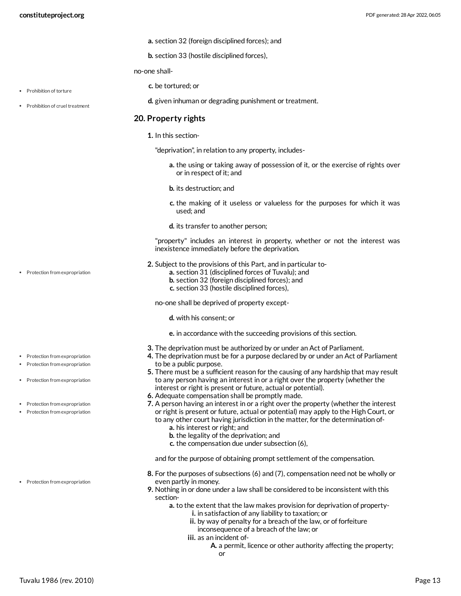- **a.** section 32 (foreign disciplined forces); and
- **b.** section 33 (hostile disciplined forces),

#### no-one shall-

- Prohibition of torture
- Prohibition of cruel treatment

**d.** given inhuman or degrading punishment or treatment.

#### **20. Property rights**

**c.** be tortured; or

**1.** In this section-

"deprivation", in relation to any property, includes-

- **a.** the using or taking away of possession of it, or the exercise of rights over or in respect of it; and
- **b.** its destruction; and
- **c.** the making of it useless or valueless for the purposes for which it was used; and
- **d.** its transfer to another person;

"property" includes an interest in property, whether or not the interest was inexistence immediately before the deprivation.

- **2.** Subject to the provisions of this Part, and in particular to
	- **a.** section 31 (disciplined forces of Tuvalu); and
	- **b.** section 32 (foreign disciplined forces); and
	- **c.** section 33 (hostile disciplined forces),

no-one shall be deprived of property except-

**d.** with his consent; or

- **e.** in accordance with the succeeding provisions of this section.
- **3.** The deprivation must be authorized by or under an Act of Parliament.
- **4.** The deprivation must be for a purpose declared by or under an Act of Parliament to be a public purpose.
- **5.** There must be a sufficient reason for the causing of any hardship that may result to any person having an interest in or a right over the property (whether the interest or right is present or future, actual or potential).
- **6.** Adequate compensation shall be promptly made.
- **7.** A person having an interest in or a right over the property (whether the interest or right is present or future, actual or potential) may apply to the High Court, or to any other court having jurisdiction in the matter, for the determination of
	- **a.** his interest or right; and
	- **b.** the legality of the deprivation; and
	- **c.** the compensation due under subsection (6),

and for the purpose of obtaining prompt settlement of the compensation.

- **8.** For the purposes of subsections (6) and (7), compensation need not be wholly or even partly in money.
- **9.** Nothing in or done under a law shall be considered to be inconsistent with this section
	- **a.** to the extent that the law makes provision for deprivation of property**i.** in satisfaction of any liability to taxation; or
		- **ii.** by way of penalty for a breach of the law, or of forfeiture inconsequence of a breach of the law; or
		- **iii.** as an incident of-
			- **A.** a permit, licence or other authority affecting the property; or

• Protection from expropriation Protection from expropriation

• Protection from expropriation

- Protection from expropriation
- Protection from expropriation
- Protection from expropriation

• Protection from expropriation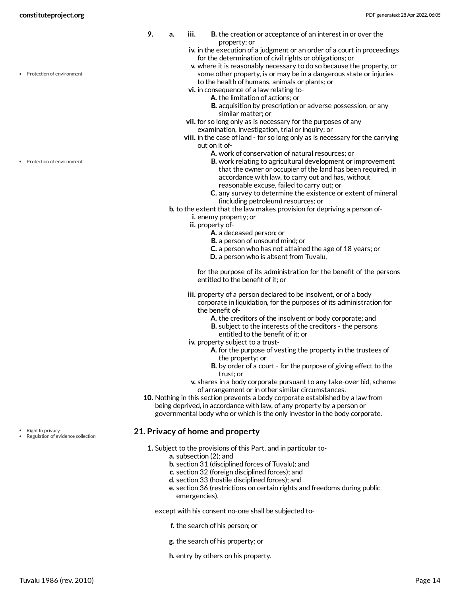Protection of environment

• Protection of environment

- **9. a. iii. B.** the creation or acceptance of an interest in or over the property; or
	- **iv.** in the execution of a judgment or an order of a court in proceedings for the determination of civil rights or obligations; or
	- **v.** where it is reasonably necessary to do so because the property, or some other property, is or may be in a dangerous state or injuries to the health of humans, animals or plants; or
	- **vi.** in consequence of a law relating to-
		- **A.** the limitation of actions; or
		- **B.** acquisition by prescription or adverse possession, or any similar matter; or
	- **vii.** for so long only as is necessary for the purposes of any
	- examination, investigation, trial or inquiry; or **viii.** in the case of land - for so long only as is necessary for the carrying
		- out on it of-
			- **A.** work of conservation of natural resources; or
			- **B.** work relating to agricultural development or improvement that the owner or occupier of the land has been required, in accordance with law, to carry out and has, without reasonable excuse, failed to carry out; or
			- **C.** any survey to determine the existence or extent of mineral (including petroleum) resources; or
	- **b.** to the extent that the law makes provision for depriving a person of
		- **i.** enemy property; or
		- **ii.** property of-
			- **A.** a deceased person; or
			- **B.** a person of unsound mind; or
			- **C.** a person who has not attained the age of 18 years; or
			- **D.** a person who is absent from Tuvalu,

for the purpose of its administration for the benefit of the persons entitled to the benefit of it; or

- **iii.** property of a person declared to be insolvent, or of a body corporate in liquidation, for the purposes of its administration for the benefit of-
	- **A.** the creditors of the insolvent or body corporate; and
	- **B.** subject to the interests of the creditors the persons entitled to the benefit of it; or
- **iv.** property subject to a trust-
	- **A.** for the purpose of vesting the property in the trustees of the property; or
	- **B.** by order of a court for the purpose of giving effect to the trust; or
- **v.** shares in a body corporate pursuant to any take-over bid, scheme of arrangement or in other similar circumstances.
- **10.** Nothing in this section prevents a body corporate established by a law from being deprived, in accordance with law, of any property by a person or governmental body who or which is the only investor in the body corporate.

### **21. Privacy of home and property**

Regulation of evidence collection

• Right to privacy

- **1.** Subject to the provisions of this Part, and in particular to
	- **a.** subsection (2); and
	- **b.** section 31 (disciplined forces of Tuvalu); and
	- **c.** section 32 (foreign disciplined forces); and
	- **d.** section 33 (hostile disciplined forces); and
	- **e.** section 36 (restrictions on certain rights and freedoms during public emergencies),

except with his consent no-one shall be subjected to-

- **f.** the search of his person; or
- **g.** the search of his property; or
- **h.** entry by others on his property.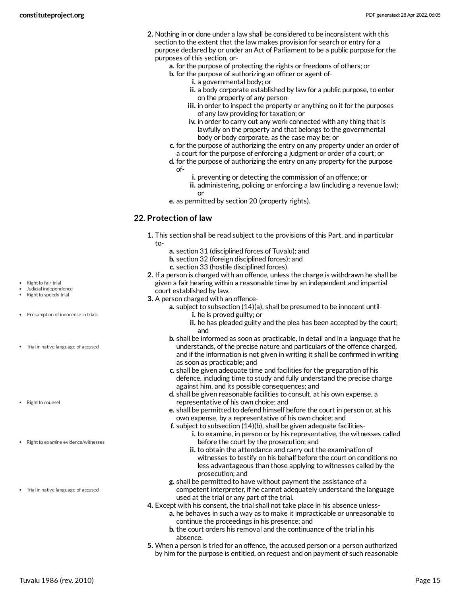- **2.** Nothing in or done under a law shall be considered to be inconsistent with this section to the extent that the law makes provision for search or entry for a purpose declared by or under an Act of Parliament to be a public purpose for the purposes of this section, or
	- **a.** for the purpose of protecting the rights or freedoms of others; or
	- **b.** for the purpose of authorizing an officer or agent of
		- **i.** a governmental body; or
		- **ii.** a body corporate established by law for a public purpose, to enter on the property of any person-
		- **iii.** in order to inspect the property or anything on it for the purposes of any law providing for taxation; or
		- **iv.** in order to carry out any work connected with any thing that is lawfully on the property and that belongs to the governmental body or body corporate, as the case may be; or
	- **c.** for the purpose of authorizing the entry on any property under an order of a court for the purpose of enforcing a judgment or order of a court; or
	- **d.** for the purpose of authorizing the entry on any property for the purpose of
		- **i.** preventing or detecting the commission of an offence; or **ii.** administering, policing or enforcing a law (including a revenue law); or
	- **e.** as permitted by section 20 (property rights).

### **22. Protection of law**

- **1.** This section shall be read subject to the provisions of this Part, and in particular  $t_0$ 
	- **a.** section 31 (disciplined forces of Tuvalu); and
	- **b.** section 32 (foreign disciplined forces); and
	- **c.** section 33 (hostile disciplined forces).
- **2.** If a person is charged with an offence, unless the charge is withdrawn he shall be given a fair hearing within a reasonable time by an independent and impartial court established by law.
- **3.** A person charged with an offence
	- **a.** subject to subsection (14)(a), shall be presumed to be innocent until
		- **i.** he is proved guilty; or **ii.** he has pleaded guilty and the plea has been accepted by the court; and
		- **b.** shall be informed as soon as practicable, in detail and in a language that he understands, of the precise nature and particulars of the offence charged, and if the information is not given in writing it shall be confirmed in writing as soon as practicable; and
		- **c.** shall be given adequate time and facilities for the preparation of his defence, including time to study and fully understand the precise charge against him, and its possible consequences; and
		- **d.** shall be given reasonable facilities to consult, at his own expense, a representative of his own choice; and
		- **e.** shall be permitted to defend himself before the court in person or, at his own expense, by a representative of his own choice; and
		- **f.** subject to subsection (14)(b), shall be given adequate facilities**i.** to examine, in person or by his representative, the witnesses called before the court by the prosecution; and
			- **ii.** to obtain the attendance and carry out the examination of witnesses to testify on his behalf before the court on conditions no less advantageous than those applying to witnesses called by the prosecution; and
		- **g.** shall be permitted to have without payment the assistance of a competent interpreter, if he cannot adequately understand the language used at the trial or any part of the trial.
- **4.** Except with his consent, the trial shall not take place in his absence unless
	- **a.** he behaves in such a way as to make it impracticable or unreasonable to continue the proceedings in his presence; and
	- **b.** the court orders his removal and the continuance of the trial in his absence.
- **5.** When a person is tried for an offence, the accused person or a person authorized by him for the purpose is entitled, on request and on payment of such reasonable
- Right to fair trial
- Judicial independence
- Right to speedy trial
- Presumption of innocence in trials
- Trial in native language of accused
- Right to counsel
- Right to examine evidence/witnesses
- Trial in native language of accused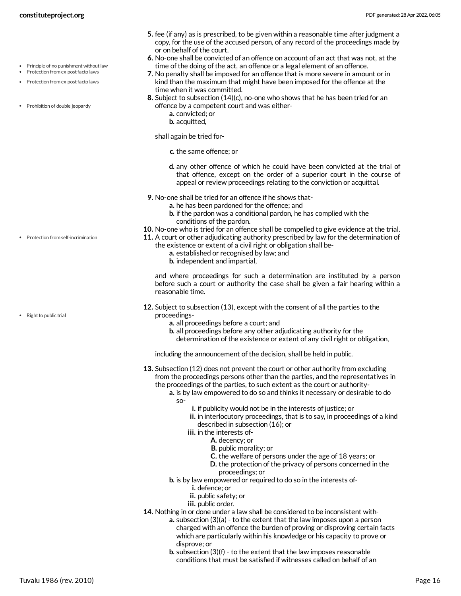$\bullet$  Principle of no punishment without law Protection from ex post facto laws • Protection from ex post facto laws

Prohibition of double jeopardy

- **5.** fee (if any) as is prescribed, to be given within a reasonable time after judgment a copy, for the use of the accused person, of any record of the proceedings made by or on behalf of the court.
- **6.** No-one shall be convicted of an offence on account of an act that was not, at the time of the doing of the act, an offence or a legal element of an offence.
- **7.** No penalty shall be imposed for an offence that is more severe in amount or in kind than the maximum that might have been imposed for the offence at the time when it was committed.
- **8.** Subject to subsection (14)(c), no-one who shows that he has been tried for an offence by a competent court and was either
	- **a.** convicted; or **b.** acquitted,
	- shall again be tried for
		- **c.** the same offence; or
		- **d.** any other offence of which he could have been convicted at the trial of that offence, except on the order of a superior court in the course of appeal or review proceedings relating to the conviction or acquittal.
- **9.** No-one shall be tried for an offence if he shows that
	- **a.** he has been pardoned for the offence; and
	- **b.** if the pardon was a conditional pardon, he has complied with the conditions of the pardon.
- **10.** No-one who is tried for an offence shall be compelled to give evidence at the trial.
- **11.** A court or other adjudicating authority prescribed by law for the determination of
	- the existence or extent of a civil right or obligation shall be
		- **a.** established or recognised by law; and
		- **b.** independent and impartial,

and where proceedings for such a determination are instituted by a person before such a court or authority the case shall be given a fair hearing within a reasonable time.

- **12.** Subject to subsection (13), except with the consent of all the parties to the proceedings
	- **a.** all proceedings before a court; and
	- **b.** all proceedings before any other adjudicating authority for the determination of the existence or extent of any civil right or obligation,

including the announcement of the decision, shall be held in public.

- **13.** Subsection (12) does not prevent the court or other authority from excluding from the proceedings persons other than the parties, and the representatives in the proceedings of the parties, to such extent as the court or authority
	- **a.** is by law empowered to do so and thinks it necessary or desirable to do so
		- **i.** if publicity would not be in the interests of justice; or
		- **ii.** in interlocutory proceedings, that is to say, in proceedings of a kind described in subsection (16); or
		- **iii.** in the interests of-
			- **A.** decency; or
			- **B.** public morality; or
			- **C.** the welfare of persons under the age of 18 years; or
			- **D.** the protection of the privacy of persons concerned in the proceedings; or
	- **b.** is by law empowered or required to do so in the interests of
		- **i.** defence; or
		- **ii.** public safety; or
		- **iii.** public order.
- **14.** Nothing in or done under a law shall be considered to be inconsistent with
	- **a.** subsection (3)(a) to the extent that the law imposes upon a person charged with an offence the burden of proving or disproving certain facts which are particularly within his knowledge or his capacity to prove or disprove; or
	- **b.** subsection (3)(f) to the extent that the law imposes reasonable conditions that must be satisfied if witnesses called on behalf of an

Protection from self-incrimination

• Right to public trial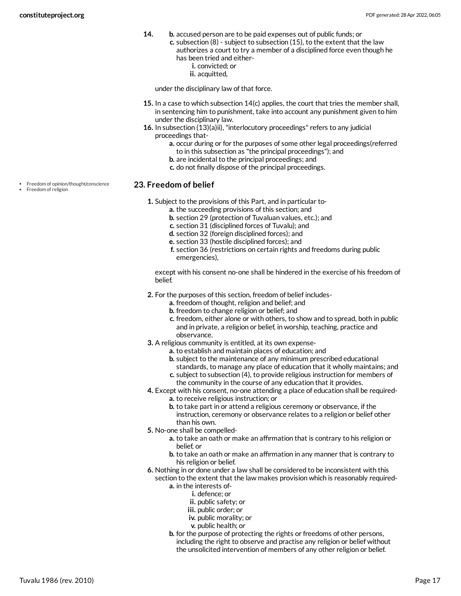- **14. b.** accused person are to be paid expenses out of public funds; or
	- **c.** subsection (8) subject to subsection (15), to the extent that the law authorizes a court to try a member of a disciplined force even though he has been tried and either**i.** convicted; or
		- **ii.** acquitted,

under the disciplinary law of that force.

- **15.** In a case to which subsection 14(c) applies, the court that tries the member shall, in sentencing him to punishment, take into account any punishment given to him under the disciplinary law.
- **16.** In subsection (13)(a)ii), "interlocutory proceedings" refers to any judicial proceedings that
	- **a.** occur during or for the purposes of some other legal proceedings(referred to in this subsection as "the principal proceedings"); and
	- **b.** are incidental to the principal proceedings; and
	- **c.** do not finally dispose of the principal proceedings.
- Freedom of opinion/thought/conscience Freedom of religion

#### **23. Freedom of belief**

**1.** Subject to the provisions of this Part, and in particular to-

- **a.** the succeeding provisions of this section; and
- **b.** section 29 (protection of Tuvaluan values, etc.); and
- **c.** section 31 (disciplined forces of Tuvalu); and
- **d.** section 32 (foreign disciplined forces); and
- **e.** section 33 (hostile disciplined forces); and
- **f.** section 36 (restrictions on certain rights and freedoms during public emergencies),

except with his consent no-one shall be hindered in the exercise of his freedom of belief.

- **2.** For the purposes of this section, freedom of belief includes
	- **a.** freedom of thought, religion and belief; and
	- **b.** freedom to change religion or belief; and
	- **c.** freedom, either alone or with others, to show and to spread, both in public and in private, a religion or belief, in worship, teaching, practice and observance.
- **3.** A religious community is entitled, at its own expense
	- **a.** to establish and maintain places of education; and
	- **b.** subject to the maintenance of any minimum prescribed educational standards, to manage any place of education that it wholly maintains; and
	- **c.** subject to subsection (4), to provide religious instruction for members of the community in the course of any education that it provides.
- **4.** Except with his consent, no-one attending a place of education shall be required
	- **a.** to receive religious instruction; or
	- **b.** to take part in or attend a religious ceremony or observance, if the instruction, ceremony or observance relates to a religion or belief other than his own.
- **5.** No-one shall be compelled
	- **a.** to take an oath or make an affirmation that is contrary to his religion or belief, or
	- **b.** to take an oath or make an affirmation in any manner that is contrary to his religion or belief.
- **6.** Nothing in or done under a law shall be considered to be inconsistent with this
- section to the extent that the law makes provision which is reasonably required**a.** in the interests of
	- **i.** defence; or
		- **ii.** public safety; or
		- **iii.** public order; or
		- **iv.** public morality; or
		- **v.** public health; or
	- **b.** for the purpose of protecting the rights or freedoms of other persons, including the right to observe and practise any religion or belief without the unsolicited intervention of members of any other religion or belief.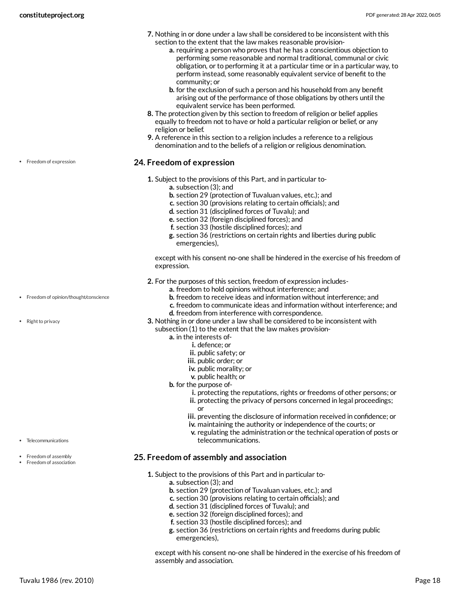• Freedom of expression

- **7.** Nothing in or done under a law shall be considered to be inconsistent with this section to the extent that the law makes reasonable provision
	- **a.** requiring a person who proves that he has a conscientious objection to performing some reasonable and normal traditional, communal or civic obligation, or to performing it at a particular time or in a particular way, to perform instead, some reasonably equivalent service of benefit to the community; or
	- **b.** for the exclusion of such a person and his household from any benefit arising out of the performance of those obligations by others until the equivalent service has been performed.
- **8.** The protection given by this section to freedom of religion or belief applies equally to freedom not to have or hold a particular religion or belief, or any religion or belief.
- **9.** A reference in this section to a religion includes a reference to a religious denomination and to the beliefs of a religion or religious denomination.

### **24. Freedom of expression**

- **1.** Subject to the provisions of this Part, and in particular to
	- **a.** subsection (3); and
	- **b.** section 29 (protection of Tuvaluan values, etc.); and
	- **c.** section 30 (provisions relating to certain officials); and
	- **d.** section 31 (disciplined forces of Tuvalu); and
	- **e.** section 32 (foreign disciplined forces); and
	- **f.** section 33 (hostile disciplined forces); and
	- **g.** section 36 (restrictions on certain rights and liberties during public emergencies),

except with his consent no-one shall be hindered in the exercise of his freedom of expression.

- **2.** For the purposes of this section, freedom of expression includes
	- **a.** freedom to hold opinions without interference; and
	- **b.** freedom to receive ideas and information without interference; and
	- **c.** freedom to communicate ideas and information without interference; and **d.** freedom from interference with correspondence.
- **3.** Nothing in or done under a law shall be considered to be inconsistent with
- subsection (1) to the extent that the law makes provision
	- **a.** in the interests of
		- **i.** defence; or
		- **ii.** public safety; or
		- **iii.** public order; or
		- **iv.** public morality; or
		- **v.** public health; or
	- **b.** for the purpose of
		- **i.** protecting the reputations, rights or freedoms of other persons; or
		- **ii.** protecting the privacy of persons concerned in legal proceedings; or
		- **iii.** preventing the disclosure of information received in confidence; or
		- **iv.** maintaining the authority or independence of the courts; or
		- **v.** regulating the administration or the technical operation of posts or telecommunications.

### **25. Freedom of assembly and association**

- **1.** Subject to the provisions of this Part and in particular to
	- **a.** subsection (3); and
	- **b.** section 29 (protection of Tuvaluan values, etc.); and
	- **c.** section 30 (provisions relating to certain officials); and
	- **d.** section 31 (disciplined forces of Tuvalu); and
	- **e.** section 32 (foreign disciplined forces); and
	- **f.** section 33 (hostile disciplined forces); and
	- **g.** section 36 (restrictions on certain rights and freedoms during public emergencies),

except with his consent no-one shall be hindered in the exercise of his freedom of assembly and association.

- Freedom of opinion/thought/conscience
- Right to privacy

• Telecommunications

• Freedom of assembly • Freedom of association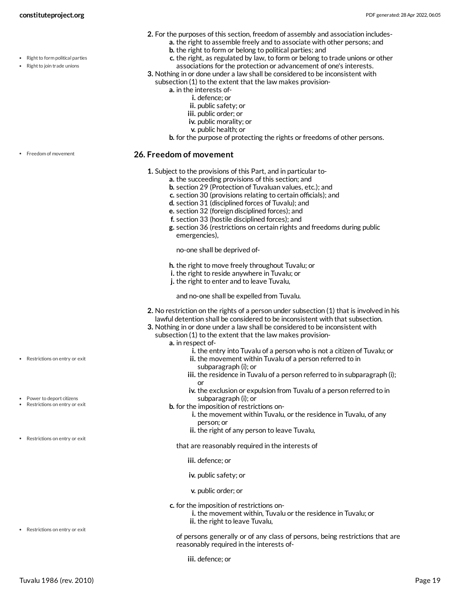• Right to form political parties • Right to join trade unions

- **2.** For the purposes of this section, freedom of assembly and association includes
	- **a.** the right to assemble freely and to associate with other persons; and
	- **b.** the right to form or belong to political parties; and
	- **c.** the right, as regulated by law, to form or belong to trade unions or other associations for the protection or advancement of one's interests.
- **3.** Nothing in or done under a law shall be considered to be inconsistent with subsection (1) to the extent that the law makes provision
	- **a.** in the interests of
		- **i.** defence; or
		- **ii.** public safety; or
		- **iii.** public order; or
		- **iv.** public morality; or
		- **v.** public health; or
	- **b.** for the purpose of protecting the rights or freedoms of other persons.

### **26. Freedom of movement**

- **1.** Subject to the provisions of this Part, and in particular to
	- **a.** the succeeding provisions of this section; and
	- **b.** section 29 (Protection of Tuvaluan values, etc.); and
	- **c.** section 30 (provisions relating to certain officials); and
	- **d.** section 31 (disciplined forces of Tuvalu); and
	- **e.** section 32 (foreign disciplined forces); and
	- **f.** section 33 (hostile disciplined forces); and
	- **g.** section 36 (restrictions on certain rights and freedoms during public emergencies),

no-one shall be deprived of-

- **h.** the right to move freely throughout Tuvalu; or
- **i.** the right to reside anywhere in Tuvalu; or
- **j.** the right to enter and to leave Tuvalu,

and no-one shall be expelled from Tuvalu.

- **2.** No restriction on the rights of a person under subsection (1) that is involved in his lawful detention shall be considered to be inconsistent with that subsection.
- **3.** Nothing in or done under a law shall be considered to be inconsistent with subsection (1) to the extent that the law makes provision
	- **a.** in respect of
		- **i.** the entry into Tuvalu of a person who is not a citizen of Tuvalu; or
		- **ii.** the movement within Tuvalu of a person referred to in subparagraph (i); or
		- **iii.** the residence in Tuvalu of a person referred to in subparagraph (i); or
		- **iv.** the exclusion or expulsion from Tuvalu of a person referred to in subparagraph (i); or
	- **b.** for the imposition of restrictions on
		- **i.** the movement within Tuvalu, or the residence in Tuvalu, of any person; or
		- **ii.** the right of any person to leave Tuvalu,

that are reasonably required in the interests of

**iii.** defence; or

**iv.** public safety; or

**v.** public order; or

- **c.** for the imposition of restrictions on
	- **i.** the movement within, Tuvalu or the residence in Tuvalu; or
	- **ii.** the right to leave Tuvalu,

of persons generally or of any class of persons, being restrictions that are reasonably required in the interests of-

**iii.** defence; or

• Freedom of movement

- Restrictions on entry or exit
- Power to deport citizens
- Restrictions on entry or exit
- Restrictions on entry or exit

Restrictions on entry or exit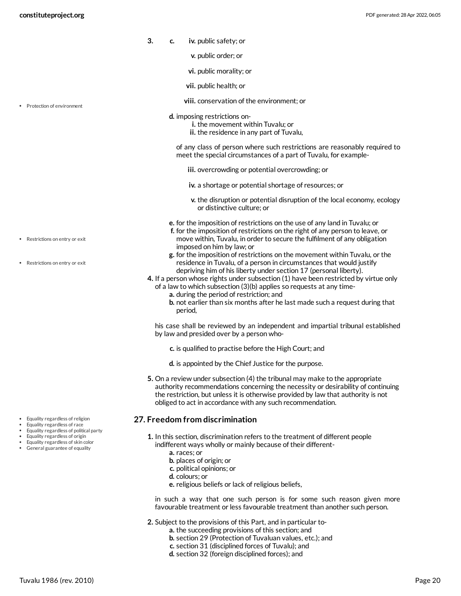- **3. c. iv.** public safety; or
	- **v.** public order; or

**vi.** public morality; or

**vii.** public health; or

- **viii.** conservation of the environment; or
- **d.** imposing restrictions on
	- **i.** the movement within Tuvalu; or
	- **ii.** the residence in any part of Tuvalu,
	- of any class of person where such restrictions are reasonably required to meet the special circumstances of a part of Tuvalu, for example
		- **iii.** overcrowding or potential overcrowding; or
		- **iv.** a shortage or potential shortage of resources; or
		- **v.** the disruption or potential disruption of the local economy, ecology or distinctive culture; or
- **e.** for the imposition of restrictions on the use of any land in Tuvalu; or
- **f.** for the imposition of restrictions on the right of any person to leave, or move within, Tuvalu, in order to secure the fulfilment of any obligation imposed on him by law; or
- **g.** for the imposition of restrictions on the movement within Tuvalu, or the residence in Tuvalu, of a person in circumstances that would justify depriving him of his liberty under section 17 (personal liberty).
- **4.** If a person whose rights under subsection (1) have been restricted by virtue only of a law to which subsection (3)(b) applies so requests at any time
	- **a.** during the period of restriction; and
	- **b.** not earlier than six months after he last made such a request during that period,

his case shall be reviewed by an independent and impartial tribunal established by law and presided over by a person who-

- **c.** is qualified to practise before the High Court; and
- **d.** is appointed by the Chief Justice for the purpose.
- **5.** On a review under subsection (4) the tribunal may make to the appropriate authority recommendations concerning the necessity or desirability of continuing the restriction, but unless it is otherwise provided by law that authority is not obliged to act in accordance with any such recommendation.

### **27. Freedom from discrimination**

- **1.** In this section, discrimination refers to the treatment of different people indifferent ways wholly or mainly because of their different
	- **a.** races; or
	- **b.** places of origin; or
	- **c.** political opinions; or
	- **d.** colours; or
	- **e.** religious beliefs or lack of religious beliefs,

in such a way that one such person is for some such reason given more favourable treatment or less favourable treatment than another such person.

#### **2.** Subject to the provisions of this Part, and in particular to-

- **a.** the succeeding provisions of this section; and
- **b.** section 29 (Protection of Tuvaluan values, etc.); and
- **c.** section 31 (disciplined forces of Tuvalu); and
- **d.** section 32 (foreign disciplined forces); and

Protection of environment

- Restrictions on entry or exit
- Restrictions on entry or exit

- Equality regardless of religion
- Equality regardless of race
- Equality regardless of political party
- Equality regardless of origin Equality regardless of skin color
- General guarantee of equality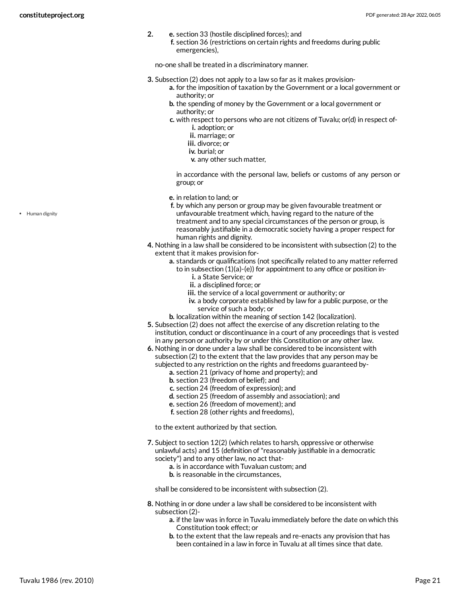- **2. e.** section 33 (hostile disciplined forces); and
	- **f.** section 36 (restrictions on certain rights and freedoms during public emergencies),

no-one shall be treated in a discriminatory manner.

- **3.** Subsection (2) does not apply to a law so far as it makes provision
	- **a.** for the imposition of taxation by the Government or a local government or authority; or
	- **b.** the spending of money by the Government or a local government or authority; or
	- **c.** with respect to persons who are not citizens of Tuvalu; or(d) in respect of**i.** adoption; or
		- **ii.** marriage; or
		- **iii.** divorce; or
		- **iv.** burial; or
		- **v.** any other such matter,

in accordance with the personal law, beliefs or customs of any person or group; or

- **e.** in relation to land; or
- **f.** by which any person or group may be given favourable treatment or unfavourable treatment which, having regard to the nature of the treatment and to any special circumstances of the person or group, is reasonably justifiable in a democratic society having a proper respect for human rights and dignity.
- **4.** Nothing in a law shall be considered to be inconsistent with subsection (2) to the extent that it makes provision for
	- **a.** standards or qualifications (not specifically related to any matter referred to in subsection (1)(a)-(e)) for appointment to any office or position in
		- **i.** a State Service; or
		- **ii.** a disciplined force; or
		- **iii.** the service of a local government or authority; or
		- **iv.** a body corporate established by law for a public purpose, or the service of such a body; or
	- **b.** localization within the meaning of section 142 (localization).
- **5.** Subsection (2) does not affect the exercise of any discretion relating to the institution, conduct or discontinuance in a court of any proceedings that is vested in any person or authority by or under this Constitution or any other law.
- **6.** Nothing in or done under a law shall be considered to be inconsistent with subsection (2) to the extent that the law provides that any person may be subjected to any restriction on the rights and freedoms guaranteed by
	- **a.** section 21 (privacy of home and property); and
	- **b.** section 23 (freedom of belief); and
	- **c.** section 24 (freedom of expression); and
	- **d.** section 25 (freedom of assembly and association); and
	- **e.** section 26 (freedom of movement); and
	- **f.** section 28 (other rights and freedoms),

to the extent authorized by that section.

- **7.** Subject to section 12(2) (which relates to harsh, oppressive or otherwise unlawful acts) and 15 (definition of"reasonably justifiable in a democratic society") and to any other law, no act that
	- **a.** is in accordance with Tuvaluan custom; and
	- **b.** is reasonable in the circumstances,

shall be considered to be inconsistent with subsection (2).

- **8.** Nothing in or done under a law shall be considered to be inconsistent with subsection (2)
	- **a.** if the law was in force in Tuvalu immediately before the date on which this Constitution took effect; or
	- **b.** to the extent that the law repeals and re-enacts any provision that has been contained in a law in force in Tuvalu at all times since that date.

• Human dignity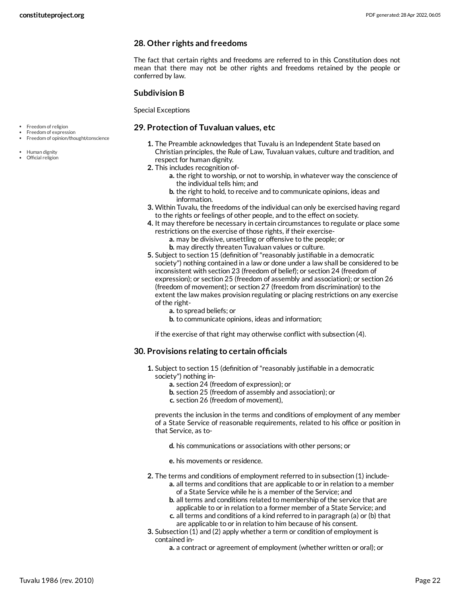### **28. Other rights and freedoms**

The fact that certain rights and freedoms are referred to in this Constitution does not mean that there may not be other rights and freedoms retained by the people or conferred by law.

### **Subdivision B**

Special Exceptions

### **29. Protection of Tuvaluan values, etc**

• Freedom of religion Freedom of expression

• Human dignity Official religion

- Freedom of opinion/thought/conscience
- **1.** The Preamble acknowledges that Tuvalu is an Independent State based on Christian principles, the Rule of Law, Tuvaluan values, culture and tradition, and respect for human dignity.
- **2.** This includes recognition of
	- **a.** the right to worship, or not to worship, in whatever way the conscience of the individual tells him; and
	- **b.** the right to hold, to receive and to communicate opinions, ideas and information.
- **3.** Within Tuvalu, the freedoms of the individual can only be exercised having regard to the rights or feelings of other people, and to the effect on society.
- **4.** It may therefore be necessary in certain circumstances to regulate or place some restrictions on the exercise of those rights, if their exercise
	- **a.** may be divisive, unsettling or offensive to the people; or
	- **b.** may directly threaten Tuvaluan values or culture.
- **5.** Subject to section 15 (definition of"reasonably justifiable in a democratic society") nothing contained in a law or done under a law shall be considered to be inconsistent with section 23 (freedom of belief); or section 24 (freedom of expression); or section 25 (freedom of assembly and association); or section 26 (freedom of movement); or section 27 (freedom from discrimination) to the extent the law makes provision regulating or placing restrictions on any exercise of the right
	- **a.** to spread beliefs; or
	- **b.** to communicate opinions, ideas and information;

if the exercise of that right may otherwise conflict with subsection (4).

### **30. Provisions relating to certain officials**

- **1.** Subject to section 15 (definition of"reasonably justifiable in a democratic society") nothing in
	- **a.** section 24 (freedom of expression); or
	- **b.** section 25 (freedom of assembly and association); or
	- **c.** section 26 (freedom of movement),

prevents the inclusion in the terms and conditions of employment of any member of a State Service of reasonable requirements, related to his office or position in that Service, as to-

- **d.** his communications or associations with other persons; or
- **e.** his movements or residence.
- **2.** The terms and conditions of employment referred to in subsection (1) include
	- **a.** all terms and conditions that are applicable to or in relation to a member of a State Service while he is a member of the Service; and
	- **b.** all terms and conditions related to membership of the service that are applicable to or in relation to a former member of a State Service; and
	- **c.** all terms and conditions of a kind referred to in paragraph (a) or (b) that are applicable to or in relation to him because of his consent.
- **3.** Subsection (1) and (2) apply whether a term or condition of employment is contained in
	- **a.** a contract or agreement of employment (whether written or oral); or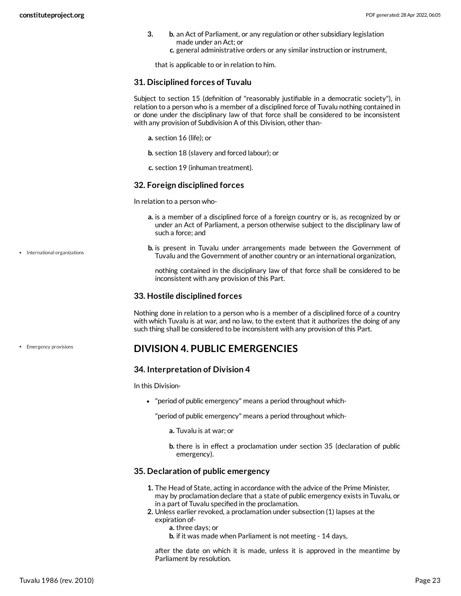- **3. b.** an Act of Parliament, or any regulation or other subsidiary legislation made under an Act; or
	- **c.** general administrative orders or any similar instruction or instrument,

that is applicable to or in relation to him.

### **31. Disciplined forces of Tuvalu**

Subject to section 15 (definition of "reasonably justifiable in a democratic society"), in relation to a person who is a member of a disciplined force of Tuvalu nothing contained in or done under the disciplinary law of that force shall be considered to be inconsistent with any provision of Subdivision A of this Division, other than-

**a.** section 16 (life); or

**b.** section 18 (slavery and forced labour); or

**c.** section 19 (inhuman treatment).

### **32. Foreign disciplined forces**

In relation to a person who-

- **a.** is a member of a disciplined force of a foreign country or is, as recognized by or under an Act of Parliament, a person otherwise subject to the disciplinary law of such a force; and
- **b.** is present in Tuvalu under arrangements made between the Government of Tuvalu and the Government of another country or an international organization,

nothing contained in the disciplinary law of that force shall be considered to be inconsistent with any provision of this Part.

### **33. Hostile disciplined forces**

Nothing done in relation to a person who is a member of a disciplined force of a country with which Tuvalu is at war, and no law, to the extent that it authorizes the doing of any such thing shall be considered to be inconsistent with any provision of this Part.

• Emergency provisions

• International organizations

### <span id="page-22-0"></span>**DIVISION 4. PUBLIC EMERGENCIES**

### **34. Interpretation of Division 4**

In this Division-

"period of public emergency" means a period throughout which-

"period of public emergency" means a period throughout which-

- **a.** Tuvalu is at war; or
- **b.** there is in effect a proclamation under section 35 (declaration of public emergency).

### **35. Declaration of public emergency**

- **1.** The Head of State, acting in accordance with the advice of the Prime Minister, may by proclamation declare that a state of public emergency exists in Tuvalu, or in a part of Tuvalu specified in the proclamation.
- **2.** Unless earlier revoked, a proclamation under subsection (1) lapses at the expiration of
	- **a.** three days; or
	- **b.** if it was made when Parliament is not meeting 14 days,

after the date on which it is made, unless it is approved in the meantime by Parliament by resolution.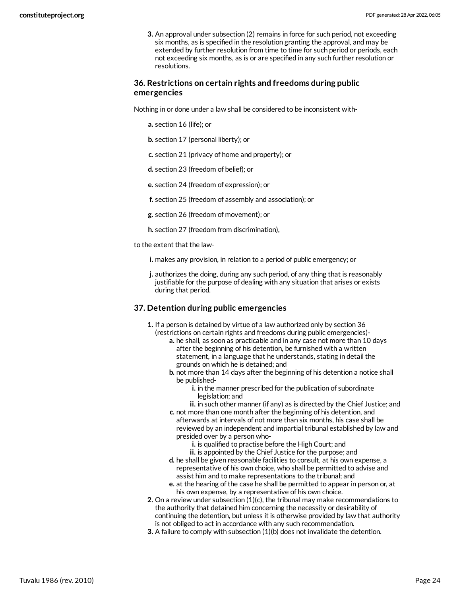**3.** An approval under subsection (2) remains in force for such period, not exceeding six months, as is specified in the resolution granting the approval, and may be extended by further resolution from time to time for such period or periods, each not exceeding six months, as is or are specified in any such further resolution or resolutions.

### **36. Restrictions on certain rights and freedoms during public emergencies**

Nothing in or done under a law shall be considered to be inconsistent with-

**a.** section 16 (life); or

- **b.** section 17 (personal liberty); or
- **c.** section 21 (privacy of home and property); or
- **d.** section 23 (freedom of belief); or
- **e.** section 24 (freedom of expression); or
- **f.** section 25 (freedom of assembly and association); or
- **g.** section 26 (freedom of movement); or
- **h.** section 27 (freedom from discrimination),

to the extent that the law-

- **i.** makes any provision, in relation to a period of public emergency; or
- **j.** authorizes the doing, during any such period, of any thing that is reasonably justifiable for the purpose of dealing with any situation that arises or exists during that period.

### **37. Detention during public emergencies**

- **1.** If a person is detained by virtue of a law authorized only by section 36 (restrictions on certain rights and freedoms during public emergencies)
	- **a.** he shall, as soon as practicable and in any case not more than 10 days after the beginning of his detention, be furnished with a written statement, in a language that he understands, stating in detail the grounds on which he is detained; and
	- **b.** not more than 14 days after the beginning of his detention a notice shall be published
		- **i.** in the manner prescribed for the publication of subordinate legislation; and
		- **ii.** in such other manner (if any) as is directed by the Chief Justice; and
	- **c.** not more than one month after the beginning of his detention, and afterwards at intervals of not more than six months, his case shall be reviewed by an independent and impartial tribunal established by law and presided over by a person who
		- **i.** is qualified to practise before the High Court; and
		- **ii.** is appointed by the Chief Justice for the purpose; and
	- **d.** he shall be given reasonable facilities to consult, at his own expense, a representative of his own choice, who shall be permitted to advise and assist him and to make representations to the tribunal; and
	- **e.** at the hearing of the case he shall be permitted to appear in person or, at his own expense, by a representative of his own choice.
- **2.** On a review under subsection (1)(c), the tribunal may make recommendations to the authority that detained him concerning the necessity or desirability of continuing the detention, but unless it is otherwise provided by law that authority is not obliged to act in accordance with any such recommendation.
- **3.** A failure to comply with subsection (1)(b) does not invalidate the detention.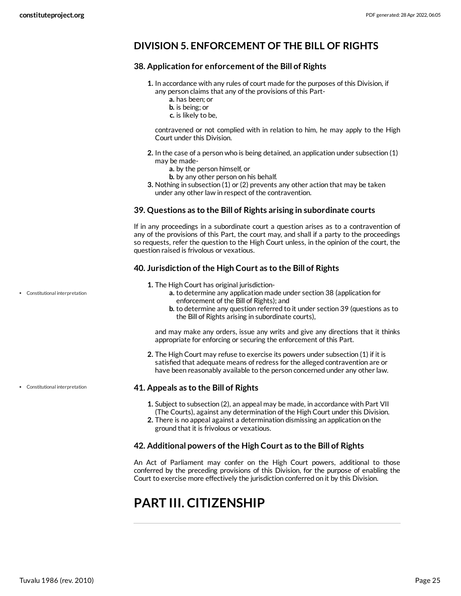### <span id="page-24-0"></span>**DIVISION 5. ENFORCEMENT OF THE BILL OF RIGHTS**

### **38. Application for enforcement of the Bill of Rights**

- **1.** In accordance with any rules of court made for the purposes of this Division, if any person claims that any of the provisions of this Part
	- **a.** has been; or
	- **b.** is being; or
	- **c.** is likely to be,

contravened or not complied with in relation to him, he may apply to the High Court under this Division.

- **2.** In the case of a person who is being detained, an application under subsection (1) may be made
	- **a.** by the person himself, or
	- **b.** by any other person on his behalf.
- **3.** Nothing in subsection (1) or (2) prevents any other action that may be taken under any other law in respect of the contravention.

### **39. Questions as to the Bill of Rights arising in subordinate courts**

If in any proceedings in a subordinate court a question arises as to a contravention of any of the provisions of this Part, the court may, and shall if a party to the proceedings so requests, refer the question to the High Court unless, in the opinion of the court, the question raised is frivolous or vexatious.

### **40. Jurisdiction of the High Court as to the Bill of Rights**

- **1.** The High Court has original jurisdiction
	- **a.** to determine any application made under section 38 (application for enforcement of the Bill of Rights); and
		- **b.** to determine any question referred to it under section 39 (questions as to the Bill of Rights arising in subordinate courts),

and may make any orders, issue any writs and give any directions that it thinks appropriate for enforcing or securing the enforcement of this Part.

**2.** The High Court may refuse to exercise its powers under subsection (1) if it is satisfied that adequate means of redress for the alleged contravention are or have been reasonably available to the person concerned under any other law.

### **41. Appeals as to the Bill of Rights**

- **1.** Subject to subsection (2), an appeal may be made, in accordance with Part VII
- (The Courts), against any determination of the High Court under this Division.
- **2.** There is no appeal against a determination dismissing an application on the ground that it is frivolous or vexatious.

### **42. Additional powers of the High Court as to the Bill of Rights**

An Act of Parliament may confer on the High Court powers, additional to those conferred by the preceding provisions of this Division, for the purpose of enabling the Court to exercise more effectively the jurisdiction conferred on it by this Division.

# <span id="page-24-1"></span>**PART III. CITIZENSHIP**

Constitutional interpretation

Constitutional interpretation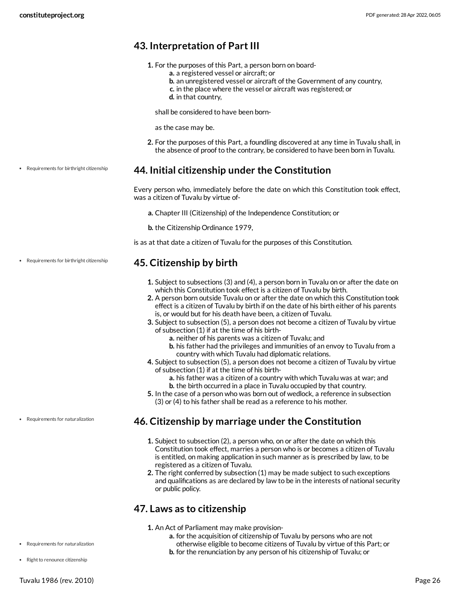### <span id="page-25-0"></span>**43. Interpretation of Part III**

- **1.** For the purposes of this Part, a person born on board
	- **a.** a registered vessel or aircraft; or
	- **b.** an unregistered vessel or aircraft of the Government of any country,
	- **c.** in the place where the vessel or aircraft was registered; or
	- **d.** in that country,

shall be considered to have been born-

as the case may be.

**2.** For the purposes of this Part, a foundling discovered at any time in Tuvalu shall, in the absence of proof to the contrary, be considered to have been born in Tuvalu.

#### Requirements for birthright citizenship

### <span id="page-25-1"></span>**44. Initial citizenship under the Constitution**

Every person who, immediately before the date on which this Constitution took effect, was a citizen of Tuvalu by virtue of-

**a.** Chapter III (Citizenship) of the Independence Constitution; or

**b.** the Citizenship Ordinance 1979,

is as at that date a citizen of Tuvalu for the purposes of this Constitution.

### <span id="page-25-2"></span>**45. Citizenship by birth**

- **1.** Subject to subsections (3) and (4), a person born in Tuvalu on or after the date on which this Constitution took effect is a citizen of Tuvalu by birth.
- **2.** A person born outside Tuvalu on or after the date on which this Constitution took effect is a citizen of Tuvalu by birth if on the date of his birth either of his parents is, or would but for his death have been, a citizen of Tuvalu.
- **3.** Subject to subsection (5), a person does not become a citizen of Tuvalu by virtue of subsection (1) if at the time of his birth
	- **a.** neither of his parents was a citizen of Tuvalu; and
	- **b.** his father had the privileges and immunities of an envoy to Tuvalu from a country with which Tuvalu had diplomatic relations.
- **4.** Subject to subsection (5), a person does not become a citizen of Tuvalu by virtue of subsection (1) if at the time of his birth
	- **a.** his father was a citizen of a country with which Tuvalu was at war; and **b.** the birth occurred in a place in Tuvalu occupied by that country.
- **5.** In the case of a person who was born out of wedlock, a reference in subsection (3) or (4) to his father shall be read as a reference to his mother.

### <span id="page-25-3"></span>**46. Citizenship by marriage under the Constitution**

- **1.** Subject to subsection (2), a person who, on or after the date on which this Constitution took effect, marries a person who is or becomes a citizen of Tuvalu is entitled, on making application in such manner as is prescribed by law, to be registered as a citizen of Tuvalu.
- **2.** The right conferred by subsection (1) may be made subject to such exceptions and qualifications as are declared by law to be in the interests of national security or public policy.

### <span id="page-25-4"></span>**47. Laws as to citizenship**

- **1.** An Act of Parliament may make provision
	- **a.** for the acquisition of citizenship of Tuvalu by persons who are not otherwise eligible to become citizens of Tuvalu by virtue of this Part; or
	- **b.** for the renunciation by any person of his citizenship of Tuvalu; or

Requirements for birthright citizenship

Requirements for naturalization

• Right to renounce citizenship

Requirements for naturalization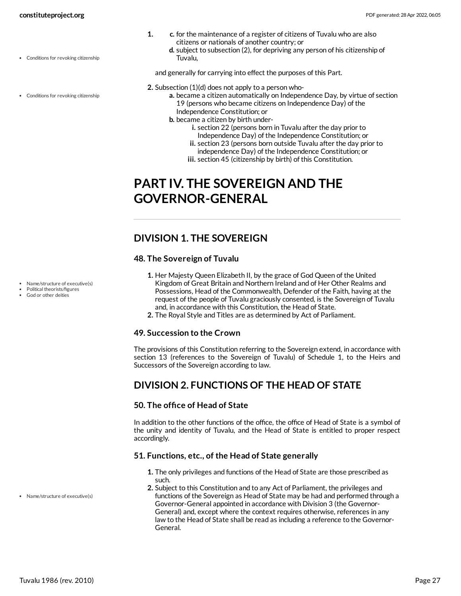- Conditions for revoking citizenship
- Conditions for revoking citizenship
- **1. c.** for the maintenance of a register of citizens of Tuvalu who are also citizens or nationals of another country; or
	- **d.** subject to subsection (2), for depriving any person of his citizenship of Tuvalu,

and generally for carrying into effect the purposes of this Part.

- **2.** Subsection (1)(d) does not apply to a person who
	- **a.** became a citizen automatically on Independence Day, by virtue of section 19 (persons who became citizens on Independence Day) of the Independence Constitution; or
	- **b.** became a citizen by birth under
		- **i.** section 22 (persons born in Tuvalu after the day prior to Independence Day) of the Independence Constitution; or
		- **ii.** section 23 (persons born outside Tuvalu after the day prior to
		- independence Day) of the Independence Constitution; or
		- **iii.** section 45 (citizenship by birth) of this Constitution.

# <span id="page-26-0"></span>**PART IV. THE SOVEREIGN AND THE GOVERNOR-GENERAL**

### <span id="page-26-1"></span>**DIVISION 1. THE SOVEREIGN**

### **48. The Sovereign of Tuvalu**

- **1.** Her Majesty Queen Elizabeth II, by the grace of God Queen of the United Kingdom of Great Britain and Northern Ireland and of Her Other Realms and Possessions, Head of the Commonwealth, Defender of the Faith, having at the request of the people of Tuvalu graciously consented, is the Sovereign of Tuvalu and, in accordance with this Constitution, the Head of State.
- **2.** The Royal Style and Titles are as determined by Act of Parliament.

### **49. Succession to the Crown**

The provisions of this Constitution referring to the Sovereign extend, in accordance with section 13 (references to the Sovereign of Tuvalu) of Schedule 1, to the Heirs and Successors of the Sovereign according to law.

### <span id="page-26-2"></span>**DIVISION 2. FUNCTIONS OF THE HEAD OF STATE**

### **50. The office of Head of State**

In addition to the other functions of the office, the office of Head of State is a symbol of the unity and identity of Tuvalu, and the Head of State is entitled to proper respect accordingly.

### **51. Functions, etc., of the Head of State generally**

- **1.** The only privileges and functions of the Head of State are those prescribed as such.
- **2.** Subject to this Constitution and to any Act of Parliament, the privileges and functions of the Sovereign as Head of State may be had and performed through a Governor-General appointed in accordance with Division 3 (the Governor-General) and, except where the context requires otherwise, references in any law to the Head of State shall be read as including a reference to the Governor-General.

Name/structure of executive(s)

Name/structure of executive(s) Political theorists/figures God or other deities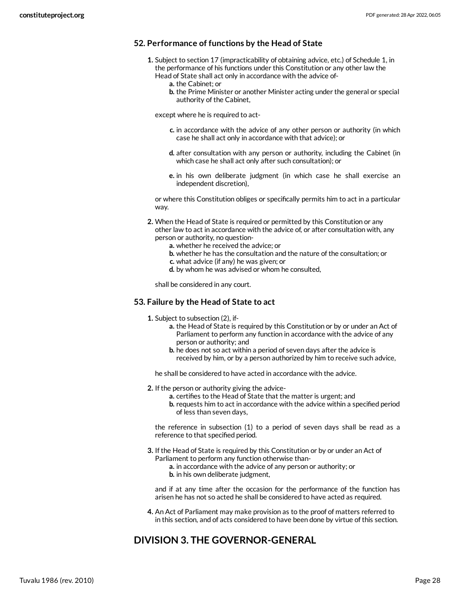### **52. Performance of functions by the Head of State**

- **1.** Subject to section 17 (impracticability of obtaining advice, etc.) of Schedule 1, in the performance of his functions under this Constitution or any other law the Head of State shall act only in accordance with the advice of
	- **a.** the Cabinet; or
	- **b.** the Prime Minister or another Minister acting under the general or special authority of the Cabinet,

except where he is required to act-

- **c.** in accordance with the advice of any other person or authority (in which case he shall act only in accordance with that advice); or
- **d.** after consultation with any person or authority, including the Cabinet (in which case he shall act only after such consultation); or
- **e.** in his own deliberate judgment (in which case he shall exercise an independent discretion),

or where this Constitution obliges or specifically permits him to act in a particular way.

- **2.** When the Head of State is required or permitted by this Constitution or any other law to act in accordance with the advice of, or after consultation with, any person or authority, no question
	- **a.** whether he received the advice; or
		- **b.** whether he has the consultation and the nature of the consultation; or
		- **c.** what advice (if any) he was given; or
		- **d.** by whom he was advised or whom he consulted,

shall be considered in any court.

#### **53. Failure by the Head of State to act**

- **1.** Subject to subsection (2), if
	- **a.** the Head of State is required by this Constitution or by or under an Act of Parliament to perform any function in accordance with the advice of any person or authority; and
	- **b.** he does not so act within a period of seven days after the advice is received by him, or by a person authorized by him to receive such advice,

he shall be considered to have acted in accordance with the advice.

- **2.** If the person or authority giving the advice
	- **a.** certifies to the Head of State that the matter is urgent; and
	- **b.** requests him to act in accordance with the advice within a specified period of less than seven days,

the reference in subsection (1) to a period of seven days shall be read as a reference to that specified period.

**3.** If the Head of State is required by this Constitution or by or under an Act of Parliament to perform any function otherwise than-

**a.** in accordance with the advice of any person or authority; or **b.** in his own deliberate judgment,

and if at any time after the occasion for the performance of the function has arisen he has not so acted he shall be considered to have acted as required.

**4.** An Act of Parliament may make provision as to the proof of matters referred to in this section, and of acts considered to have been done by virtue of this section.

### <span id="page-27-0"></span>**DIVISION 3. THE GOVERNOR-GENERAL**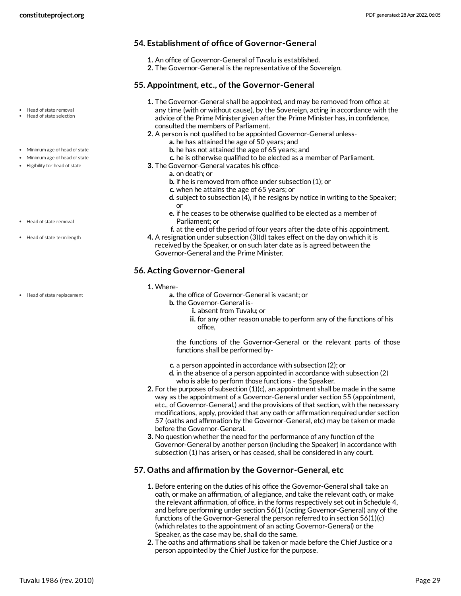### **54. Establishment of office of Governor-General**

- **1.** An office of Governor-General of Tuvalu is established.
- **2.** The Governor-General is the representative of the Sovereign.

### **55. Appointment, etc., of the Governor-General**

- **1.** The Governor-General shall be appointed, and may be removed from office at any time (with or without cause), by the Sovereign, acting in accordance with the advice of the Prime Minister given after the Prime Minister has, in confidence, consulted the members of Parliament.
- **2.** A person is not qualified to be appointed Governor-General unless
	- **a.** he has attained the age of 50 years; and
	- **b.** he has not attained the age of 65 years; and
	- **c.** he is otherwise qualified to be elected as a member of Parliament.
- **3.** The Governor-General vacates his office
	- **a.** on death; or
	- **b.** if he is removed from office under subsection (1); or
	- **c.** when he attains the age of 65 years; or
	- **d.** subject to subsection (4), if he resigns by notice in writing to the Speaker; or
	- **e.** if he ceases to be otherwise qualified to be elected as a member of Parliament; or
	- **f.** at the end of the period of four years after the date of his appointment.
- **4.** A resignation under subsection (3)(d) takes effect on the day on which it is received by the Speaker, or on such later date as is agreed between the Governor-General and the Prime Minister.

### **56. Acting Governor-General**

#### **1.** Where-

- **a.** the office of Governor-General is vacant; or
	- **b.** the Governor-General is
		- **i.** absent from Tuvalu; or
		- **ii.** for any other reason unable to perform any of the functions of his office,

the functions of the Governor-General or the relevant parts of those functions shall be performed by-

- **c.** a person appointed in accordance with subsection (2); or
- **d.** in the absence of a person appointed in accordance with subsection (2) who is able to perform those functions - the Speaker.
- **2.** For the purposes of subsection (1)(c), an appointment shall be made in the same way as the appointment of a Governor-General under section 55 (appointment, etc., of Governor-General,) and the provisions of that section, with the necessary modifications, apply, provided that any oath or affirmation required under section 57 (oaths and affirmation by the Governor-General, etc) may be taken or made before the Governor-General.
- **3.** No question whether the need for the performance of any function of the Governor-General by another person (including the Speaker) in accordance with subsection (1) has arisen, or has ceased, shall be considered in any court.

### **57. Oaths and affirmation by the Governor-General, etc**

- **1.** Before entering on the duties of his office the Governor-General shall take an oath, or make an affirmation, of allegiance, and take the relevant oath, or make the relevant affirmation, of office, in the forms respectively set out in Schedule 4, and before performing under section 56(1) (acting Governor-General) any of the functions of the Governor-General the person referred to in section 56(1)(c) (which relates to the appointment of an acting Governor-General) or the Speaker, as the case may be, shall do the same.
- **2.** The oaths and affirmations shall be taken or made before the Chief Justice or a person appointed by the Chief Justice for the purpose.
- Head of state removal
- Head of state selection
- Minimum age of head of state
- Minimum age of head of state
- Eligibility for head of state
- Head of state removal • Head of state term length
- Head of state replacement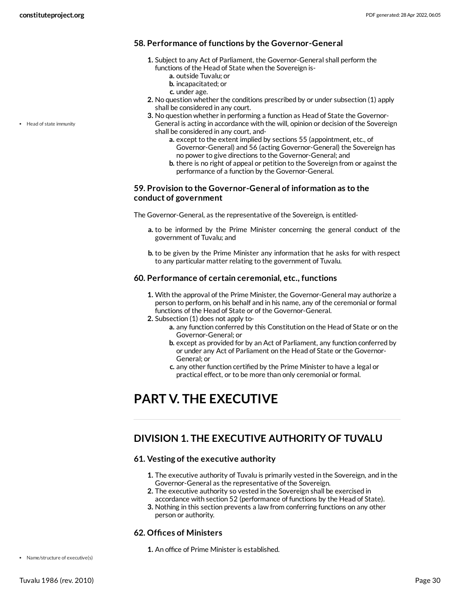### **58. Performance of functions by the Governor-General**

- **1.** Subject to any Act of Parliament, the Governor-General shall perform the functions of the Head of State when the Sovereign is
	- **a.** outside Tuvalu; or
	- **b.** incapacitated; or
	- **c.** under age.
- **2.** No question whether the conditions prescribed by or under subsection (1) apply shall be considered in any court.
- **3.** No question whether in performing a function as Head of State the Governor-General is acting in accordance with the will, opinion or decision of the Sovereign shall be considered in any court, and
	- **a.** except to the extent implied by sections 55 (appointment, etc., of Governor-General) and 56 (acting Governor-General) the Sovereign has no power to give directions to the Governor-General; and
	- **b.** there is no right of appeal or petition to the Sovereign from or against the performance of a function by the Governor-General.

### **59. Provision to the Governor-General of information as to the conduct of government**

The Governor-General, as the representative of the Sovereign, is entitled-

- **a.** to be informed by the Prime Minister concerning the general conduct of the government of Tuvalu; and
- **b.** to be given by the Prime Minister any information that he asks for with respect to any particular matter relating to the government of Tuvalu.

### **60. Performance of certain ceremonial, etc., functions**

- **1.** With the approval of the Prime Minister, the Governor-General may authorize a person to perform, on his behalf and in his name, any of the ceremonial or formal functions of the Head of State or of the Governor-General.
- **2.** Subsection (1) does not apply to
	- **a.** any function conferred by this Constitution on the Head of State or on the Governor-General; or
	- **b.** except as provided for by an Act of Parliament, any function conferred by or under any Act of Parliament on the Head of State or the Governor-General; or
	- **c.** any other function certified by the Prime Minister to have a legal or practical effect, or to be more than only ceremonial or formal.

# <span id="page-29-0"></span>**PART V. THE EXECUTIVE**

### <span id="page-29-1"></span>**DIVISION 1. THE EXECUTIVE AUTHORITY OF TUVALU**

### **61. Vesting of the executive authority**

- **1.** The executive authority of Tuvalu is primarily vested in the Sovereign, and in the Governor-General as the representative of the Sovereign.
- **2.** The executive authority so vested in the Sovereign shall be exercised in accordance with section 52 (performance of functions by the Head of State).
- **3.** Nothing in this section prevents a law from conferring functions on any other person or authority.

### **62. Offices of Ministers**

**1.** An office of Prime Minister is established.

• Head of state immunity

Name/structure of executive(s)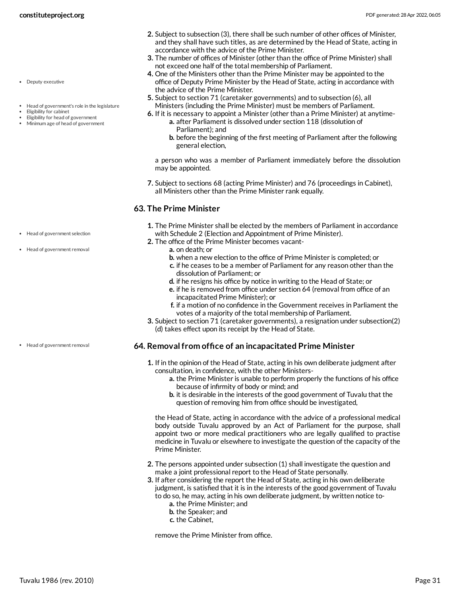- **2.** Subject to subsection (3), there shall be such number of other offices of Minister, and they shall have such titles, as are determined by the Head of State, acting in accordance with the advice of the Prime Minister.
- **3.** The number of offices of Minister (other than the office of Prime Minister) shall not exceed one half of the total membership of Parliament.
- **4.** One of the Ministers other than the Prime Minister may be appointed to the office of Deputy Prime Minister by the Head of State, acting in accordance with the advice of the Prime Minister.
- **5.** Subject to section 71 (caretaker governments) and to subsection (6), all Ministers (including the Prime Minister) must be members of Parliament.
- **6.** If it is necessary to appoint a Minister (other than a Prime Minister) at anytime
	- **a.** after Parliament is dissolved under section 118 (dissolution of Parliament); and
		- **b.** before the beginning of the first meeting of Parliament after the following general election,

a person who was a member of Parliament immediately before the dissolution may be appointed.

**7.** Subject to sections 68 (acting Prime Minister) and 76 (proceedings in Cabinet), all Ministers other than the Prime Minister rank equally.

### **63. The Prime Minister**

- **1.** The Prime Minister shall be elected by the members of Parliament in accordance with Schedule 2 (Election and Appointment of Prime Minister).
- **2.** The office of the Prime Minister becomes vacant
	- **a.** on death; or
		- **b.** when a new election to the office of Prime Minister is completed; or
		- **c.** if he ceases to be a member of Parliament for any reason other than the dissolution of Parliament; or
		- **d.** if he resigns his office by notice in writing to the Head of State; or
		- **e.** if he is removed from office under section 64 (removal from office of an incapacitated Prime Minister); or
	- **f.** if a motion of no confidence in the Government receives in Parliament the votes of a majority of the total membership of Parliament.
- **3.** Subject to section 71 (caretaker governments), a resignation under subsection(2) (d) takes effect upon its receipt by the Head of State.

### **64. Removal from office of an incapacitated Prime Minister**

- **1.** If in the opinion of the Head of State, acting in his own deliberate judgment after consultation, in confidence, with the other Ministers
	- **a.** the Prime Minister is unable to perform properly the functions of his office because of infirmity of body or mind; and
	- **b.** it is desirable in the interests of the good government of Tuvalu that the question of removing him from office should be investigated,

the Head of State, acting in accordance with the advice of a professional medical body outside Tuvalu approved by an Act of Parliament for the purpose, shall appoint two or more medical practitioners who are legally qualified to practise medicine in Tuvalu or elsewhere to investigate the question of the capacity of the Prime Minister.

- **2.** The persons appointed under subsection (1) shall investigate the question and make a joint professional report to the Head of State personally.
- **3.** If after considering the report the Head of State, acting in his own deliberate judgment, is satisfied that it is in the interests of the good government of Tuvalu to do so, he may, acting in his own deliberate judgment, by written notice to
	- **a.** the Prime Minister; and
	- **b.** the Speaker; and
	- **c.** the Cabinet,

remove the Prime Minister from office.

• Deputy executive

- Head of government's role in the legislature
- Eligibility for cabinet Eligibility for head of government
- Minimum age of head of government

Head of government removal

Head of government selection

Head of government removal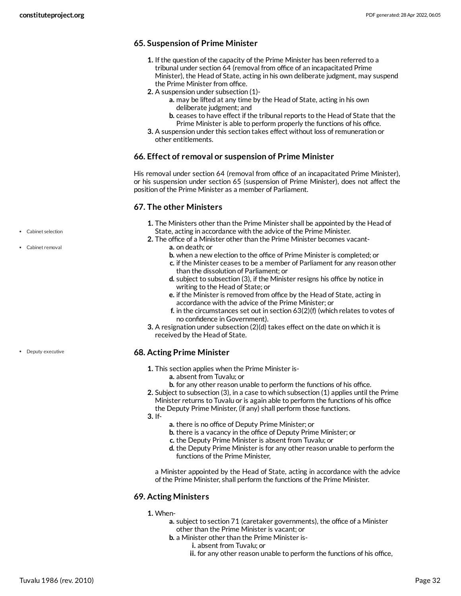### **65. Suspension of Prime Minister**

- **1.** If the question of the capacity of the Prime Minister has been referred to a tribunal under section 64 (removal from office of an incapacitated Prime Minister), the Head of State, acting in his own deliberate judgment, may suspend the Prime Minister from office.
- **2.** A suspension under subsection (1)
	- **a.** may be lifted at any time by the Head of State, acting in his own deliberate judgment; and
	- **b.** ceases to have effect if the tribunal reports to the Head of State that the Prime Minister is able to perform properly the functions of his office.
- **3.** A suspension under this section takes effect without loss of remuneration or other entitlements.

### **66. Effect of removal or suspension of Prime Minister**

His removal under section 64 (removal from office of an incapacitated Prime Minister), or his suspension under section 65 (suspension of Prime Minister), does not affect the position of the Prime Minister as a member of Parliament.

### **67. The other Ministers**

- **1.** The Ministers other than the Prime Minister shall be appointed by the Head of State, acting in accordance with the advice of the Prime Minister.
- **2.** The office of a Minister other than the Prime Minister becomes vacant
	- **a.** on death; or
	- **b.** when a new election to the office of Prime Minister is completed; or
	- **c.** if the Minister ceases to be a member of Parliament for any reason other than the dissolution of Parliament; or
	- **d.** subject to subsection (3), if the Minister resigns his office by notice in writing to the Head of State; or
	- **e.** if the Minister is removed from office by the Head of State, acting in accordance with the advice of the Prime Minister; or
	- **f.** in the circumstances set out in section 63(2)(f) (which relates to votes of no confidence in Government).
- **3.** A resignation under subsection (2)(d) takes effect on the date on which it is received by the Head of State.

### **68. Acting Prime Minister**

- **1.** This section applies when the Prime Minister is
	- **a.** absent from Tuvalu; or
	- **b.** for any other reason unable to perform the functions of his office.
- **2.** Subject to subsection (3), in a case to which subsection (1) applies until the Prime Minister returns to Tuvalu or is again able to perform the functions of his office the Deputy Prime Minister, (if any) shall perform those functions.
- **3.** If-
- **a.** there is no office of Deputy Prime Minister; or
- **b.** there is a vacancy in the office of Deputy Prime Minister; or
- **c.** the Deputy Prime Minister is absent from Tuvalu; or
- **d.** the Deputy Prime Minister is for any other reason unable to perform the functions of the Prime Minister,

a Minister appointed by the Head of State, acting in accordance with the advice of the Prime Minister, shall perform the functions of the Prime Minister.

### **69. Acting Ministers**

- **1.** When
	- **a.** subject to section 71 (caretaker governments), the office of a Minister other than the Prime Minister is vacant; or
	- **b.** a Minister other than the Prime Minister is
		- **i.** absent from Tuvalu; or
		- **ii.** for any other reason unable to perform the functions of his office,
- Cabinet selection
- Cabinet removal

Deputy executive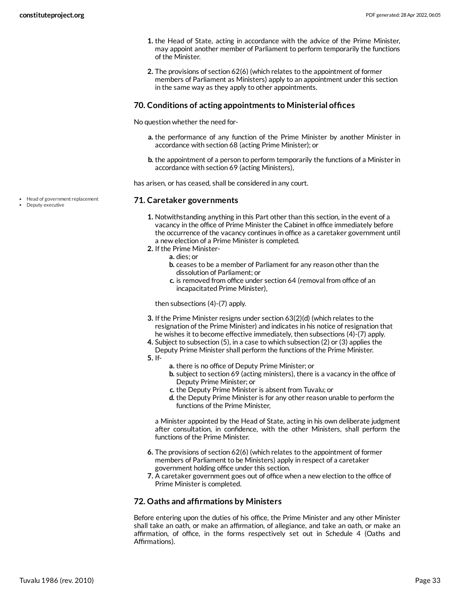- **1.** the Head of State, acting in accordance with the advice of the Prime Minister, may appoint another member of Parliament to perform temporarily the functions of the Minister.
- **2.** The provisions of section 62(6) (which relates to the appointment of former members of Parliament as Ministers) apply to an appointment under this section in the same way as they apply to other appointments.

### **70. Conditions of acting appointments to Ministerial offices**

No question whether the need for-

- **a.** the performance of any function of the Prime Minister by another Minister in accordance with section 68 (acting Prime Minister); or
- **b.** the appointment of a person to perform temporarily the functions of a Minister in accordance with section 69 (acting Ministers),

has arisen, or has ceased, shall be considered in any court.

#### **71. Caretaker governments**

- **1.** Notwithstanding anything in this Part other than this section, in the event of a vacancy in the office of Prime Minister the Cabinet in office immediately before the occurrence of the vacancy continues in office as a caretaker government until a new election of a Prime Minister is completed.
- **2.** If the Prime Minister
	- **a.** dies; or
		- **b.** ceases to be a member of Parliament for any reason other than the dissolution of Parliament; or
		- **c.** is removed from office under section 64 (removal from office of an incapacitated Prime Minister),

then subsections (4)-(7) apply.

- **3.** If the Prime Minister resigns under section 63(2)(d) (which relates to the resignation of the Prime Minister) and indicates in his notice of resignation that he wishes it to become effective immediately, then subsections (4)-(7) apply.
- **4.** Subject to subsection (5), in a case to which subsection (2) or (3) applies the
- Deputy Prime Minister shall perform the functions of the Prime Minister.
- **5.** If-
- **a.** there is no office of Deputy Prime Minister; or
- **b.** subject to section 69 (acting ministers), there is a vacancy in the office of Deputy Prime Minister; or
- **c.** the Deputy Prime Minister is absent from Tuvalu; or
- **d.** the Deputy Prime Minister is for any other reason unable to perform the functions of the Prime Minister,

a Minister appointed by the Head of State, acting in his own deliberate judgment after consultation, in confidence, with the other Ministers, shall perform the functions of the Prime Minister.

- **6.** The provisions of section 62(6) (which relates to the appointment of former members of Parliament to be Ministers) apply in respect of a caretaker government holding office under this section.
- **7.** A caretaker government goes out of office when a new election to the office of Prime Minister is completed.

### **72. Oaths and affirmations by Ministers**

Before entering upon the duties of his office, the Prime Minister and any other Minister shall take an oath, or make an affirmation, of allegiance, and take an oath, or make an affirmation, of office, in the forms respectively set out in Schedule 4 (Oaths and Affirmations).

Head of government replacement Deputy executive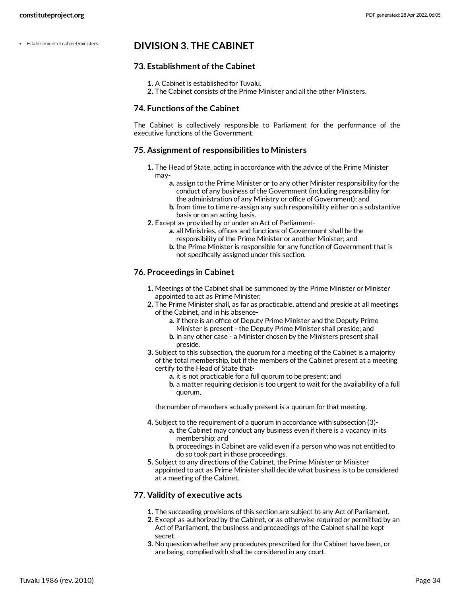Establishment of cabinet/ministers

### <span id="page-33-0"></span>**DIVISION 3. THE CABINET**

### **73. Establishment of the Cabinet**

- **1.** A Cabinet is established for Tuvalu.
- **2.** The Cabinet consists of the Prime Minister and all the other Ministers.

### **74. Functions of the Cabinet**

The Cabinet is collectively responsible to Parliament for the performance of the executive functions of the Government.

#### **75. Assignment of responsibilities to Ministers**

- **1.** The Head of State, acting in accordance with the advice of the Prime Minister may
	- **a.** assign to the Prime Minister or to any other Minister responsibility for the conduct of any business of the Government (including responsibility for the administration of any Ministry or office of Government); and
	- **b.** from time to time re-assign any such responsibility either on a substantive basis or on an acting basis.
- **2.** Except as provided by or under an Act of Parliament
	- **a.** all Ministries, offices and functions of Government shall be the responsibility of the Prime Minister or another Minister; and
	- **b.** the Prime Minister is responsible for any function of Government that is not specifically assigned under this section.

### **76. Proceedings in Cabinet**

- **1.** Meetings of the Cabinet shall be summoned by the Prime Minister or Minister appointed to act as Prime Minister.
- **2.** The Prime Minister shall, as far as practicable, attend and preside at all meetings of the Cabinet, and in his absence
	- **a.** if there is an office of Deputy Prime Minister and the Deputy Prime Minister is present - the Deputy Prime Minister shall preside; and
	- **b.** in any other case a Minister chosen by the Ministers present shall preside.
- **3.** Subject to this subsection, the quorum for a meeting of the Cabinet is a majority of the total membership, but if the members of the Cabinet present at a meeting certify to the Head of State that
	- **a.** it is not practicable for a full quorum to be present; and
	- **b.** a matter requiring decision is too urgent to wait for the availability of a full quorum,

the number of members actually present is a quorum for that meeting.

- **4.** Subject to the requirement of a quorum in accordance with subsection (3)
	- **a.** the Cabinet may conduct any business even if there is a vacancy in its membership; and
	- **b.** proceedings in Cabinet are valid even if a person who was not entitled to do so took part in those proceedings.
- **5.** Subject to any directions of the Cabinet, the Prime Minister or Minister appointed to act as Prime Minister shall decide what business is to be considered at a meeting of the Cabinet.

### **77. Validity of executive acts**

- **1.** The succeeding provisions of this section are subject to any Act of Parliament.
- **2.** Except as authorized by the Cabinet, or as otherwise required or permitted by an Act of Parliament, the business and proceedings of the Cabinet shall be kept secret.
- **3.** No question whether any procedures prescribed for the Cabinet have been, or are being, complied with shall be considered in any court.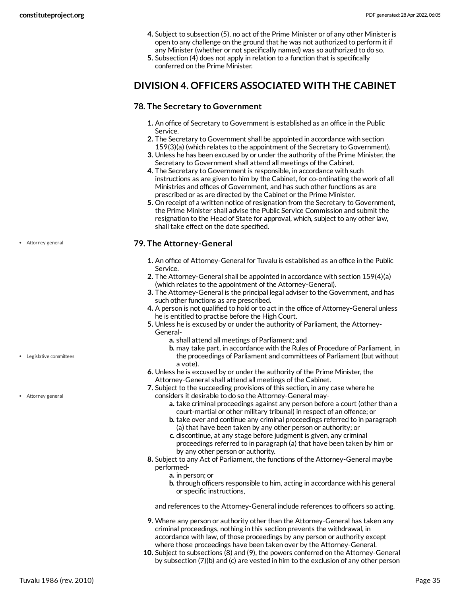- **4.** Subject to subsection (5), no act of the Prime Minister or of any other Minister is open to any challenge on the ground that he was not authorized to perform it if any Minister (whether or not specifically named) was so authorized to do so.
- **5.** Subsection (4) does not apply in relation to a function that is specifically conferred on the Prime Minister.

### <span id="page-34-0"></span>**DIVISION 4. OFFICERS ASSOCIATED WITH THE CABINET**

### **78. The Secretary to Government**

- **1.** An office of Secretary to Government is established as an office in the Public Service.
- **2.** The Secretary to Government shall be appointed in accordance with section 159(3)(a) (which relates to the appointment of the Secretary to Government).
- **3.** Unless he has been excused by or under the authority of the Prime Minister, the Secretary to Government shall attend all meetings of the Cabinet.
- **4.** The Secretary to Government is responsible, in accordance with such instructions as are given to him by the Cabinet, for co-ordinating the work of all Ministries and offices of Government, and has such other functions as are prescribed or as are directed by the Cabinet or the Prime Minister.
- **5.** On receipt of a written notice of resignation from the Secretary to Government, the Prime Minister shall advise the Public Service Commission and submit the resignation to the Head of State for approval, which, subject to any other law, shall take effect on the date specified.

### **79. The Attorney-General**

- **1.** An office of Attorney-General for Tuvalu is established as an office in the Public Service.
- **2.** The Attorney-General shall be appointed in accordance with section 159(4)(a) (which relates to the appointment of the Attorney-General).
- **3.** The Attorney-General is the principal legal adviser to the Government, and has such other functions as are prescribed.
- **4.** A person is not qualified to hold or to act in the office of Attorney-General unless he is entitled to practise before the High Court.
- **5.** Unless he is excused by or under the authority of Parliament, the Attorney-General
	- **a.** shall attend all meetings of Parliament; and
	- **b.** may take part, in accordance with the Rules of Procedure of Parliament, in the proceedings of Parliament and committees of Parliament (but without a vote).
- **6.** Unless he is excused by or under the authority of the Prime Minister, the Attorney-General shall attend all meetings of the Cabinet.
- **7.** Subject to the succeeding provisions of this section, in any case where he considers it desirable to do so the Attorney-General may
	- **a.** take criminal proceedings against any person before a court (other than a court-martial or other military tribunal) in respect of an offence; or
	- **b.** take over and continue any criminal proceedings referred to in paragraph (a) that have been taken by any other person or authority; or
	- **c.** discontinue, at any stage before judgment is given, any criminal proceedings referred to in paragraph (a) that have been taken by him or by any other person or authority.
- **8.** Subject to any Act of Parliament, the functions of the Attorney-General maybe performed
	- **a.** in person; or
	- **b.** through officers responsible to him, acting in accordance with his general or specific instructions,

and references to the Attorney-General include references to officers so acting.

- **9.** Where any person or authority other than the Attorney-General has taken any criminal proceedings, nothing in this section prevents the withdrawal, in accordance with law, of those proceedings by any person or authority except where those proceedings have been taken over by the Attorney-General.
- **10.** Subject to subsections (8) and (9), the powers conferred on the Attorney-General by subsection (7)(b) and (c) are vested in him to the exclusion of any other person

Attorney general

- Legislative committees
- Attorney general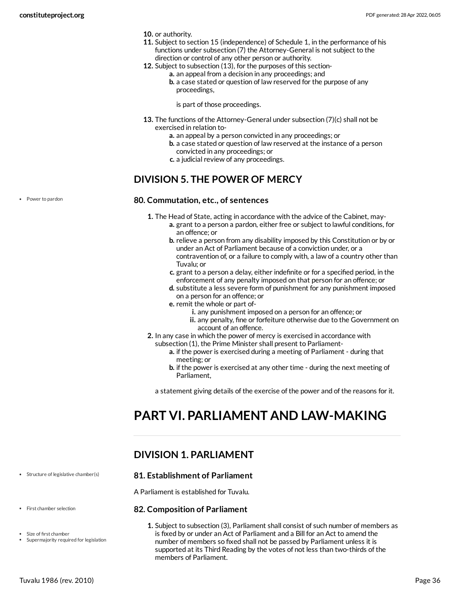• Power to pardon

- **10.** or authority.
- **11.** Subject to section 15 (independence) of Schedule 1, in the performance of his functions under subsection (7) the Attorney-General is not subject to the direction or control of any other person or authority.
- **12.** Subject to subsection (13), for the purposes of this section
	- **a.** an appeal from a decision in any proceedings; and
	- **b.** a case stated or question of law reserved for the purpose of any proceedings,

is part of those proceedings.

- **13.** The functions of the Attorney-General under subsection (7)(c) shall not be exercised in relation to
	- **a.** an appeal by a person convicted in any proceedings; or
	- **b.** a case stated or question of law reserved at the instance of a person convicted in any proceedings; or
	- **c.** a judicial review of any proceedings.

### <span id="page-35-0"></span>**DIVISION 5. THE POWER OF MERCY**

### **80. Commutation, etc., of sentences**

- **1.** The Head of State, acting in accordance with the advice of the Cabinet, may
	- **a.** grant to a person a pardon, either free or subject to lawful conditions, for an offence; or
		- **b.** relieve a person from any disability imposed by this Constitution or by or under an Act of Parliament because of a conviction under, or a contravention of, or a failure to comply with, a law of a country other than Tuvalu; or
		- **c.** grant to a person a delay, either indefinite or for a specified period, in the enforcement of any penalty imposed on that person for an offence; or
		- **d.** substitute a less severe form of punishment for any punishment imposed on a person for an offence; or
		- **e.** remit the whole or part of
			- **i.** any punishment imposed on a person for an offence; or
			- **ii.** any penalty, fine or forfeiture otherwise due to the Government on account of an offence.
- **2.** In any case in which the power of mercy is exercised in accordance with
	- subsection (1), the Prime Minister shall present to Parliament
		- **a.** if the power is exercised during a meeting of Parliament during that meeting; or
		- **b.** if the power is exercised at any other time during the next meeting of Parliament,

a statement giving details of the exercise of the power and of the reasons for it.

# <span id="page-35-1"></span>**PART VI. PARLIAMENT AND LAW-MAKING**

### <span id="page-35-2"></span>**DIVISION 1. PARLIAMENT**

- **81. Establishment of Parliament**
	- A Parliament is established for Tuvalu.

### **82. Composition of Parliament**

**1.** Subject to subsection (3), Parliament shall consist of such number of members as is fixed by or under an Act of Parliament and a Bill for an Act to amend the number of members so fixed shall not be passed by Parliament unless it is supported at its Third Reading by the votes of not less than two-thirds of the members of Parliament.

- Structure of legislative chamber(s)
- First chamber selection
- Size of first chamber
- Supermajority required for legislation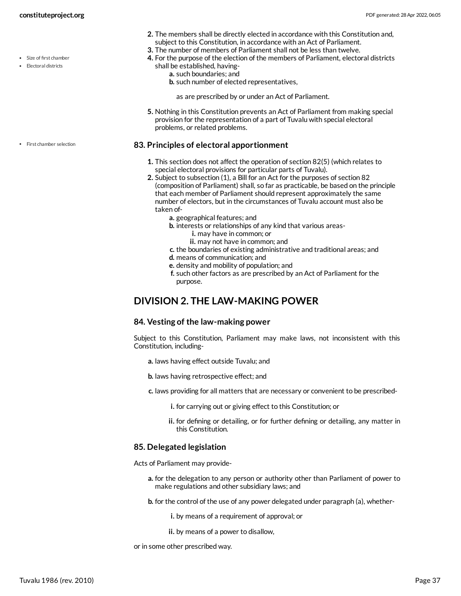Size of first chamber Electoral districts

First chamber selection

- **2.** The members shall be directly elected in accordance with this Constitution and, subject to this Constitution, in accordance with an Act of Parliament.
- **3.** The number of members of Parliament shall not be less than twelve.
- **4.** For the purpose of the election of the members of Parliament, electoral districts shall be established, having
	- **a.** such boundaries; and

**b.** such number of elected representatives,

as are prescribed by or under an Act of Parliament.

**5.** Nothing in this Constitution prevents an Act of Parliament from making special provision for the representation of a part of Tuvalu with special electoral problems, or related problems.

#### **83. Principles of electoral apportionment**

- **1.** This section does not affect the operation of section 82(5) (which relates to special electoral provisions for particular parts of Tuvalu).
- **2.** Subject to subsection (1), a Bill for an Act for the purposes of section 82 (composition of Parliament) shall, so far as practicable, be based on the principle that each member of Parliament should represent approximately the same number of electors, but in the circumstances of Tuvalu account must also be taken of
	- **a.** geographical features; and
	- **b.** interests or relationships of any kind that various areas
		- **i.** may have in common; or
		- **ii.** may not have in common; and
	- **c.** the boundaries of existing administrative and traditional areas; and
	- **d.** means of communication; and
	- **e.** density and mobility of population; and
	- **f.** such other factors as are prescribed by an Act of Parliament for the purpose.

### **DIVISION 2. THE LAW-MAKING POWER**

#### **84. Vesting of the law-making power**

Subject to this Constitution, Parliament may make laws, not inconsistent with this Constitution, including-

- **a.** laws having effect outside Tuvalu; and
- **b.** laws having retrospective effect; and
- **c.** laws providing for all matters that are necessary or convenient to be prescribed
	- **i.** for carrying out or giving effect to this Constitution; or
	- **ii.** for defining or detailing, or for further defining or detailing, any matter in this Constitution.

#### **85. Delegated legislation**

Acts of Parliament may provide-

- **a.** for the delegation to any person or authority other than Parliament of power to make regulations and other subsidiary laws; and
- **b.** for the control of the use of any power delegated under paragraph (a), whether
	- **i.** by means of a requirement of approval; or
	- **ii.** by means of a power to disallow,
- or in some other prescribed way.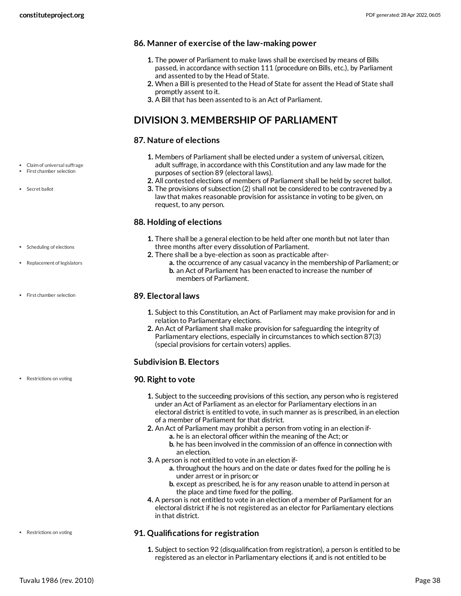#### **86. Manner of exercise of the law-making power**

- **1.** The power of Parliament to make laws shall be exercised by means of Bills passed, in accordance with section 111 (procedure on Bills, etc.), by Parliament and assented to by the Head of State.
- **2.** When a Bill is presented to the Head of State for assent the Head of State shall promptly assent to it.
- **3.** A Bill that has been assented to is an Act of Parliament.

# **DIVISION 3. MEMBERSHIP OF PARLIAMENT**

#### **87. Nature of elections**

- **1.** Members of Parliament shall be elected under a system of universal, citizen, adult suffrage, in accordance with this Constitution and any law made for the purposes of section 89 (electoral laws).
- **2.** All contested elections of members of Parliament shall be held by secret ballot.
- **3.** The provisions of subsection (2) shall not be considered to be contravened by a law that makes reasonable provision for assistance in voting to be given, on request, to any person.

#### **88. Holding of elections**

- **1.** There shall be a general election to be held after one month but not later than three months after every dissolution of Parliament.
- **2.** There shall be a bye-election as soon as practicable after
	- **a.** the occurrence of any casual vacancy in the membership of Parliament; or **b.** an Act of Parliament has been enacted to increase the number of members of Parliament.

#### **89. Electoral laws**

- **1.** Subject to this Constitution, an Act of Parliament may make provision for and in relation to Parliamentary elections.
- **2.** An Act of Parliament shall make provision for safeguarding the integrity of Parliamentary elections, especially in circumstances to which section 87(3) (special provisions for certain voters) applies.

### **Subdivision B. Electors**

#### **90. Right to vote**

- **1.** Subject to the succeeding provisions of this section, any person who is registered under an Act of Parliament as an elector for Parliamentary elections in an electoral district is entitled to vote, in such manner as is prescribed, in an election of a member of Parliament for that district.
- **2.** An Act of Parliament may prohibit a person from voting in an election if
	- **a.** he is an electoral officer within the meaning of the Act; or
	- **b.** he has been involved in the commission of an offence in connection with an election.
- **3.** A person is not entitled to vote in an election if
	- **a.** throughout the hours and on the date or dates fixed for the polling he is under arrest or in prison; or
	- **b.** except as prescribed, he is for any reason unable to attend in person at the place and time fixed for the polling.
- **4.** A person is not entitled to vote in an election of a member of Parliament for an electoral district if he is not registered as an elector for Parliamentary elections in that district.

#### **91. Qualifications for registration**

**1.** Subject to section 92 (disqualification from registration), a person is entitled to be registered as an elector in Parliamentary elections if, and is not entitled to be

- Claim of universal suffrage
- First chamber selection
- Secret ballot
- Scheduling of elections
- Replacement of legislators
- First chamber selection

• Restrictions on voting

• Restrictions on voting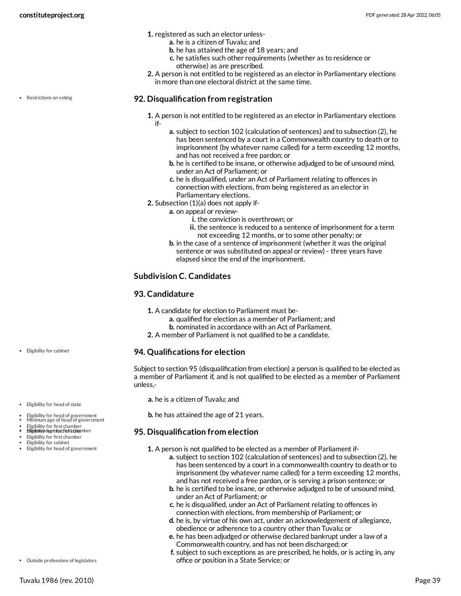- **1.** registered as such an elector unless
	- **a.** he is a citizen of Tuvalu; and
		- **b.** he has attained the age of 18 years; and
	- **c.** he satisfies such other requirements (whether as to residence or otherwise) as are prescribed.
- **2.** A person is not entitled to be registered as an elector in Parliamentary elections in more than one electoral district at the same time.

#### **92. Disqualification from registration**

- **1.** A person is not entitled to be registered as an elector in Parliamentary elections if
	- **a.** subject to section 102 (calculation of sentences) and to subsection (2), he has been sentenced by a court in a Commonwealth country to death or to imprisonment (by whatever name called) for a term exceeding 12 months, and has not received a free pardon; or
	- **b.** he is certified to be insane, or otherwise adjudged to be of unsound mind, under an Act of Parliament; or
	- **c.** he is disqualified, under an Act of Parliament relating to offences in connection with elections, from being registered as an elector in Parliamentary elections.
- **2.** Subsection (1)(a) does not apply if
	- **a.** on appeal or review
		- **i.** the conviction is overthrown; or
		- **ii.** the sentence is reduced to a sentence of imprisonment for a term not exceeding 12 months, or to some other penalty; or
	- **b.** in the case of a sentence of imprisonment (whether it was the original sentence or was substituted on appeal or review) - three years have elapsed since the end of the imprisonment.

#### **Subdivision C. Candidates**

#### **93. Candidature**

- **1.** A candidate for election to Parliament must be
	- **a.** qualified for election as a member of Parliament; and
	- **b.** nominated in accordance with an Act of Parliament.
- **2.** A member of Parliament is not qualified to be a candidate.

#### **94. Qualifications for election**

Subject to section 95 (disqualification from election) a person is qualified to be elected as a member of Parliament if, and is not qualified to be elected as a member of Parliament unless,-

**a.** he is a citizen of Tuvalu; and

**b.** he has attained the age of 21 years.

#### **95. Disqualification from election**

- **1.** A person is not qualified to be elected as a member of Parliament if
	- **a.** subject to section 102 (calculation of sentences) and to subsection (2), he has been sentenced by a court in a commonwealth country to death or to imprisonment (by whatever name called) for a term exceeding 12 months, and has not received a free pardon, or is serving a prison sentence; or
	- **b.** he is certified to be insane, or otherwise adjudged to be of unsound mind, under an Act of Parliament; or
	- **c.** he is disqualified, under an Act of Parliament relating to offences in connection with elections, from membership of Parliament; or
	- **d.** he is, by virtue of his own act, under an acknowledgement of allegiance, obedience or adherence to a country other than Tuvalu; or
	- **e.** he has been adjudged or otherwise declared bankrupt under a law of a Commonwealth country, and has not been discharged; or
	- **f.** subject to such exceptions as are prescribed, he holds, or is acting in, any office or position in a State Service; or

• Restrictions on voting

Eligibility for cabinet

- Eligibility for head of state
- Eligibility for head of government Minimum age of head of government
- Eligibility for first chamber
- Migilionity fagehfeardfust schlamber
- Eligibility for first chamber Eligibility for cabinet
- Eligibility for head of government

Outside professions of legislators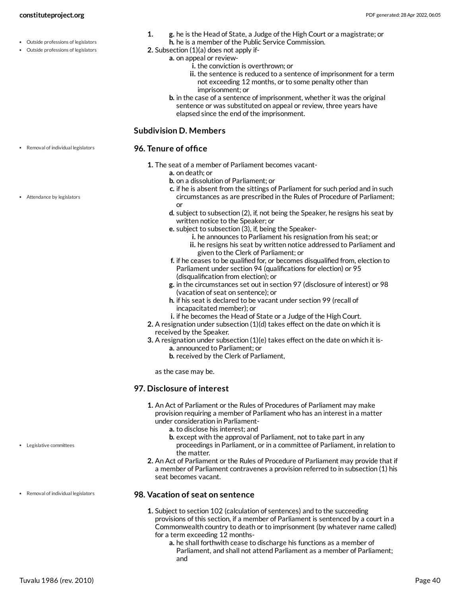- Outside professions of legislators
- Outside professions of legislators
- **1. g.** he is the Head of State, a Judge of the High Court or a magistrate; or **h.** he is a member of the Public Service Commission.
- **2.** Subsection (1)(a) does not apply if
	- **a.** on appeal or review
		- **i.** the conviction is overthrown; or
		- **ii.** the sentence is reduced to a sentence of imprisonment for a term not exceeding 12 months, or to some penalty other than imprisonment; or
	- **b.** in the case of a sentence of imprisonment, whether it was the original sentence or was substituted on appeal or review, three years have elapsed since the end of the imprisonment.

#### **Subdivision D. Members**

Removal of individual legislators

### **96. Tenure of office**

- **1.** The seat of a member of Parliament becomes vacant
	- **a.** on death; or
	- **b.** on a dissolution of Parliament; or
	- **c.** if he is absent from the sittings of Parliament for such period and in such circumstances as are prescribed in the Rules of Procedure of Parliament; or
	- **d.** subject to subsection (2), if, not being the Speaker, he resigns his seat by written notice to the Speaker; or
	- **e.** subject to subsection (3), if, being the Speaker
		- **i.** he announces to Parliament his resignation from his seat; or **ii.** he resigns his seat by written notice addressed to Parliament and given to the Clerk of Parliament; or
	- **f.** if he ceases to be qualified for, or becomes disqualified from, election to Parliament under section 94 (qualifications for election) or 95 (disqualification from election); or
	- **g.** in the circumstances set out in section 97 (disclosure of interest) or 98 (vacation of seat on sentence); or
	- **h.** if his seat is declared to be vacant under section 99 (recall of incapacitated member); or
	- **i.** if he becomes the Head of State or a Judge of the High Court.
- **2.** A resignation under subsection (1)(d) takes effect on the date on which it is received by the Speaker.
- **3.** A resignation under subsection (1)(e) takes effect on the date on which it is**a.** announced to Parliament; or
	- **b.** received by the Clerk of Parliament,

as the case may be.

### **97. Disclosure of interest**

- **1.** An Act of Parliament or the Rules of Procedures of Parliament may make provision requiring a member of Parliament who has an interest in a matter under consideration in Parliament
	- **a.** to disclose his interest; and
	- **b.** except with the approval of Parliament, not to take part in any proceedings in Parliament, or in a committee of Parliament, in relation to the matter.
- **2.** An Act of Parliament or the Rules of Procedure of Parliament may provide that if a member of Parliament contravenes a provision referred to in subsection (1) his seat becomes vacant.

#### **98. Vacation of seat on sentence**

- **1.** Subject to section 102 (calculation of sentences) and to the succeeding provisions of this section, if a member of Parliament is sentenced by a court in a Commonwealth country to death or to imprisonment (by whatever name called) for a term exceeding 12 months
	- **a.** he shall forthwith cease to discharge his functions as a member of Parliament, and shall not attend Parliament as a member of Parliament; and

Attendance by legislators

Legislative committees

Removal of individual legislators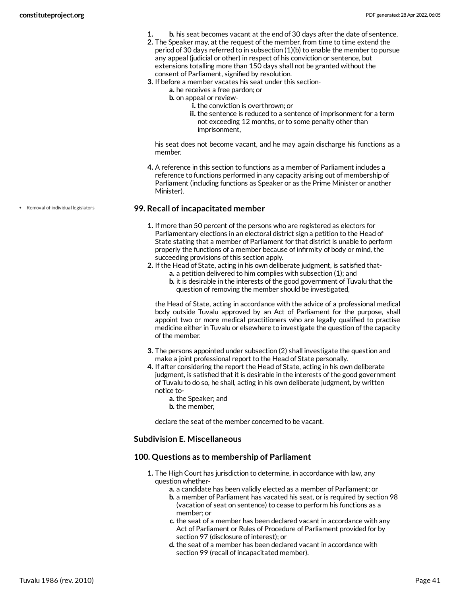- **1. b.** his seat becomes vacant at the end of 30 days after the date of sentence.
- **2.** The Speaker may, at the request of the member, from time to time extend the period of 30 days referred to in subsection (1)(b) to enable the member to pursue any appeal (judicial or other) in respect of his conviction or sentence, but extensions totalling more than 150 days shall not be granted without the consent of Parliament, signified by resolution.
- **3.** If before a member vacates his seat under this section
	- **a.** he receives a free pardon; or
	- **b.** on appeal or review
		- **i.** the conviction is overthrown; or
		- **ii.** the sentence is reduced to a sentence of imprisonment for a term not exceeding 12 months, or to some penalty other than imprisonment,

his seat does not become vacant, and he may again discharge his functions as a member.

**4.** A reference in this section to functions as a member of Parliament includes a reference to functions performed in any capacity arising out of membership of Parliament (including functions as Speaker or as the Prime Minister or another Minister).

#### **99. Recall of incapacitated member**

- **1.** If more than 50 percent of the persons who are registered as electors for Parliamentary elections in an electoral district sign a petition to the Head of State stating that a member of Parliament for that district is unable to perform properly the functions of a member because of infirmity of body or mind, the succeeding provisions of this section apply.
- **2.** If the Head of State, acting in his own deliberate judgment, is satisfied that
	- **a.** a petition delivered to him complies with subsection (1); and
	- **b.** it is desirable in the interests of the good government of Tuvalu that the question of removing the member should be investigated,

the Head of State, acting in accordance with the advice of a professional medical body outside Tuvalu approved by an Act of Parliament for the purpose, shall appoint two or more medical practitioners who are legally qualified to practise medicine either in Tuvalu or elsewhere to investigate the question of the capacity of the member.

- **3.** The persons appointed under subsection (2) shall investigate the question and make a joint professional report to the Head of State personally.
- **4.** If after considering the report the Head of State, acting in his own deliberate judgment, is satisfied that it is desirable in the interests of the good government of Tuvalu to do so, he shall, acting in his own deliberate judgment, by written notice to
	- **a.** the Speaker; and
	- **b.** the member,

declare the seat of the member concerned to be vacant.

#### **Subdivision E. Miscellaneous**

#### **100. Questions as to membership of Parliament**

- **1.** The High Court has jurisdiction to determine, in accordance with law, any question whether
	- **a.** a candidate has been validly elected as a member of Parliament; or **b.** a member of Parliament has vacated his seat, or is required by section 98
	- (vacation of seat on sentence) to cease to perform his functions as a member; or
	- **c.** the seat of a member has been declared vacant in accordance with any Act of Parliament or Rules of Procedure of Parliament provided for by section 97 (disclosure of interest); or
	- **d.** the seat of a member has been declared vacant in accordance with section 99 (recall of incapacitated member).

• Removal of individual legislators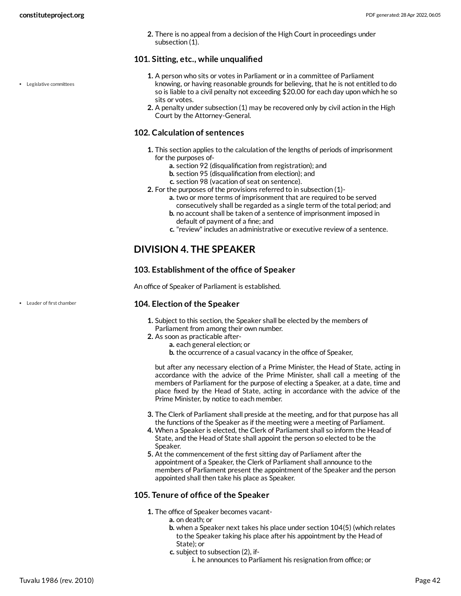Legislative committees

**2.** There is no appeal from a decision of the High Court in proceedings under subsection (1).

#### **101. Sitting, etc., while unqualified**

- **1.** A person who sits or votes in Parliament or in a committee of Parliament knowing, or having reasonable grounds for believing, that he is not entitled to do so is liable to a civil penalty not exceeding \$20.00 for each day upon which he so sits or votes.
- **2.** A penalty under subsection (1) may be recovered only by civil action in the High Court by the Attorney-General.

#### **102. Calculation of sentences**

- **1.** This section applies to the calculation of the lengths of periods of imprisonment for the purposes of
	- **a.** section 92 (disqualification from registration); and
	- **b.** section 95 (disqualification from election); and
	- **c.** section 98 (vacation of seat on sentence).
- **2.** For the purposes of the provisions referred to in subsection (1)
	- **a.** two or more terms of imprisonment that are required to be served consecutively shall be regarded as a single term of the total period; and
	- **b.** no account shall be taken of a sentence of imprisonment imposed in default of payment of a fine; and
	- **c.** "review" includes an administrative or executive review of a sentence.

# **DIVISION 4. THE SPEAKER**

#### **103. Establishment of the office of Speaker**

An office of Speaker of Parliament is established.

#### **104. Election of the Speaker**

- **1.** Subject to this section, the Speaker shall be elected by the members of Parliament from among their own number.
- **2.** As soon as practicable after
	- **a.** each general election; or **b.** the occurrence of a casual vacancy in the office of Speaker,

but after any necessary election of a Prime Minister, the Head of State, acting in

accordance with the advice of the Prime Minister, shall call a meeting of the members of Parliament for the purpose of electing a Speaker, at a date, time and place fixed by the Head of State, acting in accordance with the advice of the Prime Minister, by notice to each member.

- **3.** The Clerk of Parliament shall preside at the meeting, and for that purpose has all the functions of the Speaker as if the meeting were a meeting of Parliament.
- **4.** When a Speaker is elected, the Clerk of Parliament shall so inform the Head of State, and the Head of State shall appoint the person so elected to be the Speaker.
- **5.** At the commencement of the first sitting day of Parliament after the appointment of a Speaker, the Clerk of Parliament shall announce to the members of Parliament present the appointment of the Speaker and the person appointed shall then take his place as Speaker.

### **105. Tenure of office of the Speaker**

- **1.** The office of Speaker becomes vacant
	- **a.** on death; or
	- **b.** when a Speaker next takes his place under section 104(5) (which relates to the Speaker taking his place after his appointment by the Head of State); or
	- **c.** subject to subsection (2), if-

**i.** he announces to Parliament his resignation from office; or

#### Leader of first chamber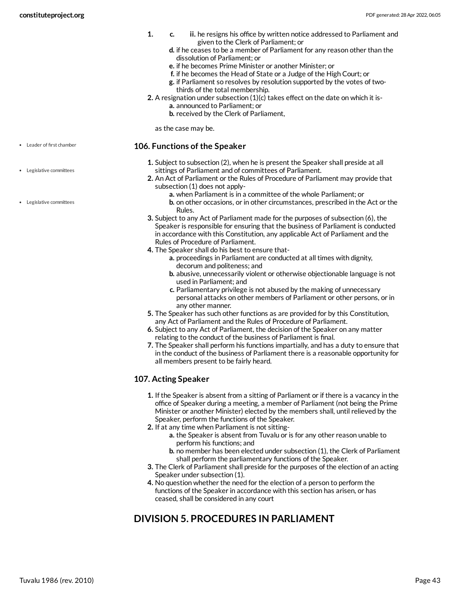- **1. c. ii.** he resigns his office by written notice addressed to Parliament and given to the Clerk of Parliament; or
	- **d.** if he ceases to be a member of Parliament for any reason other than the dissolution of Parliament; or
	- **e.** if he becomes Prime Minister or another Minister; or
	- **f.** if he becomes the Head of State or a Judge of the High Court; or
	- **g.** if Parliament so resolves by resolution supported by the votes of twothirds of the total membership.
- **2.** A resignation under subsection (1)(c) takes effect on the date on which it is**a.** announced to Parliament; or
	- **b.** received by the Clerk of Parliament,

as the case may be.

#### **106. Functions of the Speaker**

- **1.** Subject to subsection (2), when he is present the Speaker shall preside at all sittings of Parliament and of committees of Parliament.
- **2.** An Act of Parliament or the Rules of Procedure of Parliament may provide that subsection (1) does not apply
	- **a.** when Parliament is in a committee of the whole Parliament; or **b.** on other occasions, or in other circumstances, prescribed in the Act or the Rules.
- **3.** Subject to any Act of Parliament made for the purposes of subsection (6), the Speaker is responsible for ensuring that the business of Parliament is conducted in accordance with this Constitution, any applicable Act of Parliament and the Rules of Procedure of Parliament.
- **4.** The Speaker shall do his best to ensure that
	- **a.** proceedings in Parliament are conducted at all times with dignity, decorum and politeness; and
	- **b.** abusive, unnecessarily violent or otherwise objectionable language is not used in Parliament; and
	- **c.** Parliamentary privilege is not abused by the making of unnecessary personal attacks on other members of Parliament or other persons, or in any other manner.
- **5.** The Speaker has such other functions as are provided for by this Constitution, any Act of Parliament and the Rules of Procedure of Parliament.
- **6.** Subject to any Act of Parliament, the decision of the Speaker on any matter relating to the conduct of the business of Parliament is final.
- **7.** The Speaker shall perform his functions impartially, and has a duty to ensure that in the conduct of the business of Parliament there is a reasonable opportunity for all members present to be fairly heard.

#### **107. Acting Speaker**

- **1.** If the Speaker is absent from a sitting of Parliament or if there is a vacancy in the office of Speaker during a meeting, a member of Parliament (not being the Prime Minister or another Minister) elected by the members shall, until relieved by the Speaker, perform the functions of the Speaker.
- **2.** If at any time when Parliament is not sitting
	- **a.** the Speaker is absent from Tuvalu or is for any other reason unable to perform his functions; and
	- **b.** no member has been elected under subsection (1), the Clerk of Parliament shall perform the parliamentary functions of the Speaker.
- **3.** The Clerk of Parliament shall preside for the purposes of the election of an acting Speaker under subsection (1).
- **4.** No question whether the need for the election of a person to perform the functions of the Speaker in accordance with this section has arisen, or has ceased, shall be considered in any court

# **DIVISION 5. PROCEDURES IN PARLIAMENT**

- Legislative committees
- Legislative committees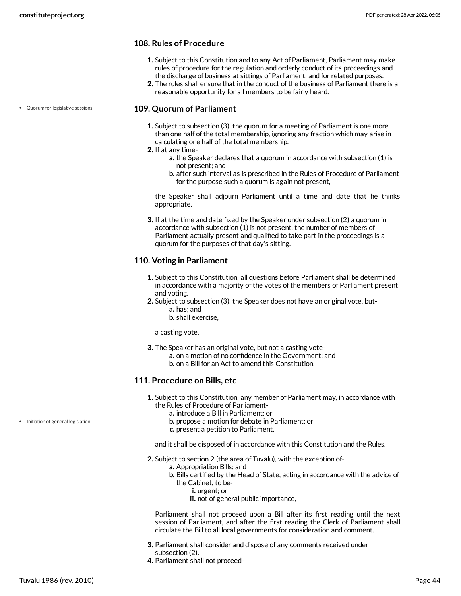#### **108. Rules of Procedure**

- **1.** Subject to this Constitution and to any Act of Parliament, Parliament may make rules of procedure for the regulation and orderly conduct of its proceedings and the discharge of business at sittings of Parliament, and for related purposes.
- **2.** The rules shall ensure that in the conduct of the business of Parliament there is a reasonable opportunity for all members to be fairly heard.

#### **109. Quorum of Parliament**

- **1.** Subject to subsection (3), the quorum for a meeting of Parliament is one more than one half of the total membership, ignoring any fraction which may arise in calculating one half of the total membership.
- **2.** If at any time
	- **a.** the Speaker declares that a quorum in accordance with subsection (1) is not present; and
	- **b.** after such interval as is prescribed in the Rules of Procedure of Parliament for the purpose such a quorum is again not present,

the Speaker shall adjourn Parliament until a time and date that he thinks appropriate.

**3.** If at the time and date fixed by the Speaker under subsection (2) a quorum in accordance with subsection (1) is not present, the number of members of Parliament actually present and qualified to take part in the proceedings is a quorum for the purposes of that day's sitting.

#### **110. Voting in Parliament**

- **1.** Subject to this Constitution, all questions before Parliament shall be determined in accordance with a majority of the votes of the members of Parliament present and voting.
- **2.** Subject to subsection (3), the Speaker does not have an original vote, but**a.** has; and
	- **b.** shall exercise,

a casting vote.

**3.** The Speaker has an original vote, but not a casting vote**a.** on a motion of no confidence in the Government; and **b.** on a Bill for an Act to amend this Constitution.

#### **111. Procedure on Bills, etc**

- **1.** Subject to this Constitution, any member of Parliament may, in accordance with the Rules of Procedure of Parliament
	- **a.** introduce a Bill in Parliament; or
	- **b.** propose a motion for debate in Parliament; or
	- **c.** present a petition to Parliament,

and it shall be disposed of in accordance with this Constitution and the Rules.

- **2.** Subject to section 2 (the area of Tuvalu), with the exception of
	- **a.** Appropriation Bills; and
	- **b.** Bills certified by the Head of State, acting in accordance with the advice of the Cabinet, to be
		- **i.** urgent; or
			- **ii.** not of general public importance,

Parliament shall not proceed upon a Bill after its first reading until the next session of Parliament, and after the first reading the Clerk of Parliament shall circulate the Bill to all local governments for consideration and comment.

- **3.** Parliament shall consider and dispose of any comments received under subsection (2).
- **4.** Parliament shall not proceed-

Quorum for legislative sessions

• Initiation of general legislation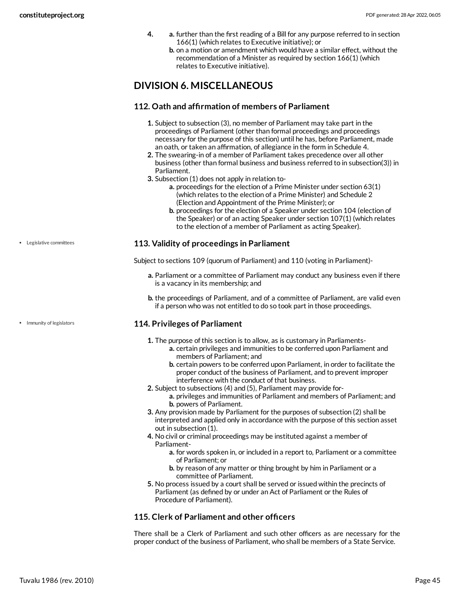- **4. a.** further than the first reading of a Bill for any purpose referred to in section 166(1) (which relates to Executive initiative); or
	- **b.** on a motion or amendment which would have a similar effect, without the recommendation of a Minister as required by section 166(1) (which relates to Executive initiative).

# **DIVISION 6. MISCELLANEOUS**

#### **112. Oath and affirmation of members of Parliament**

- **1.** Subject to subsection (3), no member of Parliament may take part in the proceedings of Parliament (other than formal proceedings and proceedings necessary for the purpose of this section) until he has, before Parliament, made an oath, or taken an affirmation, of allegiance in the form in Schedule 4.
- **2.** The swearing-in of a member of Parliament takes precedence over all other business (other than formal business and business referred to in subsection(3)) in Parliament.
- **3.** Subsection (1) does not apply in relation to
	- **a.** proceedings for the election of a Prime Minister under section 63(1) (which relates to the election of a Prime Minister) and Schedule 2 (Election and Appointment of the Prime Minister); or
	- **b.** proceedings for the election of a Speaker under section 104 (election of the Speaker) or of an acting Speaker under section 107(1) (which relates to the election of a member of Parliament as acting Speaker).

#### **113. Validity of proceedings in Parliament**

Subject to sections 109 (quorum of Parliament) and 110 (voting in Parliament)-

- **a.** Parliament or a committee of Parliament may conduct any business even if there is a vacancy in its membership; and
- **b.** the proceedings of Parliament, and of a committee of Parliament, are valid even if a person who was not entitled to do so took part in those proceedings.

#### **114. Privileges of Parliament**

- **1.** The purpose of this section is to allow, as is customary in Parliaments
	- **a.** certain privileges and immunities to be conferred upon Parliament and members of Parliament; and
	- **b.** certain powers to be conferred upon Parliament, in order to facilitate the proper conduct of the business of Parliament, and to prevent improper interference with the conduct of that business.
- **2.** Subject to subsections (4) and (5), Parliament may provide for
	- **a.** privileges and immunities of Parliament and members of Parliament; and **b.** powers of Parliament.
- **3.** Any provision made by Parliament for the purposes of subsection (2) shall be interpreted and applied only in accordance with the purpose of this section asset out in subsection (1).
- **4.** No civil or criminal proceedings may be instituted against a member of Parliament
	- **a.** for words spoken in, or included in a report to, Parliament or a committee of Parliament; or
	- **b.** by reason of any matter or thing brought by him in Parliament or a committee of Parliament.
- **5.** No process issued by a court shall be served or issued within the precincts of Parliament (as defined by or under an Act of Parliament or the Rules of Procedure of Parliament).

### **115. Clerk of Parliament and other officers**

There shall be a Clerk of Parliament and such other officers as are necessary for the proper conduct of the business of Parliament, who shall be members of a State Service.

Legislative committees

• Immunity of legislators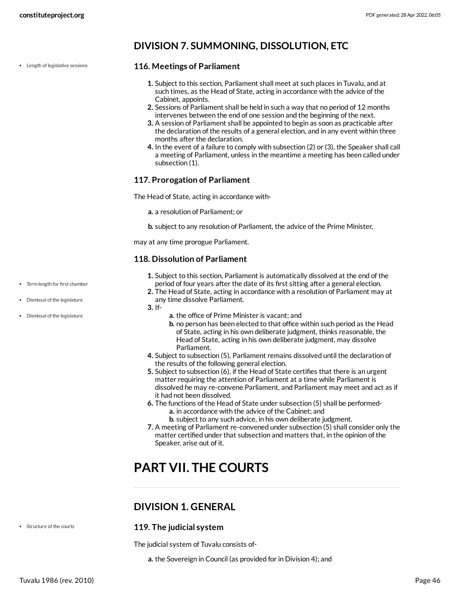Length of legislative sessions

# **DIVISION 7. SUMMONING, DISSOLUTION, ETC**

#### **116. Meetings of Parliament**

- **1.** Subject to this section, Parliament shall meet at such places in Tuvalu, and at such times, as the Head of State, acting in accordance with the advice of the Cabinet, appoints.
- **2.** Sessions of Parliament shall be held in such a way that no period of 12 months intervenes between the end of one session and the beginning of the next.
- **3.** A session of Parliament shall be appointed to begin as soon as practicable after the declaration of the results of a general election, and in any event within three months after the declaration.
- **4.** In the event of a failure to comply with subsection (2) or (3), the Speaker shall call a meeting of Parliament, unless in the meantime a meeting has been called under subsection (1).

### **117. Prorogation of Parliament**

The Head of State, acting in accordance with-

**a.** a resolution of Parliament; or

**b.** subject to any resolution of Parliament, the advice of the Prime Minister,

may at any time prorogue Parliament.

#### **118. Dissolution of Parliament**

- **1.** Subject to this section, Parliament is automatically dissolved at the end of the period of four years after the date of its first sitting after a general election.
- **2.** The Head of State, acting in accordance with a resolution of Parliament may at any time dissolve Parliament.
- **3.** If
	- **a.** the office of Prime Minister is vacant; and
		- **b.** no person has been elected to that office within such period as the Head of State, acting in his own deliberate judgment, thinks reasonable, the Head of State, acting in his own deliberate judgment, may dissolve Parliament.
	- **4.** Subject to subsection (5), Parliament remains dissolved until the declaration of the results of the following general election.
	- **5.** Subject to subsection (6), if the Head of State certifies that there is an urgent matter requiring the attention of Parliament at a time while Parliament is dissolved he may re-convene Parliament, and Parliament may meet and act as if it had not been dissolved.
	- **6.** The functions of the Head of State under subsection (5) shall be performed**a.** in accordance with the advice of the Cabinet; and
		- **b.** subject to any such advice, in his own deliberate judgment.
	- **7.** A meeting of Parliament re-convened under subsection (5) shall consider only the matter certified under that subsection and matters that, in the opinion of the Speaker, arise out of it.

# **PART VII. THE COURTS**

# **DIVISION 1. GENERAL**

• Structure of the courts

#### **119. The judicial system**

The judicial system of Tuvalu consists of-

**a.** the Sovereign in Council (as provided for in Division 4); and

- Term length for first chamber
- Dismissal of the legislature
- Dismissal of the legislature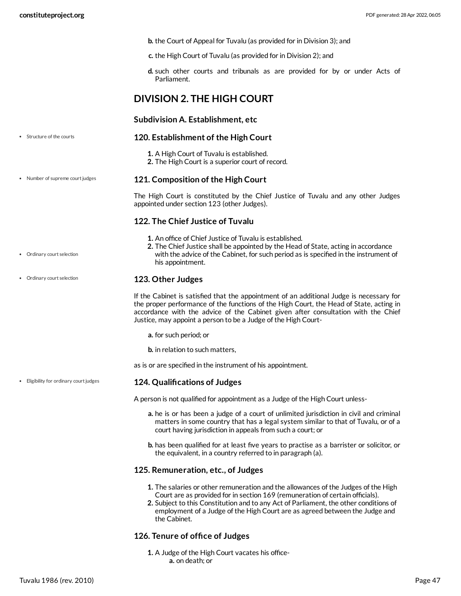- **b.** the Court of Appeal for Tuvalu (as provided for in Division 3); and
- **c.** the High Court of Tuvalu (as provided for in Division 2); and
- **d.** such other courts and tribunals as are provided for by or under Acts of Parliament.

# **DIVISION 2. THE HIGH COURT**

#### **Subdivision A. Establishment, etc**

#### **120. Establishment of the High Court**

**121. Composition of the High Court**

- **1.** A High Court of Tuvalu is established.
- **2.** The High Court is a superior court of record.
- 

The High Court is constituted by the Chief Justice of Tuvalu and any other Judges appointed under section 123 (other Judges).

#### **122. The Chief Justice of Tuvalu**

- **1.** An office of Chief Justice of Tuvalu is established.
- **2.** The Chief Justice shall be appointed by the Head of State, acting in accordance with the advice of the Cabinet, for such period as is specified in the instrument of his appointment.

#### **123. Other Judges**

If the Cabinet is satisfied that the appointment of an additional Judge is necessary for the proper performance of the functions of the High Court, the Head of State, acting in accordance with the advice of the Cabinet given after consultation with the Chief Justice, may appoint a person to be a Judge of the High Court-

**a.** for such period; or

**b.** in relation to such matters,

as is or are specified in the instrument of his appointment.

#### **124. Qualifications of Judges**

A person is not qualified for appointment as a Judge of the High Court unless-

- **a.** he is or has been a judge of a court of unlimited jurisdiction in civil and criminal matters in some country that has a legal system similar to that of Tuvalu, or of a court having jurisdiction in appeals from such a court; or
- **b.** has been qualified for at least five years to practise as a barrister or solicitor, or the equivalent, in a country referred to in paragraph (a).

#### **125. Remuneration, etc., of Judges**

- **1.** The salaries or other remuneration and the allowances of the Judges of the High Court are as provided for in section 169 (remuneration of certain officials).
- **2.** Subject to this Constitution and to any Act of Parliament, the other conditions of employment of a Judge of the High Court are as agreed between the Judge and the Cabinet.

### **126. Tenure of office of Judges**

**1.** A Judge of the High Court vacates his office**a.** on death; or

• Number of supreme court judges

Structure of the courts

Ordinary court selection

Ordinary court selection

• Eligibility for ordinary court judges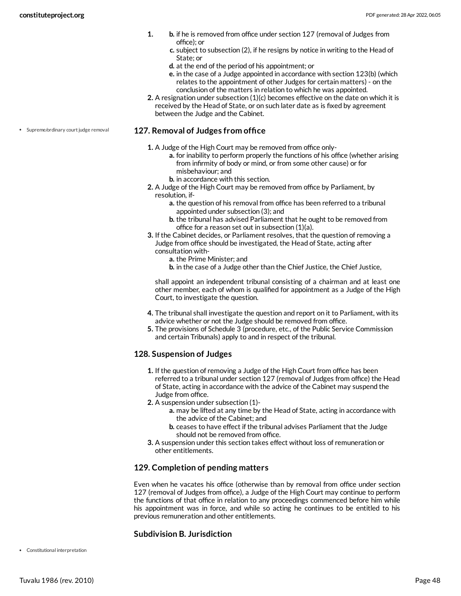• Supreme/ordinary court judge removal

- **1. b.** if he is removed from office under section 127 (removal of Judges from office); or
	- **c.** subject to subsection (2), if he resigns by notice in writing to the Head of State; or
	- **d.** at the end of the period of his appointment; or
	- **e.** in the case of a Judge appointed in accordance with section 123(b) (which relates to the appointment of other Judges for certain matters) - on the conclusion of the matters in relation to which he was appointed.
- **2.** A resignation under subsection (1)(c) becomes effective on the date on which it is received by the Head of State, or on such later date as is fixed by agreement between the Judge and the Cabinet.

#### **127. Removal of Judges from office**

- **1.** A Judge of the High Court may be removed from office only
	- **a.** for inability to perform properly the functions of his office (whether arising from infirmity of body or mind, or from some other cause) or for misbehaviour; and
	- **b.** in accordance with this section.
- **2.** A Judge of the High Court may be removed from office by Parliament, by resolution, if
	- **a.** the question of his removal from office has been referred to a tribunal appointed under subsection (3); and
	- **b.** the tribunal has advised Parliament that he ought to be removed from office for a reason set out in subsection (1)(a).
- **3.** If the Cabinet decides, or Parliament resolves, that the question of removing a Judge from office should be investigated, the Head of State, acting after consultation with
	- **a.** the Prime Minister; and
	- **b.** in the case of a Judge other than the Chief Justice, the Chief Justice,

shall appoint an independent tribunal consisting of a chairman and at least one other member, each of whom is qualified for appointment as a Judge of the High Court, to investigate the question.

- **4.** The tribunal shall investigate the question and report on it to Parliament, with its advice whether or not the Judge should be removed from office.
- **5.** The provisions of Schedule 3 (procedure, etc., of the Public Service Commission and certain Tribunals) apply to and in respect of the tribunal.

### **128. Suspension of Judges**

- **1.** If the question of removing a Judge of the High Court from office has been referred to a tribunal under section 127 (removal of Judges from office) the Head of State, acting in accordance with the advice of the Cabinet may suspend the Judge from office.
- **2.** A suspension under subsection (1)
	- **a.** may be lifted at any time by the Head of State, acting in accordance with the advice of the Cabinet; and
	- **b.** ceases to have effect if the tribunal advises Parliament that the Judge should not be removed from office.
- **3.** A suspension under this section takes effect without loss of remuneration or other entitlements.

### **129. Completion of pending matters**

Even when he vacates his office (otherwise than by removal from office under section 127 (removal of Judges from office), a Judge of the High Court may continue to perform the functions of that office in relation to any proceedings commenced before him while his appointment was in force, and while so acting he continues to be entitled to his previous remuneration and other entitlements.

#### **Subdivision B. Jurisdiction**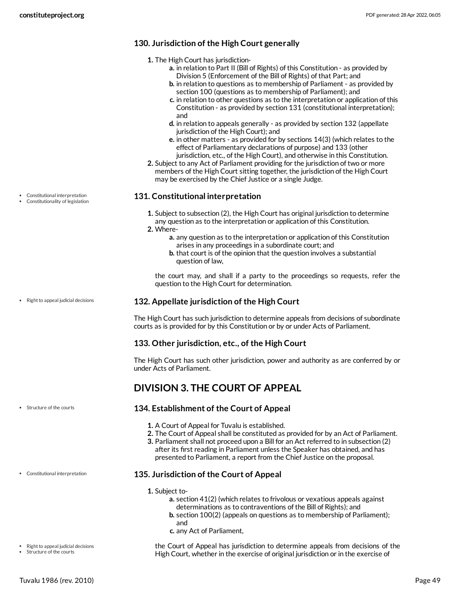#### **130. Jurisdiction of the High Court generally**

- **1.** The High Court has jurisdiction
	- **a.** in relation to Part II (Bill of Rights) of this Constitution as provided by Division 5 (Enforcement of the Bill of Rights) of that Part; and
	- **b.** in relation to questions as to membership of Parliament as provided by section 100 (questions as to membership of Parliament); and
	- **c.** in relation to other questions as to the interpretation or application of this Constitution - as provided by section 131 (constitutional interpretation); and
	- **d.** in relation to appeals generally as provided by section 132 (appellate jurisdiction of the High Court); and
	- **e.** in other matters as provided for by sections 14(3) (which relates to the effect of Parliamentary declarations of purpose) and 133 (other jurisdiction, etc., of the High Court), and otherwise in this Constitution.
- **2.** Subject to any Act of Parliament providing for the jurisdiction of two or more members of the High Court sitting together, the jurisdiction of the High Court may be exercised by the Chief Justice or a single Judge.

#### **131. Constitutional interpretation**

- **1.** Subject to subsection (2), the High Court has original jurisdiction to determine any question as to the interpretation or application of this Constitution.
- **2.** Where
	- **a.** any question as to the interpretation or application of this Constitution arises in any proceedings in a subordinate court; and
	- **b.** that court is of the opinion that the question involves a substantial question of law,

the court may, and shall if a party to the proceedings so requests, refer the question to the High Court for determination.

#### **132. Appellate jurisdiction of the High Court**

The High Court has such jurisdiction to determine appeals from decisions of subordinate courts as is provided for by this Constitution or by or under Acts of Parliament.

#### **133. Other jurisdiction, etc., of the High Court**

The High Court has such other jurisdiction, power and authority as are conferred by or under Acts of Parliament.

# **DIVISION 3. THE COURT OF APPEAL**

#### **134. Establishment of the Court of Appeal**

- **1.** A Court of Appeal for Tuvalu is established.
- **2.** The Court of Appeal shall be constituted as provided for by an Act of Parliament.
- **3.** Parliament shall not proceed upon a Bill for an Act referred to in subsection (2) after its first reading in Parliament unless the Speaker has obtained, and has presented to Parliament, a report from the Chief Justice on the proposal.

#### **135. Jurisdiction of the Court of Appeal**

- **1.** Subject to
	- **a.** section 41(2) (which relates to frivolous or vexatious appeals against determinations as to contraventions of the Bill of Rights); and
	- **b.** section 100(2) (appeals on questions as to membership of Parliament); and
	- **c.** any Act of Parliament,

the Court of Appeal has jurisdiction to determine appeals from decisions of the High Court, whether in the exercise of original jurisdiction or in the exercise of

Constitutional interpretation Constitutionality of legislation

 $\bullet$  Right to appeal judicial decisions

Structure of the courts

Constitutional interpretation

Right to appeal judicial decisions Structure of the courts

Tuvalu 1986 (rev. 2010) Page 49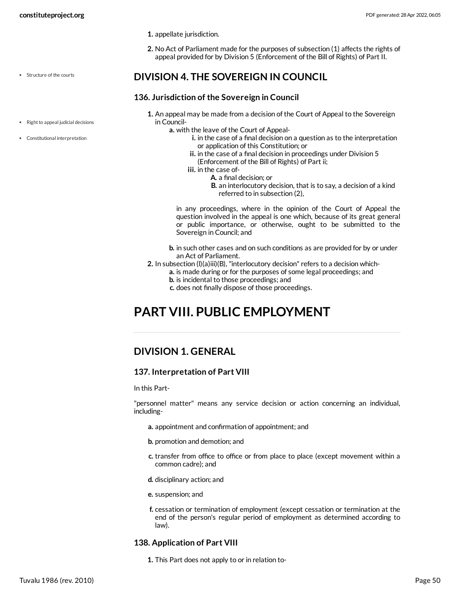- **1.** appellate jurisdiction.
- **2.** No Act of Parliament made for the purposes of subsection (1) affects the rights of appeal provided for by Division 5 (Enforcement of the Bill of Rights) of Part II.

Structure of the courts

• Right to appeal judicial decisions

Constitutional interpretation

# **DIVISION 4. THE SOVEREIGN IN COUNCIL**

#### **136. Jurisdiction of the Sovereign in Council**

- **1.** An appeal may be made from a decision of the Court of Appeal to the Sovereign in Council
	- **a.** with the leave of the Court of Appeal
		- **i.** in the case of a final decision on a question as to the interpretation or application of this Constitution; or
		- **ii.** in the case of a final decision in proceedings under Division 5 (Enforcement of the Bill of Rights) of Part ii;
		- **iii.** in the case of-
			- **A.** a final decision; or
			- **B.** an interlocutory decision, that is to say, a decision of a kind referred to in subsection (2),

in any proceedings, where in the opinion of the Court of Appeal the question involved in the appeal is one which, because of its great general or public importance, or otherwise, ought to be submitted to the Sovereign in Council; and

- **b.** in such other cases and on such conditions as are provided for by or under an Act of Parliament.
- **2.** In subsection (l)(a)iii)(B), "interlocutory decision" refers to a decision which
	- **a.** is made during or for the purposes of some legal proceedings; and
		- **b.** is incidental to those proceedings; and
		- **c.** does not finally dispose of those proceedings.

# **PART VIII. PUBLIC EMPLOYMENT**

# **DIVISION 1. GENERAL**

#### **137. Interpretation of Part VIII**

In this Part-

"personnel matter" means any service decision or action concerning an individual, including-

- **a.** appointment and confirmation of appointment; and
- **b.** promotion and demotion; and
- **c.** transfer from office to office or from place to place (except movement within a common cadre); and
- **d.** disciplinary action; and
- **e.** suspension; and
- **f.** cessation or termination of employment (except cessation or termination at the end of the person's regular period of employment as determined according to law).

#### **138. Application of Part VIII**

**1.** This Part does not apply to or in relation to-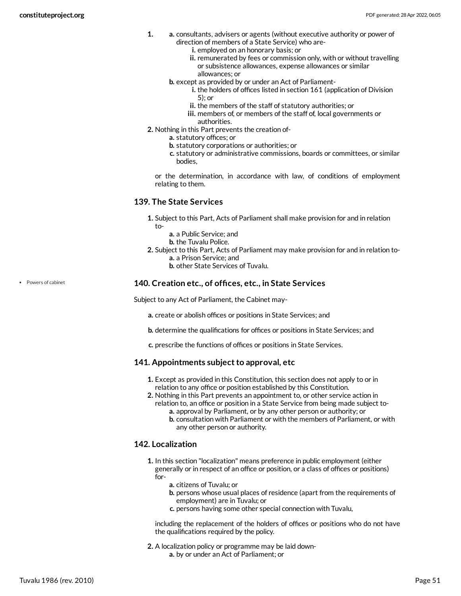- **1. a.** consultants, advisers or agents (without executive authority or power of direction of members of a State Service) who are
	- **i.** employed on an honorary basis; or
	- **ii.** remunerated by fees or commission only, with or without travelling or subsistence allowances, expense allowances or similar allowances; or
	- **b.** except as provided by or under an Act of Parliament
		- **i.** the holders of offices listed in section 161 (application of Division 5); or
		- **ii.** the members of the staff of statutory authorities; or
		- **iii.** members of, or members of the staff of, local governments or authorities.
- **2.** Nothing in this Part prevents the creation of
	- **a.** statutory offices; or
	- **b.** statutory corporations or authorities; or
	- **c.** statutory or administrative commissions, boards or committees, or similar bodies,

or the determination, in accordance with law, of conditions of employment relating to them.

#### **139. The State Services**

- **1.** Subject to this Part, Acts of Parliament shall make provision for and in relation to
	- **a.** a Public Service; and
	- **b.** the Tuvalu Police.
- **2.** Subject to this Part, Acts of Parliament may make provision for and in relation to**a.** a Prison Service; and
	- **b.** other State Services of Tuvalu.

Powers of cabinet

#### **140. Creation etc., of offices, etc., in State Services**

Subject to any Act of Parliament, the Cabinet may-

**a.** create or abolish offices or positions in State Services; and

- **b.** determine the qualifications for offices or positions in State Services; and
- **c.** prescribe the functions of offices or positions in State Services.

#### **141.** Appointments subject to approval, etc

- **1.** Except as provided in this Constitution, this section does not apply to or in relation to any office or position established by this Constitution.
- **2.** Nothing in this Part prevents an appointment to, or other service action in relation to, an office or position in a State Service from being made subject to
	- **a.** approval by Parliament, or by any other person or authority; or
	- **b.** consultation with Parliament or with the members of Parliament, or with any other person or authority.

#### **142. Localization**

- **1.** In this section "localization" means preference in public employment (either generally or in respect of an office or position, or a class of offices or positions) for
	- **a.** citizens of Tuvalu; or
	- **b.** persons whose usual places of residence (apart from the requirements of employment) are in Tuvalu; or
	- **c.** persons having some other special connection with Tuvalu,

including the replacement of the holders of offices or positions who do not have the qualifications required by the policy.

**2.** A localization policy or programme may be laid down**a.** by or under an Act of Parliament; or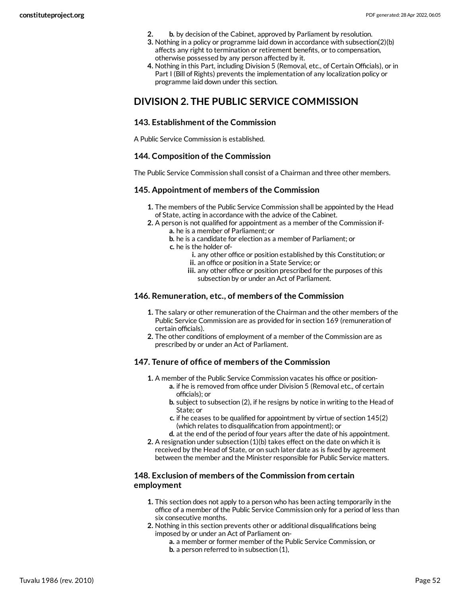- **2. b.** by decision of the Cabinet, approved by Parliament by resolution.
- **3.** Nothing in a policy or programme laid down in accordance with subsection(2)(b) affects any right to termination or retirement benefits, or to compensation, otherwise possessed by any person affected by it.
- **4.** Nothing in this Part, including Division 5 (Removal, etc., of Certain Officials), or in Part I (Bill of Rights) prevents the implementation of any localization policy or programme laid down under this section.

# **DIVISION 2. THE PUBLIC SERVICE COMMISSION**

#### **143. Establishment of the Commission**

A Public Service Commission is established.

#### **144. Composition of the Commission**

The Public Service Commission shall consist of a Chairman and three other members.

#### **145. Appointment of members of the Commission**

- **1.** The members of the Public Service Commission shall be appointed by the Head of State, acting in accordance with the advice of the Cabinet.
- **2.** A person is not qualified for appointment as a member of the Commission if
	- **a.** he is a member of Parliament; or
	- **b.** he is a candidate for election as a member of Parliament; or
	- **c.** he is the holder of
		- **i.** any other office or position established by this Constitution; or
		- **ii.** an office or position in a State Service; or
		- **iii.** any other office or position prescribed for the purposes of this subsection by or under an Act of Parliament.

#### **146. Remuneration, etc., of members of the Commission**

- **1.** The salary or other remuneration of the Chairman and the other members of the Public Service Commission are as provided for in section 169 (remuneration of certain officials).
- **2.** The other conditions of employment of a member of the Commission are as prescribed by or under an Act of Parliament.

#### **147. Tenure of office of members of the Commission**

- **1.** A member of the Public Service Commission vacates his office or position
	- **a.** if he is removed from office under Division 5 (Removal etc., of certain officials); or
	- **b.** subject to subsection (2), if he resigns by notice in writing to the Head of State; or
	- **c.** if he ceases to be qualified for appointment by virtue of section 145(2) (which relates to disqualification from appointment); or
	- **d.** at the end of the period of four years after the date of his appointment.
- **2.** A resignation under subsection (1)(b) takes effect on the date on which it is received by the Head of State, or on such later date as is fixed by agreement between the member and the Minister responsible for Public Service matters.

#### **148. Exclusion of members of the Commission from certain employment**

- **1.** This section does not apply to a person who has been acting temporarily in the office of a member of the Public Service Commission only for a period of less than six consecutive months.
- **2.** Nothing in this section prevents other or additional disqualifications being imposed by or under an Act of Parliament on
	- **a.** a member or former member of the Public Service Commission, or **b.** a person referred to in subsection (1),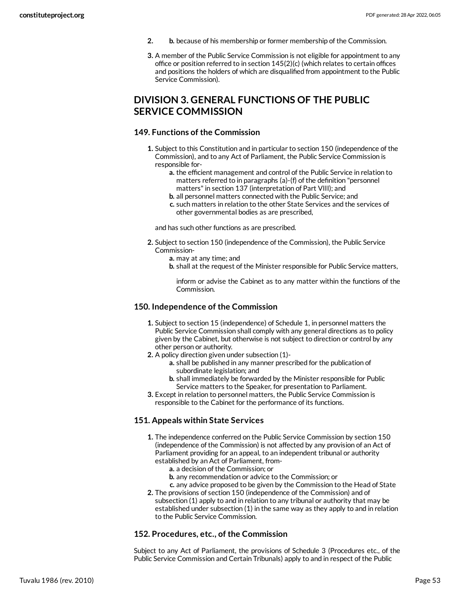- **2. b.** because of his membership or former membership of the Commission.
- **3.** A member of the Public Service Commission is not eligible for appointment to any office or position referred to in section 145(2)(c) (which relates to certain offices and positions the holders of which are disqualified from appointment to the Public Service Commission).

# **DIVISION 3. GENERAL FUNCTIONS OF THE PUBLIC SERVICE COMMISSION**

#### **149. Functions of the Commission**

- **1.** Subject to this Constitution and in particular to section 150 (independence of the Commission), and to any Act of Parliament, the Public Service Commission is responsible for
	- **a.** the efficient management and control of the Public Service in relation to matters referred to in paragraphs (a)-(f) of the definition "personnel matters" in section 137 (interpretation of Part VIII); and
	- **b.** all personnel matters connected with the Public Service; and
	- **c.** such matters in relation to the other State Services and the services of other governmental bodies as are prescribed,

and has such other functions as are prescribed.

- **2.** Subject to section 150 (independence of the Commission), the Public Service Commission
	- **a.** may at any time; and
	- **b.** shall at the request of the Minister responsible for Public Service matters,

inform or advise the Cabinet as to any matter within the functions of the Commission.

#### **150. Independence of the Commission**

- **1.** Subject to section 15 (independence) of Schedule 1, in personnel matters the Public Service Commission shall comply with any general directions as to policy given by the Cabinet, but otherwise is not subject to direction or control by any other person or authority.
- **2.** A policy direction given under subsection (1)
	- **a.** shall be published in any manner prescribed for the publication of subordinate legislation; and
	- **b.** shall immediately be forwarded by the Minister responsible for Public Service matters to the Speaker, for presentation to Parliament.
- **3.** Except in relation to personnel matters, the Public Service Commission is responsible to the Cabinet for the performance of its functions.

#### **151. Appeals within State Services**

- **1.** The independence conferred on the Public Service Commission by section 150 (independence of the Commission) is not affected by any provision of an Act of Parliament providing for an appeal, to an independent tribunal or authority established by an Act of Parliament, from
	- **a.** a decision of the Commission; or
	- **b.** any recommendation or advice to the Commission; or
- **c.** any advice proposed to be given by the Commission to the Head of State **2.** The provisions of section 150 (independence of the Commission) and of subsection (1) apply to and in relation to any tribunal or authority that may be established under subsection (1) in the same way as they apply to and in relation to the Public Service Commission.

#### **152. Procedures, etc., of the Commission**

Subject to any Act of Parliament, the provisions of Schedule 3 (Procedures etc., of the Public Service Commission and Certain Tribunals) apply to and in respect of the Public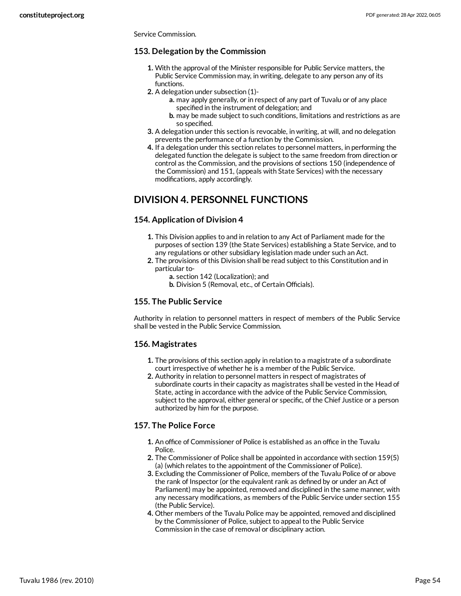Service Commission.

### **153. Delegation by the Commission**

- **1.** With the approval of the Minister responsible for Public Service matters, the Public Service Commission may, in writing, delegate to any person any of its functions.
- **2.** A delegation under subsection (1)
	- **a.** may apply generally, or in respect of any part of Tuvalu or of any place specified in the instrument of delegation; and
	- **b.** may be made subject to such conditions, limitations and restrictions as are so specified.
- **3.** A delegation under this section is revocable, in writing, at will, and no delegation prevents the performance of a function by the Commission.
- **4.** If a delegation under this section relates to personnel matters, in performing the delegated function the delegate is subject to the same freedom from direction or control as the Commission, and the provisions of sections 150 (independence of the Commission) and 151, (appeals with State Services) with the necessary modifications, apply accordingly.

# **DIVISION 4. PERSONNEL FUNCTIONS**

### **154. Application of Division 4**

- **1.** This Division applies to and in relation to any Act of Parliament made for the purposes of section 139 (the State Services) establishing a State Service, and to any regulations or other subsidiary legislation made under such an Act.
- **2.** The provisions of this Division shall be read subject to this Constitution and in particular to
	- **a.** section 142 (Localization); and
	- **b.** Division 5 (Removal, etc., of Certain Officials).

### **155. The Public Service**

Authority in relation to personnel matters in respect of members of the Public Service shall be vested in the Public Service Commission.

### **156. Magistrates**

- **1.** The provisions of this section apply in relation to a magistrate of a subordinate court irrespective of whether he is a member of the Public Service.
- **2.** Authority in relation to personnel matters in respect of magistrates of subordinate courts in their capacity as magistrates shall be vested in the Head of State, acting in accordance with the advice of the Public Service Commission, subject to the approval, either general or specific, of the Chief Justice or a person authorized by him for the purpose.

### **157. The Police Force**

- **1.** An office of Commissioner of Police is established as an office in the Tuvalu Police.
- **2.** The Commissioner of Police shall be appointed in accordance with section 159(5) (a) (which relates to the appointment of the Commissioner of Police).
- **3.** Excluding the Commissioner of Police, members of the Tuvalu Police of or above the rank of Inspector (or the equivalent rank as defined by or under an Act of Parliament) may be appointed, removed and disciplined in the same manner, with any necessary modifications, as members of the Public Service under section 155 (the Public Service).
- **4.** Other members of the Tuvalu Police may be appointed, removed and disciplined by the Commissioner of Police, subject to appeal to the Public Service Commission in the case of removal or disciplinary action.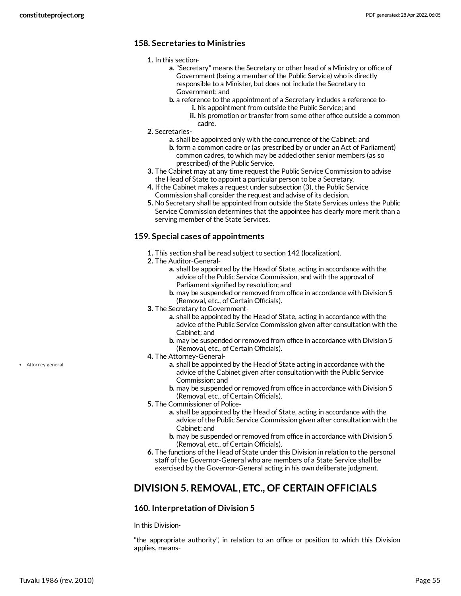#### **158. Secretaries to Ministries**

- **1.** In this section
	- **a.** "Secretary" means the Secretary or other head of a Ministry or office of Government (being a member of the Public Service) who is directly responsible to a Minister, but does not include the Secretary to Government; and
	- **b.** a reference to the appointment of a Secretary includes a reference to**i.** his appointment from outside the Public Service; and
		- **ii.** his promotion or transfer from some other office outside a common cadre.
- **2.** Secretaries
	- **a.** shall be appointed only with the concurrence of the Cabinet; and **b.** form a common cadre or (as prescribed by or under an Act of Parliament) common cadres, to which may be added other senior members (as so prescribed) of the Public Service.
- **3.** The Cabinet may at any time request the Public Service Commission to advise the Head of State to appoint a particular person to be a Secretary.
- **4.** If the Cabinet makes a request under subsection (3), the Public Service Commission shall consider the request and advise of its decision.
- **5.** No Secretary shall be appointed from outside the State Services unless the Public Service Commission determines that the appointee has clearly more merit than a serving member of the State Services.

#### **159. Special cases of appointments**

- **1.** This section shall be read subject to section 142 (localization).
- **2.** The Auditor-General
	- **a.** shall be appointed by the Head of State, acting in accordance with the advice of the Public Service Commission, and with the approval of Parliament signified by resolution; and
	- **b.** may be suspended or removed from office in accordance with Division 5 (Removal, etc., of Certain Officials).
- **3.** The Secretary to Government
	- **a.** shall be appointed by the Head of State, acting in accordance with the advice of the Public Service Commission given after consultation with the Cabinet; and
	- **b.** may be suspended or removed from office in accordance with Division 5 (Removal, etc., of Certain Officials).
- **4.** The Attorney-General
	- **a.** shall be appointed by the Head of State acting in accordance with the advice of the Cabinet given after consultation with the Public Service Commission; and
	- **b.** may be suspended or removed from office in accordance with Division 5 (Removal, etc., of Certain Officials).
- **5.** The Commissioner of Police
	- **a.** shall be appointed by the Head of State, acting in accordance with the advice of the Public Service Commission given after consultation with the Cabinet; and
	- **b.** may be suspended or removed from office in accordance with Division 5 (Removal, etc., of Certain Officials).
	- **6.** The functions of the Head of State under this Division in relation to the personal staff of the Governor-General who are members of a State Service shall be exercised by the Governor-General acting in his own deliberate judgment.

# **DIVISION 5. REMOVAL, ETC., OF CERTAIN OFFICIALS**

#### **160. Interpretation of Division 5**

In this Division-

"the appropriate authority", in relation to an office or position to which this Division applies, means-

Attorney general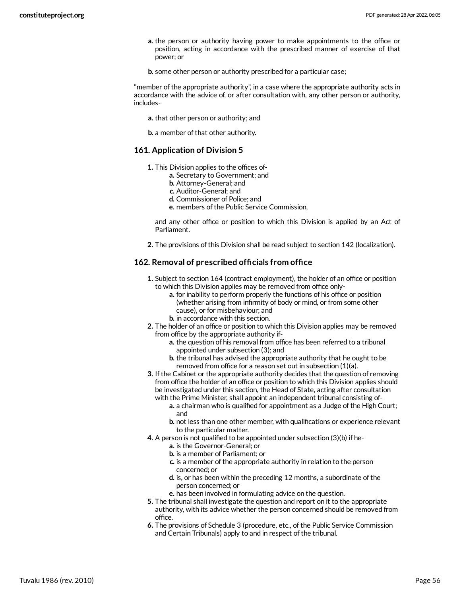- **a.** the person or authority having power to make appointments to the office or position, acting in accordance with the prescribed manner of exercise of that power; or
- **b.** some other person or authority prescribed for a particular case;

"member of the appropriate authority", in a case where the appropriate authority acts in accordance with the advice of, or after consultation with, any other person or authority, includes-

**a.** that other person or authority; and

**b.** a member of that other authority.

#### **161. Application of Division 5**

- **1.** This Division applies to the offices of
	- **a.** Secretary to Government; and
		- **b.** Attorney-General; and
		- **c.** Auditor-General; and
		- **d.** Commissioner of Police; and
		- **e.** members of the Public Service Commission,

and any other office or position to which this Division is applied by an Act of Parliament.

**2.** The provisions of this Division shall be read subject to section 142 (localization).

#### **162. Removal of prescribed officials from office**

- **1.** Subject to section 164 (contract employment), the holder of an office or position to which this Division applies may be removed from office only
	- **a.** for inability to perform properly the functions of his office or position (whether arising from infirmity of body or mind, or from some other cause), or for misbehaviour; and
	- **b.** in accordance with this section.
- **2.** The holder of an office or position to which this Division applies may be removed from office by the appropriate authority if
	- **a.** the question of his removal from office has been referred to a tribunal appointed under subsection (3); and
	- **b.** the tribunal has advised the appropriate authority that he ought to be removed from office for a reason set out in subsection (1)(a).
- **3.** If the Cabinet or the appropriate authority decides that the question of removing from office the holder of an office or position to which this Division applies should be investigated under this section, the Head of State, acting after consultation with the Prime Minister, shall appoint an independent tribunal consisting of
	- **a.** a chairman who is qualified for appointment as a Judge of the High Court; and
		- **b.** not less than one other member, with qualifications or experience relevant to the particular matter.
- **4.** A person is not qualified to be appointed under subsection (3)(b) if he
	- **a.** is the Governor-General; or
	- **b.** is a member of Parliament; or
	- **c.** is a member of the appropriate authority in relation to the person concerned; or
	- **d.** is, or has been within the preceding 12 months, a subordinate of the person concerned; or
	- **e.** has been involved in formulating advice on the question.
- **5.** The tribunal shall investigate the question and report on it to the appropriate authority, with its advice whether the person concerned should be removed from office.
- **6.** The provisions of Schedule 3 (procedure, etc., of the Public Service Commission and Certain Tribunals) apply to and in respect of the tribunal.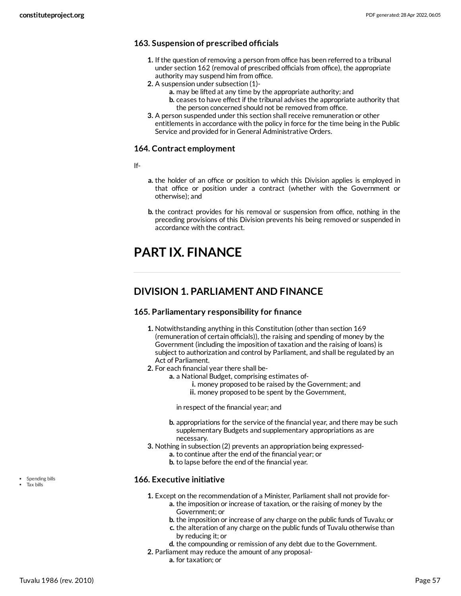#### **163. Suspension of prescribed officials**

- **1.** If the question of removing a person from office has been referred to a tribunal under section 162 (removal of prescribed officials from office), the appropriate authority may suspend him from office.
- **2.** A suspension under subsection (1)
	- **a.** may be lifted at any time by the appropriate authority; and **b.** ceases to have effect if the tribunal advises the appropriate authority that the person concerned should not be removed from office.
- **3.** A person suspended under this section shall receive remuneration or other entitlements in accordance with the policy in force for the time being in the Public Service and provided for in General Administrative Orders.

#### **164. Contract employment**

If-

- **a.** the holder of an office or position to which this Division applies is employed in that office or position under a contract (whether with the Government or otherwise); and
- **b.** the contract provides for his removal or suspension from office, nothing in the preceding provisions of this Division prevents his being removed or suspended in accordance with the contract.

# **PART IX. FINANCE**

### **DIVISION 1. PARLIAMENT AND FINANCE**

#### **165. Parliamentary responsibility for finance**

- **1.** Notwithstanding anything in this Constitution (other than section 169 (remuneration of certain officials)), the raising and spending of money by the Government (including the imposition of taxation and the raising of loans) is subject to authorization and control by Parliament, and shall be regulated by an Act of Parliament.
- **2.** For each financial year there shall be
	- **a.** a National Budget, comprising estimates of
		- **i.** money proposed to be raised by the Government; and **ii.** money proposed to be spent by the Government,

in respect of the financial year; and

- **b.** appropriations for the service of the financial year, and there may be such supplementary Budgets and supplementary appropriations as are necessary.
- **3.** Nothing in subsection (2) prevents an appropriation being expressed**a.** to continue after the end of the financial year; or
	- **b.** to lapse before the end of the financial year.

#### **166. Executive initiative**

- **1.** Except on the recommendation of a Minister, Parliament shall not provide for
	- **a.** the imposition or increase of taxation, or the raising of money by the Government; or
	- **b.** the imposition or increase of any charge on the public funds of Tuvalu; or
	- **c.** the alteration of any charge on the public funds of Tuvalu otherwise than by reducing it; or
	- **d.** the compounding or remission of any debt due to the Government.
- **2.** Parliament may reduce the amount of any proposal
	- **a.** for taxation; or
- Spending bills
- Tax bills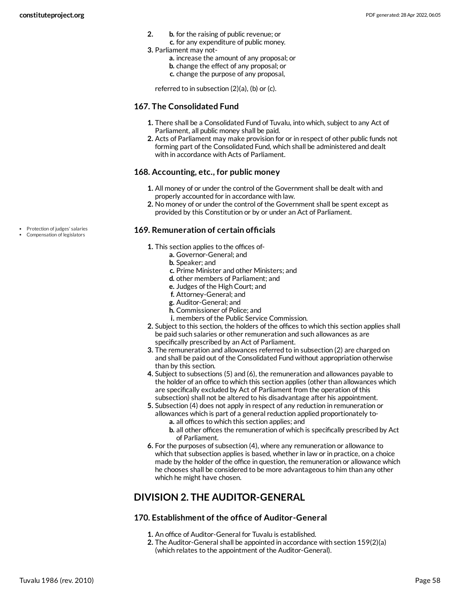- **2. b.** for the raising of public revenue; or
	- **c.** for any expenditure of public money.
- **3.** Parliament may not
	- **a.** increase the amount of any proposal; or
	- **b.** change the effect of any proposal; or
	- **c.** change the purpose of any proposal,

referred to in subsection (2)(a), (b) or (c).

#### **167. The Consolidated Fund**

- **1.** There shall be a Consolidated Fund of Tuvalu, into which, subject to any Act of Parliament, all public money shall be paid.
- **2.** Acts of Parliament may make provision for or in respect of other public funds not forming part of the Consolidated Fund, which shall be administered and dealt with in accordance with Acts of Parliament.

#### **168. Accounting, etc., for public money**

- **1.** All money of or under the control of the Government shall be dealt with and properly accounted for in accordance with law.
- **2.** No money of or under the control of the Government shall be spent except as provided by this Constitution or by or under an Act of Parliament.

#### **169. Remuneration of certain officials**

- **1.** This section applies to the offices of
	- **a.** Governor-General; and
		- **b.** Speaker; and
		- **c.** Prime Minister and other Ministers; and
		- **d.** other members of Parliament; and
		- **e.** Judges of the High Court; and
		- **f.** Attorney-General; and
		- **g.** Auditor-General; and
		- **h.** Commissioner of Police; and
		- **i.** members of the Public Service Commission.
- **2.** Subject to this section, the holders of the offices to which this section applies shall be paid such salaries or other remuneration and such allowances as are specifically prescribed by an Act of Parliament.
- **3.** The remuneration and allowances referred to in subsection (2) are charged on and shall be paid out of the Consolidated Fund without appropriation otherwise than by this section.
- **4.** Subject to subsections (5) and (6), the remuneration and allowances payable to the holder of an office to which this section applies (other than allowances which are specifically excluded by Act of Parliament from the operation of this subsection) shall not be altered to his disadvantage after his appointment.
- **5.** Subsection (4) does not apply in respect of any reduction in remuneration or allowances which is part of a general reduction applied proportionately to
	- **a.** all offices to which this section applies; and
	- **b.** all other offices the remuneration of which is specifically prescribed by Act of Parliament.
- **6.** For the purposes of subsection (4), where any remuneration or allowance to which that subsection applies is based, whether in law or in practice, on a choice made by the holder of the office in question, the remuneration or allowance which he chooses shall be considered to be more advantageous to him than any other which he might have chosen.

# **DIVISION 2. THE AUDITOR-GENERAL**

### **170. Establishment of the office of Auditor-General**

- **1.** An office of Auditor-General for Tuvalu is established.
- **2.** The Auditor-General shall be appointed in accordance with section 159(2)(a) (which relates to the appointment of the Auditor-General).

Protection of judges' salaries Compensation of legislators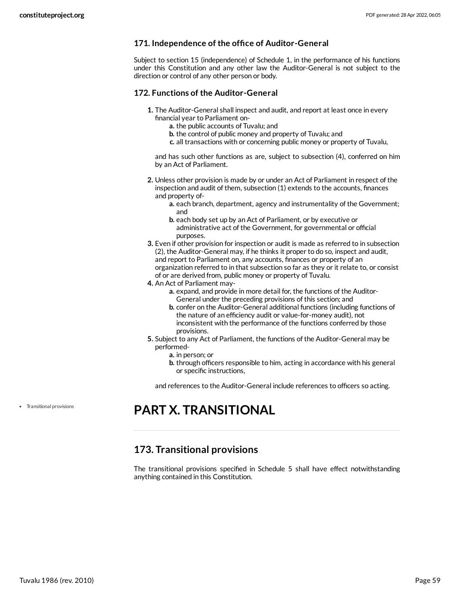#### **171. Independence of the office of Auditor-General**

Subject to section 15 (independence) of Schedule 1, in the performance of his functions under this Constitution and any other law the Auditor-General is not subject to the direction or control of any other person or body.

#### **172. Functions of the Auditor-General**

- **1.** The Auditor-General shall inspect and audit, and report at least once in every financial year to Parliament on
	- **a.** the public accounts of Tuvalu; and
	- **b.** the control of public money and property of Tuvalu; and
	- **c.** all transactions with or concerning public money or property of Tuvalu,

and has such other functions as are, subject to subsection (4), conferred on him by an Act of Parliament.

- **2.** Unless other provision is made by or under an Act of Parliament in respect of the inspection and audit of them, subsection (1) extends to the accounts, finances and property of
	- **a.** each branch, department, agency and instrumentality of the Government; and
	- **b.** each body set up by an Act of Parliament, or by executive or administrative act of the Government, for governmental or official purposes.
- **3.** Even if other provision for inspection or audit is made as referred to in subsection (2), the Auditor-General may, if he thinks it proper to do so, inspect and audit, and report to Parliament on, any accounts, finances or property of an organization referred to in that subsection so far as they or it relate to, or consist of or are derived from, public money or property of Tuvalu.
- **4.** An Act of Parliament may
	- **a.** expand, and provide in more detail for, the functions of the Auditor-General under the preceding provisions of this section; and
	- **b.** confer on the Auditor-General additional functions (including functions of the nature of an efficiency audit or value-for-money audit), not inconsistent with the performance of the functions conferred by those provisions.
- **5.** Subject to any Act of Parliament, the functions of the Auditor-General may be performed
	- **a.** in person; or
	- **b.** through officers responsible to him, acting in accordance with his general or specific instructions,

and references to the Auditor-General include references to officers so acting.

Transitional provisions

# **PART X. TRANSITIONAL**

### **173. Transitional provisions**

The transitional provisions specified in Schedule 5 shall have effect notwithstanding anything contained in this Constitution.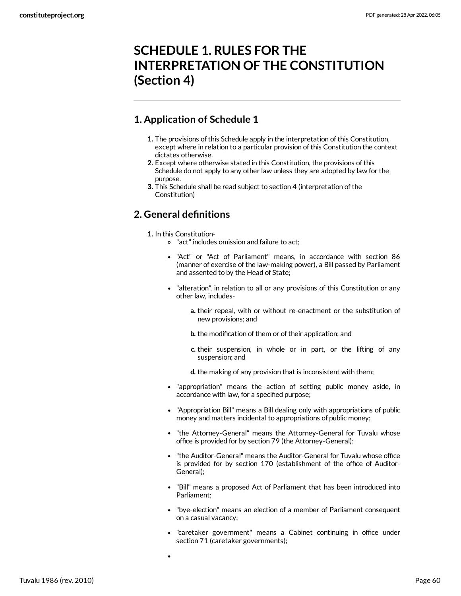# **SCHEDULE 1. RULES FOR THE INTERPRETATION OF THE CONSTITUTION (Section 4)**

# **1. Application of Schedule 1**

- **1.** The provisions of this Schedule apply in the interpretation of this Constitution, except where in relation to a particular provision of this Constitution the context dictates otherwise.
- **2.** Except where otherwise stated in this Constitution, the provisions of this Schedule do not apply to any other law unless they are adopted by law for the purpose.
- **3.** This Schedule shall be read subject to section 4 (interpretation of the Constitution)

# **2. General definitions**

- **1.** In this Constitution-
	- "act" includes omission and failure to act;
	- "Act" or "Act of Parliament" means, in accordance with section 86 (manner of exercise of the law-making power), a Bill passed by Parliament and assented to by the Head of State;
	- "alteration", in relation to all or any provisions of this Constitution or any other law, includes
		- **a.** their repeal, with or without re-enactment or the substitution of new provisions; and
		- **b.** the modification of them or of their application; and
		- **c.** their suspension, in whole or in part, or the lifting of any suspension; and
		- **d.** the making of any provision that is inconsistent with them;
	- "appropriation" means the action of setting public money aside, in accordance with law, for a specified purpose;
	- "Appropriation Bill" means a Bill dealing only with appropriations of public money and matters incidental to appropriations of public money;
	- "the Attorney-General" means the Attorney-General for Tuvalu whose office is provided for by section 79 (the Attorney-General);
	- "the Auditor-General" means the Auditor-General for Tuvalu whose office is provided for by section 170 (establishment of the office of Auditor-General);
	- "Bill" means a proposed Act of Parliament that has been introduced into Parliament;
	- "bye-election" means an election of a member of Parliament consequent on a casual vacancy;
	- "caretaker government" means a Cabinet continuing in office under section 71 (caretaker governments);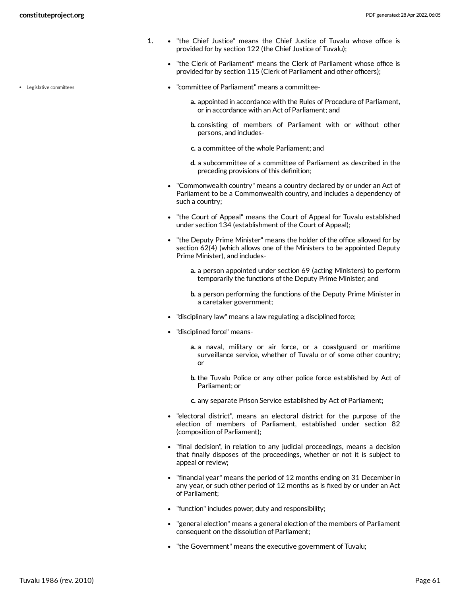Legislative committees

- **1.** "the Chief Justice" means the Chief Justice of Tuvalu whose office is provided for by section 122 (the Chief Justice of Tuvalu);
	- "the Clerk of Parliament" means the Clerk of Parliament whose office is provided for by section 115 (Clerk of Parliament and other officers);
	- "committee of Parliament" means a committee
		- **a.** appointed in accordance with the Rules of Procedure of Parliament, or in accordance with an Act of Parliament; and
		- **b.** consisting of members of Parliament with or without other persons, and includes-
		- **c.** a committee of the whole Parliament; and
		- **d.** a subcommittee of a committee of Parliament as described in the preceding provisions of this definition;
	- "Commonwealth country" means a country declared by or under an Act of Parliament to be a Commonwealth country, and includes a dependency of such a country;
	- "the Court of Appeal" means the Court of Appeal for Tuvalu established under section 134 (establishment of the Court of Appeal);
	- "the Deputy Prime Minister" means the holder of the office allowed for by section 62(4) (which allows one of the Ministers to be appointed Deputy Prime Minister), and includes
		- **a.** a person appointed under section 69 (acting Ministers) to perform temporarily the functions of the Deputy Prime Minister; and
		- **b.** a person performing the functions of the Deputy Prime Minister in a caretaker government;
	- "disciplinary law" means a law regulating a disciplined force;
	- "disciplined force" means
		- **a.** a naval, military or air force, or a coastguard or maritime surveillance service, whether of Tuvalu or of some other country; or
		- **b.** the Tuvalu Police or any other police force established by Act of Parliament; or
		- **c.** any separate Prison Service established by Act of Parliament;
	- "electoral district", means an electoral district for the purpose of the election of members of Parliament, established under section 82 (composition of Parliament);
	- "final decision", in relation to any judicial proceedings, means a decision that finally disposes of the proceedings, whether or not it is subject to appeal or review;
	- "financial year" means the period of 12 months ending on 31 December in any year, or such other period of 12 months as is fixed by or under an Act of Parliament;
	- "function" includes power, duty and responsibility;
	- "general election" means a general election of the members of Parliament consequent on the dissolution of Parliament;
	- "the Government" means the executive government of Tuvalu;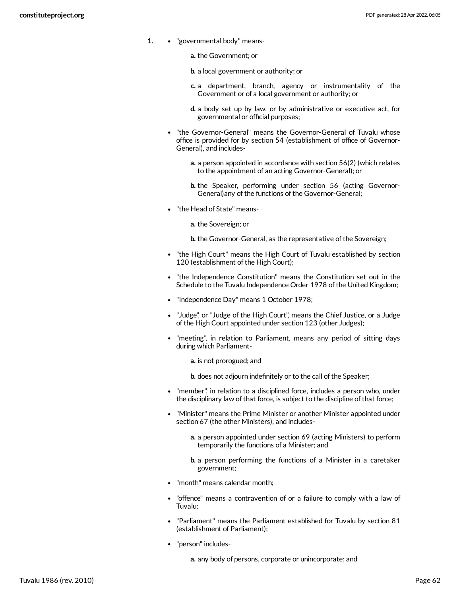**1.** "governmental body" means-

**a.** the Government; or

**b.** a local government or authority; or

- **c.** a department, branch, agency or instrumentality of the Government or of a local government or authority; or
- **d.** a body set up by law, or by administrative or executive act, for governmental or official purposes;
- "the Governor-General" means the Governor-General of Tuvalu whose office is provided for by section 54 (establishment of office of Governor-General), and includes-

**a.** a person appointed in accordance with section 56(2) (which relates to the appointment of an acting Governor-General); or

- **b.** the Speaker, performing under section 56 (acting Governor-General)any of the functions of the Governor-General;
- "the Head of State" means
	- **a.** the Sovereign; or

**b.** the Governor-General, as the representative of the Sovereign;

- "the High Court" means the High Court of Tuvalu established by section 120 (establishment of the High Court);
- "the Independence Constitution" means the Constitution set out in the Schedule to the Tuvalu Independence Order 1978 of the United Kingdom;
- "Independence Day" means 1 October 1978;
- "Judge", or "Judge of the High Court", means the Chief Justice, or a Judge of the High Court appointed under section 123 (other Judges);
- "meeting", in relation to Parliament, means any period of sitting days during which Parliament-

**a.** is not prorogued; and

**b.** does not adjourn indefinitely or to the call of the Speaker;

- "member", in relation to a disciplined force, includes a person who, under the disciplinary law of that force, is subject to the discipline of that force;
- "Minister" means the Prime Minister or another Minister appointed under section 67 (the other Ministers), and includes
	- **a.** a person appointed under section 69 (acting Ministers) to perform temporarily the functions of a Minister; and
	- **b.** a person performing the functions of a Minister in a caretaker government;
- "month" means calendar month;
- "offence" means a contravention of or a failure to comply with a law of Tuvalu;
- "Parliament" means the Parliament established for Tuvalu by section 81 (establishment of Parliament);
- "person" includes-

**a.** any body of persons, corporate or unincorporate; and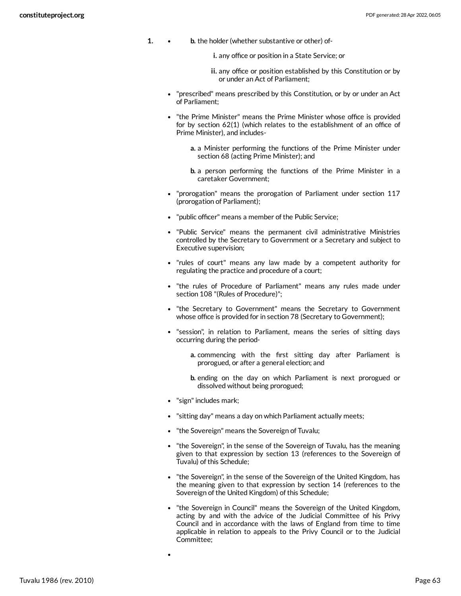- **1. b.** the holder (whether substantive or other) of
	- **i.** any office or position in a State Service; or
	- **ii.** any office or position established by this Constitution or by or under an Act of Parliament;
	- "prescribed" means prescribed by this Constitution, or by or under an Act of Parliament;
	- "the Prime Minister" means the Prime Minister whose office is provided for by section 62(1) (which relates to the establishment of an office of Prime Minister), and includes
		- **a.** a Minister performing the functions of the Prime Minister under section 68 (acting Prime Minister); and
		- **b.** a person performing the functions of the Prime Minister in a caretaker Government;
	- "prorogation" means the prorogation of Parliament under section 117 (prorogation of Parliament);
	- "public officer" means a member of the Public Service;
	- "Public Service" means the permanent civil administrative Ministries controlled by the Secretary to Government or a Secretary and subject to Executive supervision;
	- "rules of court" means any law made by a competent authority for regulating the practice and procedure of a court;
	- "the rules of Procedure of Parliament" means any rules made under section 108 "(Rules of Procedure)";
	- "the Secretary to Government" means the Secretary to Government whose office is provided for in section 78 (Secretary to Government);
	- "session", in relation to Parliament, means the series of sitting days occurring during the period
		- **a.** commencing with the first sitting day after Parliament is prorogued, or after a general election; and
		- **b.** ending on the day on which Parliament is next prorogued or dissolved without being prorogued;
	- "sign" includes mark;
	- "sitting day" means a day on which Parliament actually meets;
	- "the Sovereign" means the Sovereign of Tuvalu;
	- "the Sovereign", in the sense of the Sovereign of Tuvalu, has the meaning given to that expression by section 13 (references to the Sovereign of Tuvalu) of this Schedule;
	- "the Sovereign", in the sense of the Sovereign of the United Kingdom, has the meaning given to that expression by section 14 (references to the Sovereign of the United Kingdom) of this Schedule;
	- "the Sovereign in Council" means the Sovereign of the United Kingdom, acting by and with the advice of the Judicial Committee of his Privy Council and in accordance with the laws of England from time to time applicable in relation to appeals to the Privy Council or to the Judicial Committee;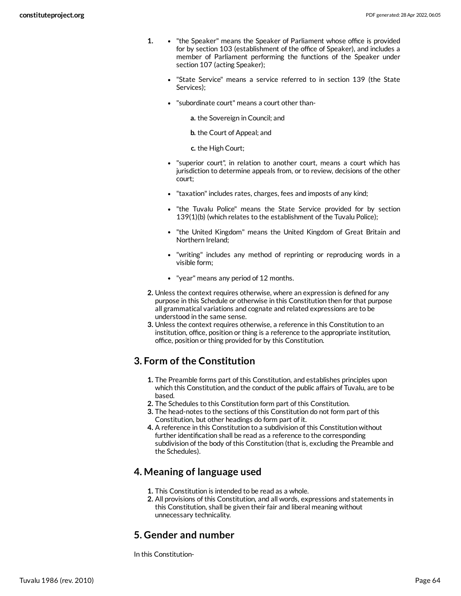- **1.** "the Speaker" means the Speaker of Parliament whose office is provided for by section 103 (establishment of the office of Speaker), and includes a member of Parliament performing the functions of the Speaker under section 107 (acting Speaker);
	- "State Service" means a service referred to in section 139 (the State Services);
	- "subordinate court" means a court other than-

**a.** the Sovereign in Council; and

**b.** the Court of Appeal; and

**c.** the High Court;

- "superior court", in relation to another court, means a court which has jurisdiction to determine appeals from, or to review, decisions of the other court;
- "taxation" includes rates, charges, fees and imposts of any kind;
- "the Tuvalu Police" means the State Service provided for by section 139(1)(b) (which relates to the establishment of the Tuvalu Police);
- "the United Kingdom" means the United Kingdom of Great Britain and Northern Ireland;
- "writing" includes any method of reprinting or reproducing words in a visible form;
- "year" means any period of 12 months.
- **2.** Unless the context requires otherwise, where an expression is defined for any purpose in this Schedule or otherwise in this Constitution then for that purpose all grammatical variations and cognate and related expressions are to be understood in the same sense.
- **3.** Unless the context requires otherwise, a reference in this Constitution to an institution, office, position or thing is a reference to the appropriate institution, office, position or thing provided for by this Constitution.

# **3. Form of the Constitution**

- **1.** The Preamble forms part of this Constitution, and establishes principles upon which this Constitution, and the conduct of the public affairs of Tuvalu, are to be based.
- **2.** The Schedules to this Constitution form part of this Constitution.
- **3.** The head-notes to the sections of this Constitution do not form part of this Constitution, but other headings do form part of it.
- **4.** A reference in this Constitution to a subdivision of this Constitution without further identification shall be read as a reference to the corresponding subdivision of the body of this Constitution (that is, excluding the Preamble and the Schedules).

# **4. Meaning of language used**

- **1.** This Constitution is intended to be read as a whole.
- **2.** All provisions of this Constitution, and all words, expressions and statements in this Constitution, shall be given their fair and liberal meaning without unnecessary technicality.

# **5. Gender and number**

In this Constitution-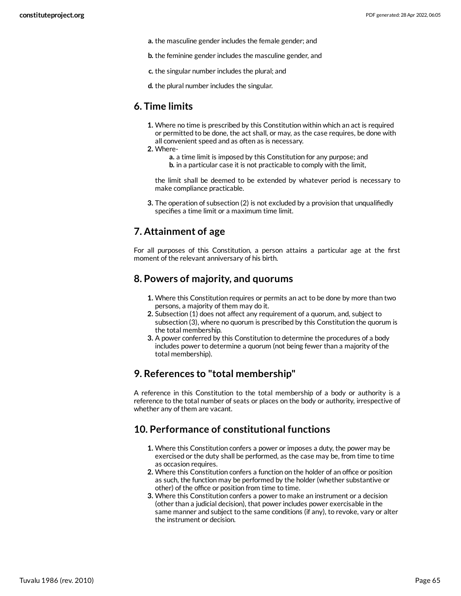- **a.** the masculine gender includes the female gender; and
- **b.** the feminine gender includes the masculine gender, and
- **c.** the singular number includes the plural; and
- **d.** the plural number includes the singular.

### **6. Time limits**

- **1.** Where no time is prescribed by this Constitution within which an act is required or permitted to be done, the act shall, or may, as the case requires, be done with all convenient speed and as often as is necessary.
- **2.** Where
	- **a.** a time limit is imposed by this Constitution for any purpose; and **b.** in a particular case it is not practicable to comply with the limit,

the limit shall be deemed to be extended by whatever period is necessary to make compliance practicable.

**3.** The operation of subsection (2) is not excluded by a provision that unqualifiedly specifies a time limit or a maximum time limit.

### **7. Attainment of age**

For all purposes of this Constitution, a person attains a particular age at the first moment of the relevant anniversary of his birth.

### **8. Powers of majority, and quorums**

- **1.** Where this Constitution requires or permits an act to be done by more than two persons, a majority of them may do it.
- **2.** Subsection (1) does not affect any requirement of a quorum, and, subject to subsection (3), where no quorum is prescribed by this Constitution the quorum is the total membership.
- **3.** A power conferred by this Constitution to determine the procedures of a body includes power to determine a quorum (not being fewer than a majority of the total membership).

# **9. References to "total membership"**

A reference in this Constitution to the total membership of a body or authority is a reference to the total number of seats or places on the body or authority, irrespective of whether any of them are vacant.

### **10. Performance of constitutional functions**

- **1.** Where this Constitution confers a power or imposes a duty, the power may be exercised or the duty shall be performed, as the case may be, from time to time as occasion requires.
- **2.** Where this Constitution confers a function on the holder of an office or position as such, the function may be performed by the holder (whether substantive or other) of the office or position from time to time.
- **3.** Where this Constitution confers a power to make an instrument or a decision (other than a judicial decision), that power includes power exercisable in the same manner and subject to the same conditions (if any), to revoke, vary or alter the instrument or decision.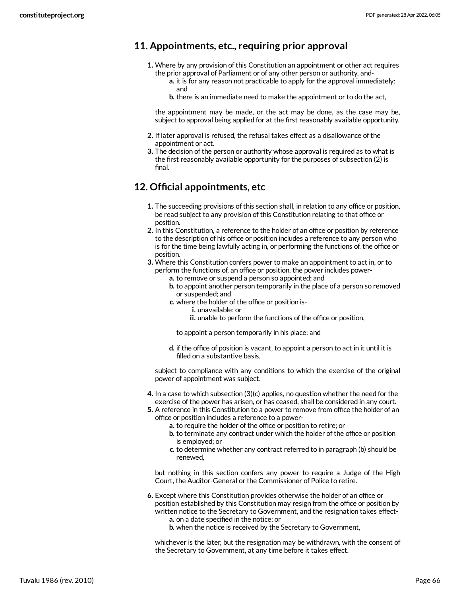### **11. Appointments, etc., requiring prior approval**

- **1.** Where by any provision of this Constitution an appointment or other act requires the prior approval of Parliament or of any other person or authority, and
	- **a.** it is for any reason not practicable to apply for the approval immediately; and
	- **b.** there is an immediate need to make the appointment or to do the act,

the appointment may be made, or the act may be done, as the case may be, subject to approval being applied for at the first reasonably available opportunity.

- **2.** If later approval is refused, the refusal takes effect as a disallowance of the appointment or act.
- **3.** The decision of the person or authority whose approval is required as to what is the first reasonably available opportunity for the purposes of subsection (2) is final.

# **12. Official appointments, etc**

- **1.** The succeeding provisions of this section shall, in relation to any office or position, be read subject to any provision of this Constitution relating to that office or position.
- **2.** In this Constitution, a reference to the holder of an office or position by reference to the description of his office or position includes a reference to any person who is for the time being lawfully acting in, or performing the functions of, the office or position.
- **3.** Where this Constitution confers power to make an appointment to act in, or to perform the functions of, an office or position, the power includes power
	- **a.** to remove or suspend a person so appointed; and
	- **b.** to appoint another person temporarily in the place of a person so removed or suspended; and
	- **c.** where the holder of the office or position is
		- **i.** unavailable; or
		- **ii.** unable to perform the functions of the office or position,
		- to appoint a person temporarily in his place; and
	- **d.** if the office of position is vacant, to appoint a person to act in it until it is filled on a substantive basis,

subject to compliance with any conditions to which the exercise of the original power of appointment was subject.

- **4.** In a case to which subsection (3)(c) applies, no question whether the need for the exercise of the power has arisen, or has ceased, shall be considered in any court.
- **5.** A reference in this Constitution to a power to remove from office the holder of an office or position includes a reference to a power
	- **a.** to require the holder of the office or position to retire; or
	- **b.** to terminate any contract under which the holder of the office or position is employed; or
	- **c.** to determine whether any contract referred to in paragraph (b) should be renewed,

but nothing in this section confers any power to require a Judge of the High Court, the Auditor-General or the Commissioner of Police to retire.

- **6.** Except where this Constitution provides otherwise the holder of an office or position established by this Constitution may resign from the office or position by written notice to the Secretary to Government, and the resignation takes effect
	- **a.** on a date specified in the notice; or

**b.** when the notice is received by the Secretary to Government,

whichever is the later, but the resignation may be withdrawn, with the consent of the Secretary to Government, at any time before it takes effect.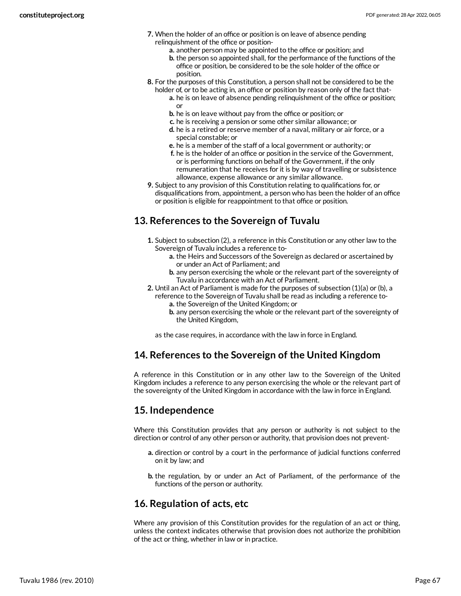- **7.** When the holder of an office or position is on leave of absence pending relinquishment of the office or position
	- **a.** another person may be appointed to the office or position; and
	- **b.** the person so appointed shall, for the performance of the functions of the office or position, be considered to be the sole holder of the office or position.
- **8.** For the purposes of this Constitution, a person shall not be considered to be the
	- holder of, or to be acting in, an office or position by reason only of the fact that**a.** he is on leave of absence pending relinquishment of the office or position; or
		- **b.** he is on leave without pay from the office or position; or
		- **c.** he is receiving a pension or some other similar allowance; or
		- **d.** he is a retired or reserve member of a naval, military or air force, or a special constable; or
		- **e.** he is a member of the staff of a local government or authority; or
		- **f.** he is the holder of an office or position in the service of the Government, or is performing functions on behalf of the Government, if the only remuneration that he receives for it is by way of travelling or subsistence allowance, expense allowance or any similar allowance.
- **9.** Subject to any provision of this Constitution relating to qualifications for, or disqualifications from, appointment, a person who has been the holder of an office or position is eligible for reappointment to that office or position.

# **13. References to the Sovereign of Tuvalu**

- **1.** Subject to subsection (2), a reference in this Constitution or any other law to the Sovereign of Tuvalu includes a reference to
	- **a.** the Heirs and Successors of the Sovereign as declared or ascertained by or under an Act of Parliament; and
	- **b.** any person exercising the whole or the relevant part of the sovereignty of Tuvalu in accordance with an Act of Parliament.
- **2.** Until an Act of Parliament is made for the purposes of subsection (1)(a) or (b), a reference to the Sovereign of Tuvalu shall be read as including a reference to
	- **a.** the Sovereign of the United Kingdom; or
	- **b.** any person exercising the whole or the relevant part of the sovereignty of the United Kingdom,

as the case requires, in accordance with the law in force in England.

# **14. References to the Sovereign of the United Kingdom**

A reference in this Constitution or in any other law to the Sovereign of the United Kingdom includes a reference to any person exercising the whole or the relevant part of the sovereignty of the United Kingdom in accordance with the law in force in England.

# **15. Independence**

Where this Constitution provides that any person or authority is not subject to the direction or control of any other person or authority, that provision does not prevent-

- **a.** direction or control by a court in the performance of judicial functions conferred on it by law; and
- **b.** the regulation, by or under an Act of Parliament, of the performance of the functions of the person or authority.

# **16. Regulation of acts, etc**

Where any provision of this Constitution provides for the regulation of an act or thing, unless the context indicates otherwise that provision does not authorize the prohibition of the act or thing, whether in law or in practice.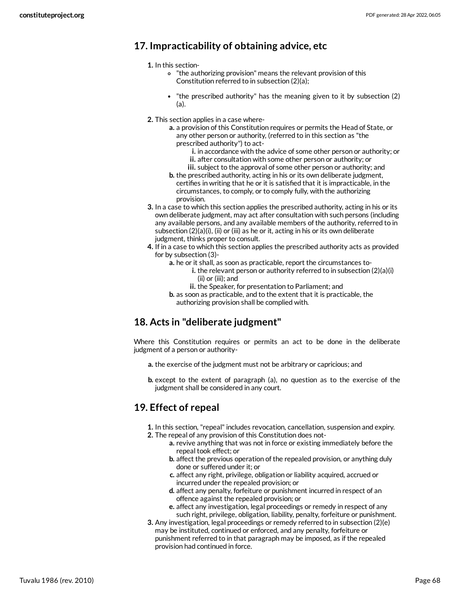# **17. Impracticability of obtaining advice, etc**

**1.** In this section-

- "the authorizing provision" means the relevant provision of this Constitution referred to in subsection (2)(a);
- "the prescribed authority" has the meaning given to it by subsection (2) (a).
- **2.** This section applies in a case where
	- **a.** a provision of this Constitution requires or permits the Head of State, or any other person or authority, (referred to in this section as "the prescribed authority") to act-

**i.** in accordance with the advice of some other person or authority; or **ii.** after consultation with some other person or authority; or

- **iii.** subject to the approval of some other person or authority; and
- **b.** the prescribed authority, acting in his or its own deliberate judgment, certifies in writing that he or it is satisfied that it is impracticable, in the circumstances, to comply, or to comply fully, with the authorizing provision.
- **3.** In a case to which this section applies the prescribed authority, acting in his or its own deliberate judgment, may act after consultation with such persons (including any available persons, and any available members of the authority, referred to in subsection (2)(a)(i), (ii) or (iii) as he or it, acting in his or its own deliberate judgment, thinks proper to consult.
- **4.** If in a case to which this section applies the prescribed authority acts as provided for by subsection (3)
	- **a.** he or it shall, as soon as practicable, report the circumstances to
		- **i.** the relevant person or authority referred to in subsection (2)(a)(i) (ii) or (iii); and
		- **ii.** the Speaker, for presentation to Parliament; and
	- **b.** as soon as practicable, and to the extent that it is practicable, the authorizing provision shall be complied with.

# **18. Acts in "deliberate judgment"**

Where this Constitution requires or permits an act to be done in the deliberate judgment of a person or authority-

- **a.** the exercise of the judgment must not be arbitrary or capricious; and
- **b.** except to the extent of paragraph (a), no question as to the exercise of the judgment shall be considered in any court.

# **19. Effect of repeal**

- **1.** In this section, "repeal" includes revocation, cancellation, suspension and expiry.
- **2.** The repeal of any provision of this Constitution does not
	- **a.** revive anything that was not in force or existing immediately before the repeal took effect; or
	- **b.** affect the previous operation of the repealed provision, or anything duly done or suffered under it; or
	- **c.** affect any right, privilege, obligation or liability acquired, accrued or incurred under the repealed provision; or
	- **d.** affect any penalty, forfeiture or punishment incurred in respect of an offence against the repealed provision; or
	- **e.** affect any investigation, legal proceedings or remedy in respect of any such right, privilege, obligation, liability, penalty, forfeiture or punishment.
- **3.** Any investigation, legal proceedings or remedy referred to in subsection (2)(e) may be instituted, continued or enforced, and any penalty, forfeiture or punishment referred to in that paragraph may be imposed, as if the repealed provision had continued in force.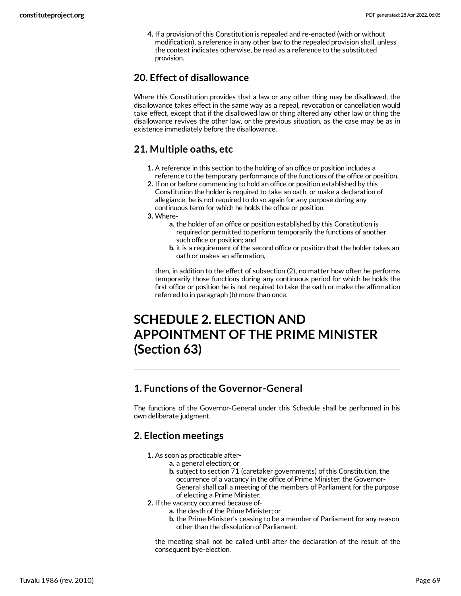**4.** If a provision of this Constitution is repealed and re-enacted (with or without modification), a reference in any other law to the repealed provision shall, unless the context indicates otherwise, be read as a reference to the substituted provision.

# **20. Effect of disallowance**

Where this Constitution provides that a law or any other thing may be disallowed, the disallowance takes effect in the same way as a repeal, revocation or cancellation would take effect, except that if the disallowed law or thing altered any other law or thing the disallowance revives the other law, or the previous situation, as the case may be as in existence immediately before the disallowance.

# **21. Multiple oaths, etc**

- **1.** A reference in this section to the holding of an office or position includes a reference to the temporary performance of the functions of the office or position.
- **2.** If on or before commencing to hold an office or position established by this Constitution the holder is required to take an oath, or make a declaration of allegiance, he is not required to do so again for any purpose during any continuous term for which he holds the office or position.
- **3.** Where
	- **a.** the holder of an office or position established by this Constitution is required or permitted to perform temporarily the functions of another such office or position; and
	- **b.** it is a requirement of the second office or position that the holder takes an oath or makes an affirmation,

then, in addition to the effect of subsection (2), no matter how often he performs temporarily those functions during any continuous period for which he holds the first office or position he is not required to take the oath or make the affirmation referred to in paragraph (b) more than once.

# **SCHEDULE 2. ELECTION AND APPOINTMENT OF THE PRIME MINISTER (Section 63)**

# **1. Functions of the Governor-General**

The functions of the Governor-General under this Schedule shall be performed in his own deliberate judgment.

# **2. Election meetings**

- **1.** As soon as practicable after
	- **a.** a general election; or
	- **b.** subject to section 71 (caretaker governments) of this Constitution, the occurrence of a vacancy in the office of Prime Minister, the Governor-General shall call a meeting of the members of Parliament for the purpose of electing a Prime Minister.
- **2.** If the vacancy occurred because of
	- **a.** the death of the Prime Minister; or
	- **b.** the Prime Minister's ceasing to be a member of Parliament for any reason other than the dissolution of Parliament,

the meeting shall not be called until after the declaration of the result of the consequent bye-election.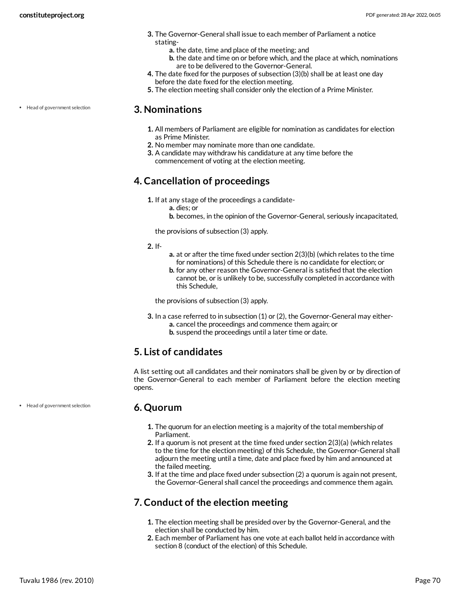- **3.** The Governor-General shall issue to each member of Parliament a notice stating
	- **a.** the date, time and place of the meeting; and
	- **b.** the date and time on or before which, and the place at which, nominations are to be delivered to the Governor-General.
- **4.** The date fixed for the purposes of subsection (3)(b) shall be at least one day before the date fixed for the election meeting.
- **5.** The election meeting shall consider only the election of a Prime Minister.
- Head of government selection

#### **3. Nominations**

- **1.** All members of Parliament are eligible for nomination as candidates for election as Prime Minister.
- **2.** No member may nominate more than one candidate.
- **3.** A candidate may withdraw his candidature at any time before the commencement of voting at the election meeting.

# **4. Cancellation of proceedings**

**1.** If at any stage of the proceedings a candidate-

- **a.** dies; or
- **b.** becomes, in the opinion of the Governor-General, seriously incapacitated,

the provisions of subsection (3) apply.

- **2.** If-
- **a.** at or after the time fixed under section 2(3)(b) (which relates to the time for nominations) of this Schedule there is no candidate for election; or
- **b.** for any other reason the Governor-General is satisfied that the election cannot be, or is unlikely to be, successfully completed in accordance with this Schedule,

the provisions of subsection (3) apply.

- **3.** In a case referred to in subsection (1) or (2), the Governor-General may either**a.** cancel the proceedings and commence them again; or
	- **b.** suspend the proceedings until a later time or date.

# **5. List of candidates**

A list setting out all candidates and their nominators shall be given by or by direction of the Governor-General to each member of Parliament before the election meeting opens.

Head of government selection

#### **6. Quorum**

- **1.** The quorum for an election meeting is a majority of the total membership of Parliament.
- **2.** If a quorum is not present at the time fixed under section 2(3)(a) (which relates to the time for the election meeting) of this Schedule, the Governor-General shall adjourn the meeting until a time, date and place fixed by him and announced at the failed meeting.
- **3.** If at the time and place fixed under subsection (2) a quorum is again not present, the Governor-General shall cancel the proceedings and commence them again.

# **7. Conduct of the election meeting**

- **1.** The election meeting shall be presided over by the Governor-General, and the election shall be conducted by him.
- **2.** Each member of Parliament has one vote at each ballot held in accordance with section 8 (conduct of the election) of this Schedule.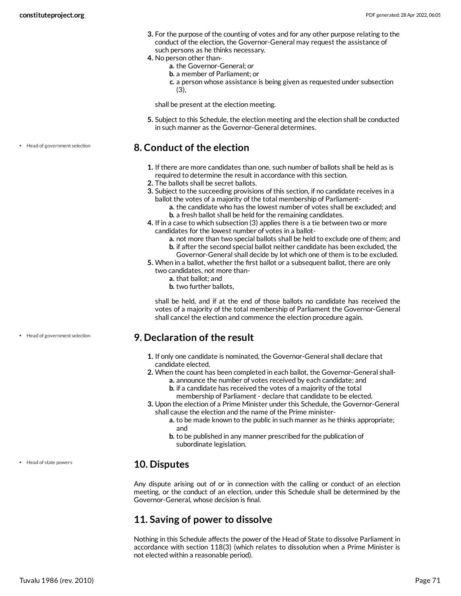Head of government selection

- **3.** For the purpose of the counting of votes and for any other purpose relating to the conduct of the election, the Governor-General may request the assistance of such persons as he thinks necessary.
- **4.** No person other than
	- **a.** the Governor-General; or
	- **b.** a member of Parliament; or
	- **c.** a person whose assistance is being given as requested under subsection (3),

shall be present at the election meeting.

**5.** Subject to this Schedule, the election meeting and the election shall be conducted in such manner as the Governor-General determines.

### **8. Conduct of the election**

- **1.** If there are more candidates than one, such number of ballots shall be held as is required to determine the result in accordance with this section.
- **2.** The ballots shall be secret ballots.
- **3.** Subject to the succeeding provisions of this section, if no candidate receives in a ballot the votes of a majority of the total membership of Parliament
	- **a.** the candidate who has the lowest number of votes shall be excluded; and **b.** a fresh ballot shall be held for the remaining candidates.
- **4.** If in a case to which subsection (3) applies there is a tie between two or more candidates for the lowest number of votes in a ballot
	- **a.** not more than two special ballots shall be held to exclude one of them; and **b.** if after the second special ballot neither candidate has been excluded, the
- Governor-General shall decide by lot which one of them is to be excluded. **5.** When in a ballot, whether the first ballot or a subsequent ballot, there are only two candidates, not more than
	- **a.** that ballot; and
	-
	- **b.** two further ballots,

shall be held, and if at the end of those ballots no candidate has received the votes of a majority of the total membership of Parliament the Governor-General shall cancel the election and commence the election procedure again.

### **9. Declaration of the result**

- **1.** If only one candidate is nominated, the Governor-General shall declare that candidate elected.
- **2.** When the count has been completed in each ballot, the Governor-General shall
	- **a.** announce the number of votes received by each candidate; and
	- **b.** if a candidate has received the votes of a majority of the total
	- membership of Parliament declare that candidate to be elected.
- **3.** Upon the election of a Prime Minister under this Schedule, the Governor-General shall cause the election and the name of the Prime minister
	- **a.** to be made known to the public in such manner as he thinks appropriate; and
	- **b.** to be published in any manner prescribed for the publication of subordinate legislation.

• Head of state powers

Head of government selection

# **10. Disputes**

Any dispute arising out of or in connection with the calling or conduct of an election meeting, or the conduct of an election, under this Schedule shall be determined by the Governor-General, whose decision is final.

# **11. Saving of power to dissolve**

Nothing in this Schedule affects the power of the Head of State to dissolve Parliament in accordance with section 118(3) (which relates to dissolution when a Prime Minister is not elected within a reasonable period).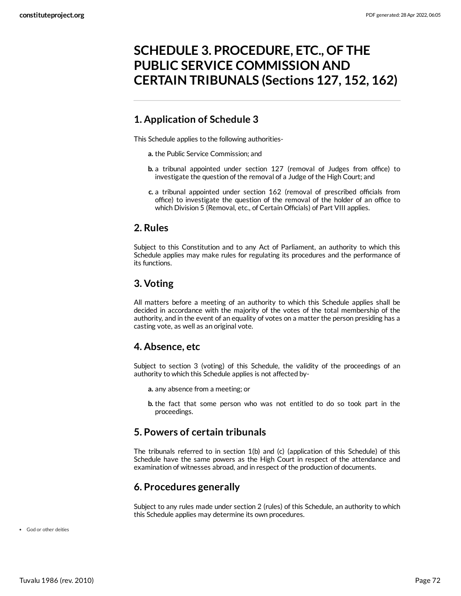# **SCHEDULE 3. PROCEDURE, ETC., OF THE PUBLIC SERVICE COMMISSION AND CERTAIN TRIBUNALS (Sections 127, 152, 162)**

# **1. Application of Schedule 3**

This Schedule applies to the following authorities-

- **a.** the Public Service Commission; and
- **b.** a tribunal appointed under section 127 (removal of Judges from office) to investigate the question of the removal of a Judge of the High Court; and
- **c.** a tribunal appointed under section 162 (removal of prescribed officials from office) to investigate the question of the removal of the holder of an office to which Division 5 (Removal, etc., of Certain Officials) of Part VIII applies.

### **2. Rules**

Subject to this Constitution and to any Act of Parliament, an authority to which this Schedule applies may make rules for regulating its procedures and the performance of its functions.

### **3. Voting**

All matters before a meeting of an authority to which this Schedule applies shall be decided in accordance with the majority of the votes of the total membership of the authority, and in the event of an equality of votes on a matter the person presiding has a casting vote, as well as an original vote.

# **4. Absence, etc**

Subject to section 3 (voting) of this Schedule, the validity of the proceedings of an authority to which this Schedule applies is not affected by-

- **a.** any absence from a meeting; or
- **b.** the fact that some person who was not entitled to do so took part in the proceedings.

### **5. Powers of certain tribunals**

The tribunals referred to in section 1(b) and (c) (application of this Schedule) of this Schedule have the same powers as the High Court in respect of the attendance and examination of witnesses abroad, and in respect of the production of documents.

### **6. Procedures generally**

Subject to any rules made under section 2 (rules) of this Schedule, an authority to which this Schedule applies may determine its own procedures.

God or other deities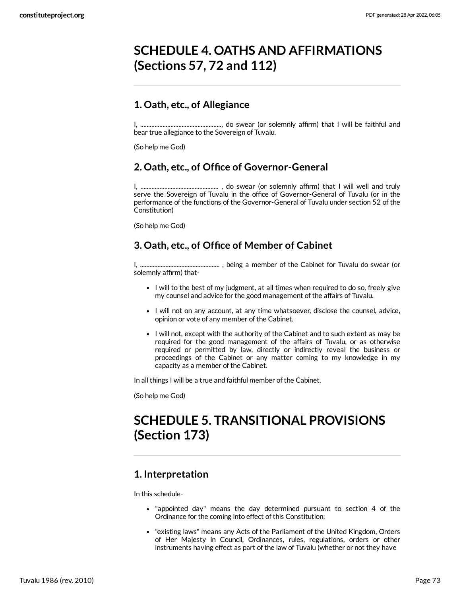# **SCHEDULE 4. OATHS AND AFFIRMATIONS (Sections 57, 72 and 112)**

# **1. Oath, etc., of Allegiance**

I, ..................................................., do swear (or solemnly affirm) that I will be faithful and bear true allegiance to the Sovereign of Tuvalu.

(So help me God)

# **2. Oath, etc., of Office of Governor-General**

I, ................................................. , do swear (or solemnly affirm) that I will well and truly serve the Sovereign of Tuvalu in the office of Governor-General of Tuvalu (or in the performance of the functions of the Governor-General of Tuvalu under section 52 of the Constitution)

(So help me God)

# **3. Oath, etc., of Office of Member of Cabinet**

I, .................................................. , being a member of the Cabinet for Tuvalu do swear (or solemnly affirm) that-

- I will to the best of my judgment, at all times when required to do so, freely give my counsel and advice for the good management of the affairs of Tuvalu.
- I will not on any account, at any time whatsoever, disclose the counsel, advice, opinion or vote of any member of the Cabinet.
- I will not, except with the authority of the Cabinet and to such extent as may be required for the good management of the affairs of Tuvalu, or as otherwise required or permitted by law, directly or indirectly reveal the business or proceedings of the Cabinet or any matter coming to my knowledge in my capacity as a member of the Cabinet.

In all things I will be a true and faithful member of the Cabinet.

(So help me God)

# **SCHEDULE 5. TRANSITIONAL PROVISIONS (Section 173)**

#### **1. Interpretation**

In this schedule-

- "appointed day" means the day determined pursuant to section 4 of the Ordinance for the coming into effect of this Constitution;
- "existing laws" means any Acts of the Parliament of the United Kingdom, Orders of Her Majesty in Council, Ordinances, rules, regulations, orders or other instruments having effect as part of the law of Tuvalu (whether or not they have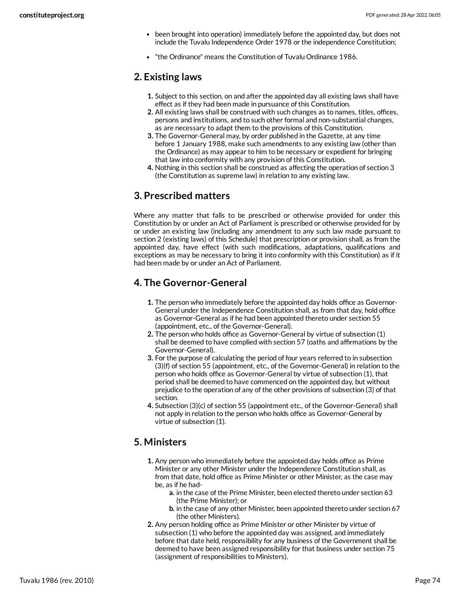- been brought into operation) immediately before the appointed day, but does not include the Tuvalu Independence Order 1978 or the independence Constitution;
- "the Ordinance" means the Constitution of Tuvalu Ordinance 1986.

# **2. Existing laws**

- **1.** Subject to this section, on and after the appointed day all existing laws shall have effect as if they had been made in pursuance of this Constitution.
- **2.** All existing laws shall be construed with such changes as to names, titles, offices, persons and institutions, and to such other formal and non-substantial changes, as are necessary to adapt them to the provisions of this Constitution.
- **3.** The Governor-General may, by order published in the Gazette, at any time before 1 January 1988, make such amendments to any existing law (other than the Ordinance) as may appear to him to be necessary or expedient for bringing that law into conformity with any provision of this Constitution.
- **4.** Nothing in this section shall be construed as affecting the operation of section 3 (the Constitution as supreme law) in relation to any existing law.

# **3. Prescribed matters**

Where any matter that falls to be prescribed or otherwise provided for under this Constitution by or under an Act of Parliament is prescribed or otherwise provided for by or under an existing law (including any amendment to any such law made pursuant to section 2 (existing laws) of this Schedule) that prescription or provision shall, as from the appointed day, have effect (with such modifications, adaptations, qualifications and exceptions as may be necessary to bring it into conformity with this Constitution) as if it had been made by or under an Act of Parliament.

# **4. The Governor-General**

- **1.** The person who immediately before the appointed day holds office as Governor-General under the Independence Constitution shall, as from that day, hold office as Governor-General as if he had been appointed thereto under section 55 (appointment, etc., of the Governor-General).
- **2.** The person who holds office as Governor-General by virtue of subsection (1) shall be deemed to have complied with section 57 (oaths and affirmations by the Governor-General).
- **3.** For the purpose of calculating the period of four years referred to in subsection (3)(f) of section 55 (appointment, etc., of the Governor-General) in relation to the person who holds office as Governor-General by virtue of subsection (1), that period shall be deemed to have commenced on the appointed day, but without prejudice to the operation of any of the other provisions of subsection (3) of that section.
- **4.** Subsection (3)(c) of section 55 (appointment etc., of the Governor-General) shall not apply in relation to the person who holds office as Governor-General by virtue of subsection (1).

# **5. Ministers**

- **1.** Any person who immediately before the appointed day holds office as Prime Minister or any other Minister under the Independence Constitution shall, as from that date, hold office as Prime Minister or other Minister, as the case may be, as if he had
	- **a.** in the case of the Prime Minister, been elected thereto under section 63 (the Prime Minister); or
	- **b.** in the case of any other Minister, been appointed thereto under section 67 (the other Ministers).
- **2.** Any person holding office as Prime Minister or other Minister by virtue of subsection (1) who before the appointed day was assigned, and immediately before that date held, responsibility for any business of the Government shall be deemed to have been assigned responsibility for that business under section 75 (assignment of responsibilities to Ministers).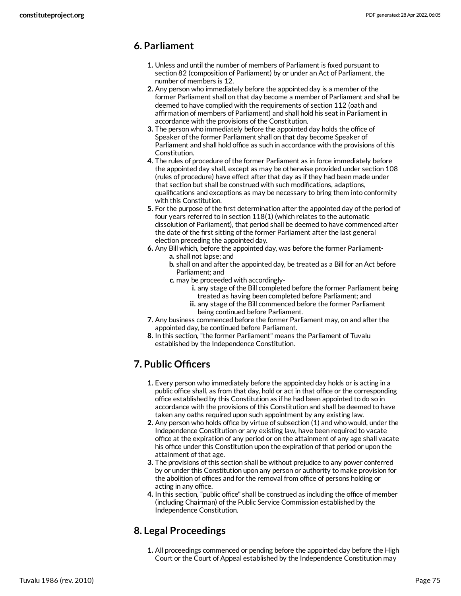# **6. Parliament**

- **1.** Unless and until the number of members of Parliament is fixed pursuant to section 82 (composition of Parliament) by or under an Act of Parliament, the number of members is 12.
- **2.** Any person who immediately before the appointed day is a member of the former Parliament shall on that day become a member of Parliament and shall be deemed to have complied with the requirements of section 112 (oath and affirmation of members of Parliament) and shall hold his seat in Parliament in accordance with the provisions of the Constitution.
- **3.** The person who immediately before the appointed day holds the office of Speaker of the former Parliament shall on that day become Speaker of Parliament and shall hold office as such in accordance with the provisions of this Constitution.
- **4.** The rules of procedure of the former Parliament as in force immediately before the appointed day shall, except as may be otherwise provided under section 108 (rules of procedure) have effect after that day as if they had been made under that section but shall be construed with such modifications, adaptions, qualifications and exceptions as may be necessary to bring them into conformity with this Constitution.
- **5.** For the purpose of the first determination after the appointed day of the period of four years referred to in section 118(1) (which relates to the automatic dissolution of Parliament), that period shall be deemed to have commenced after the date of the first sitting of the former Parliament after the last general election preceding the appointed day.
- **6.** Any Bill which, before the appointed day, was before the former Parliament**a.** shall not lapse; and
	- **b.** shall on and after the appointed day, be treated as a Bill for an Act before Parliament; and
	- **c.** may be proceeded with accordingly
		- **i.** any stage of the Bill completed before the former Parliament being treated as having been completed before Parliament; and
		- **ii.** any stage of the Bill commenced before the former Parliament being continued before Parliament.
- **7.** Any business commenced before the former Parliament may, on and after the appointed day, be continued before Parliament.
- **8.** In this section, "the former Parliament" means the Parliament of Tuvalu established by the Independence Constitution.

# **7. Public Officers**

- **1.** Every person who immediately before the appointed day holds or is acting in a public office shall, as from that day, hold or act in that office or the corresponding office established by this Constitution as if he had been appointed to do so in accordance with the provisions of this Constitution and shall be deemed to have taken any oaths required upon such appointment by any existing law.
- **2.** Any person who holds office by virtue of subsection (1) and who would, under the Independence Constitution or any existing law, have been required to vacate office at the expiration of any period or on the attainment of any age shall vacate his office under this Constitution upon the expiration of that period or upon the attainment of that age.
- **3.** The provisions of this section shall be without prejudice to any power conferred by or under this Constitution upon any person or authority to make provision for the abolition of offices and for the removal from office of persons holding or acting in any office.
- **4.** In this section, "public office" shall be construed as including the office of member (including Chairman) of the Public Service Commission established by the Independence Constitution.

# **8. Legal Proceedings**

**1.** All proceedings commenced or pending before the appointed day before the High Court or the Court of Appeal established by the Independence Constitution may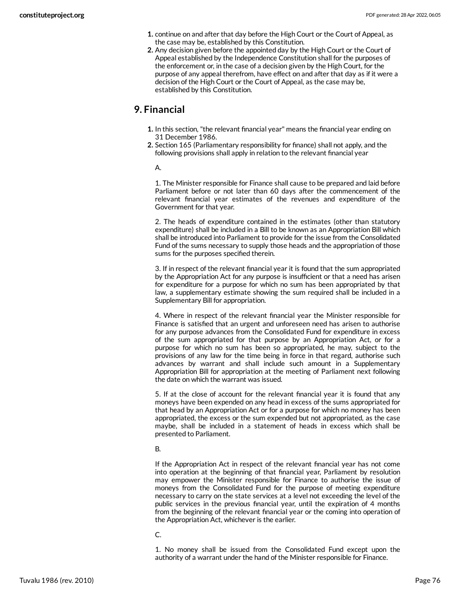- **1.** continue on and after that day before the High Court or the Court of Appeal, as the case may be, established by this Constitution.
- **2.** Any decision given before the appointed day by the High Court or the Court of Appeal established by the Independence Constitution shall for the purposes of the enforcement or, in the case of a decision given by the High Court, for the purpose of any appeal therefrom, have effect on and after that day as if it were a decision of the High Court or the Court of Appeal, as the case may be, established by this Constitution.

# **9. Financial**

- **1.** In this section, "the relevant financial year" means the financial year ending on 31 December 1986.
- **2.** Section 165 (Parliamentary responsibility for finance) shall not apply, and the following provisions shall apply in relation to the relevant financial year

A.

1. The Minister responsible for Finance shall cause to be prepared and laid before Parliament before or not later than 60 days after the commencement of the relevant financial year estimates of the revenues and expenditure of the Government for that year.

2. The heads of expenditure contained in the estimates (other than statutory expenditure) shall be included in a Bill to be known as an Appropriation Bill which shall be introduced into Parliament to provide for the issue from the Consolidated Fund of the sums necessary to supply those heads and the appropriation of those sums for the purposes specified therein.

3. If in respect of the relevant financial year it is found that the sum appropriated by the Appropriation Act for any purpose is insufficient or that a need has arisen for expenditure for a purpose for which no sum has been appropriated by that law, a supplementary estimate showing the sum required shall be included in a Supplementary Bill for appropriation.

4. Where in respect of the relevant financial year the Minister responsible for Finance is satisfied that an urgent and unforeseen need has arisen to authorise for any purpose advances from the Consolidated Fund for expenditure in excess of the sum appropriated for that purpose by an Appropriation Act, or for a purpose for which no sum has been so appropriated, he may, subject to the provisions of any law for the time being in force in that regard, authorise such advances by warrant and shall include such amount in a Supplementary Appropriation Bill for appropriation at the meeting of Parliament next following the date on which the warrant was issued.

5. If at the close of account for the relevant financial year it is found that any moneys have been expended on any head in excess of the sums appropriated for that head by an Appropriation Act or for a purpose for which no money has been appropriated, the excess or the sum expended but not appropriated, as the case maybe, shall be included in a statement of heads in excess which shall be presented to Parliament.

#### B.

If the Appropriation Act in respect of the relevant financial year has not come into operation at the beginning of that financial year, Parliament by resolution may empower the Minister responsible for Finance to authorise the issue of moneys from the Consolidated Fund for the purpose of meeting expenditure necessary to carry on the state services at a level not exceeding the level of the public services in the previous financial year, until the expiration of 4 months from the beginning of the relevant financial year or the coming into operation of the Appropriation Act, whichever is the earlier.

C.

1. No money shall be issued from the Consolidated Fund except upon the authority of a warrant under the hand of the Minister responsible for Finance.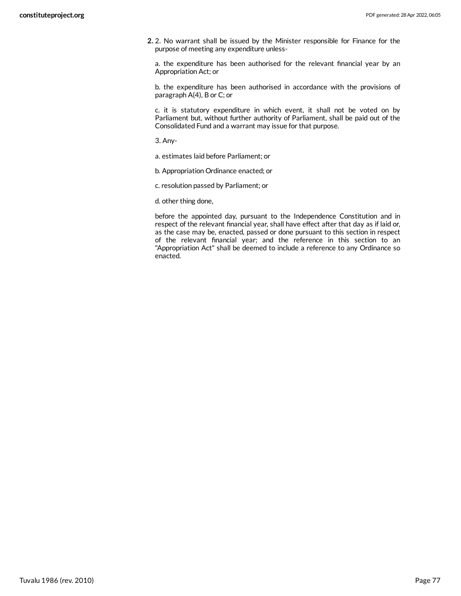**2.** 2. No warrant shall be issued by the Minister responsible for Finance for the purpose of meeting any expenditure unless-

a. the expenditure has been authorised for the relevant financial year by an Appropriation Act; or

b. the expenditure has been authorised in accordance with the provisions of paragraph A(4), B or C; or

c. it is statutory expenditure in which event, it shall not be voted on by Parliament but, without further authority of Parliament, shall be paid out of the Consolidated Fund and a warrant may issue for that purpose.

3. Any-

a. estimates laid before Parliament; or

b. Appropriation Ordinance enacted; or

c. resolution passed by Parliament; or

d. other thing done,

before the appointed day, pursuant to the Independence Constitution and in respect of the relevant financial year, shall have effect after that day as if laid or, as the case may be, enacted, passed or done pursuant to this section in respect of the relevant financial year; and the reference in this section to an "Appropriation Act" shall be deemed to include a reference to any Ordinance so enacted.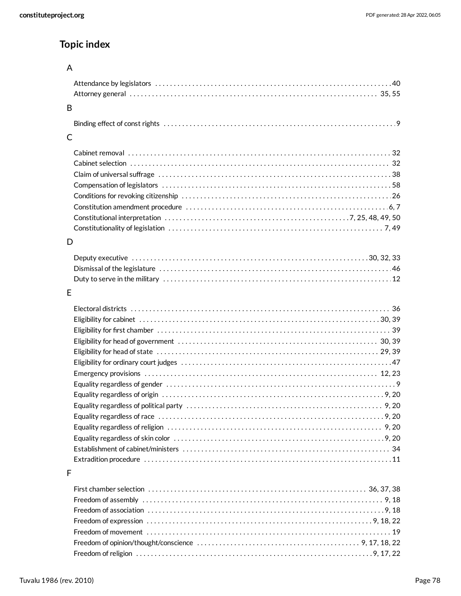# **Topic index**

| A                                                                                                                              |
|--------------------------------------------------------------------------------------------------------------------------------|
|                                                                                                                                |
| B                                                                                                                              |
|                                                                                                                                |
| C                                                                                                                              |
|                                                                                                                                |
| D                                                                                                                              |
| E                                                                                                                              |
|                                                                                                                                |
|                                                                                                                                |
|                                                                                                                                |
|                                                                                                                                |
|                                                                                                                                |
|                                                                                                                                |
|                                                                                                                                |
| Equality regardless of gender $\dots\dots\dots\dots\dots\dots\dots\dots\dots\dots\dots\dots\dots\dots\dots\dots\dots\dots$     |
|                                                                                                                                |
|                                                                                                                                |
| Equality regardless of race $\dots\dots\dots\dots\dots\dots\dots\dots\dots\dots\dots\dots\dots\dots\dots\dots\dots\dots$       |
| Equality regardless of skin color $\dots\dots\dots\dots\dots\dots\dots\dots\dots\dots\dots\dots\dots\dots\dots\dots\dots\dots$ |
|                                                                                                                                |
|                                                                                                                                |
| F                                                                                                                              |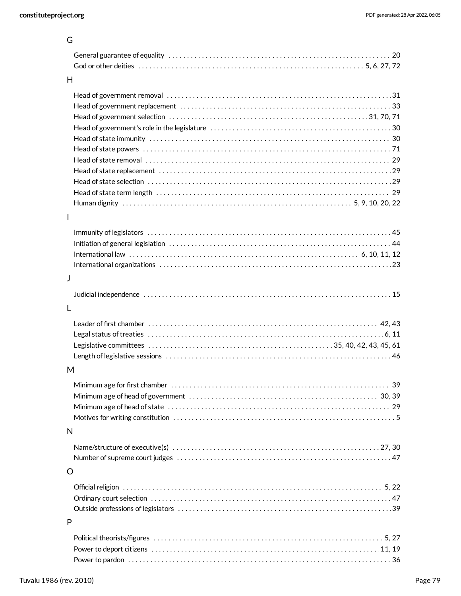| ۰. | .<br>I |  |
|----|--------|--|
|    |        |  |
|    |        |  |

| G            |  |
|--------------|--|
|              |  |
|              |  |
| H            |  |
|              |  |
|              |  |
|              |  |
|              |  |
|              |  |
|              |  |
|              |  |
|              |  |
|              |  |
|              |  |
|              |  |
| L            |  |
|              |  |
|              |  |
|              |  |
|              |  |
| J            |  |
|              |  |
| L            |  |
|              |  |
|              |  |
|              |  |
|              |  |
| M            |  |
|              |  |
|              |  |
|              |  |
|              |  |
| $\mathsf{N}$ |  |
|              |  |
|              |  |
| O            |  |
|              |  |
|              |  |
|              |  |
| P            |  |
|              |  |
|              |  |
|              |  |

[36](#page-35-1) Power to pardon . . . . . . . . . . . . . . . . . . . . . . . . . . . . . . . . . . . . . . . . . . . . . . . . . . . . . . . . . . . . . . . . . . . . . . .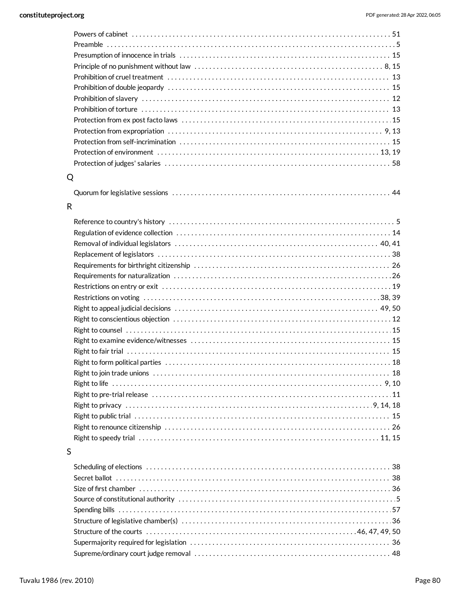# Q

# R

| Right to pre-trial release ………………………………………………………………………………11 |
|-------------------------------------------------------------|
|                                                             |
|                                                             |
|                                                             |
|                                                             |

# S